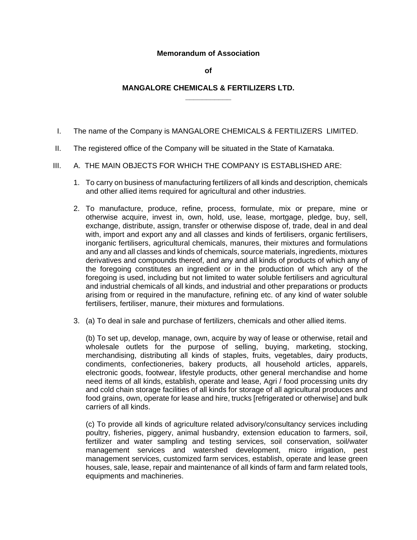## **Memorandum of Association**

**of** 

## **MANGALORE CHEMICALS & FERTILIZERS LTD. \_\_\_\_\_\_\_\_\_\_\_**

- I. The name of the Company is MANGALORE CHEMICALS & FERTILIZERS LIMITED.
- II. The registered office of the Company will be situated in the State of Karnataka.
- III. A. THE MAIN OBJECTS FOR WHICH THE COMPANY IS ESTABLISHED ARE:
	- 1. To carry on business of manufacturing fertilizers of all kinds and description, chemicals and other allied items required for agricultural and other industries.
	- 2. To manufacture, produce, refine, process, formulate, mix or prepare, mine or otherwise acquire, invest in, own, hold, use, lease, mortgage, pledge, buy, sell, exchange, distribute, assign, transfer or otherwise dispose of, trade, deal in and deal with, import and export any and all classes and kinds of fertilisers, organic fertilisers, inorganic fertilisers, agricultural chemicals, manures, their mixtures and formulations and any and all classes and kinds of chemicals, source materials, ingredients, mixtures derivatives and compounds thereof, and any and all kinds of products of which any of the foregoing constitutes an ingredient or in the production of which any of the foregoing is used, including but not limited to water soluble fertilisers and agricultural and industrial chemicals of all kinds, and industrial and other preparations or products arising from or required in the manufacture, refining etc. of any kind of water soluble fertilisers, fertiliser, manure, their mixtures and formulations.
	- 3. (a) To deal in sale and purchase of fertilizers, chemicals and other allied items.

(b) To set up, develop, manage, own, acquire by way of lease or otherwise, retail and wholesale outlets for the purpose of selling, buying, marketing, stocking, merchandising, distributing all kinds of staples, fruits, vegetables, dairy products, condiments, confectioneries, bakery products, all household articles, apparels, electronic goods, footwear, lifestyle products, other general merchandise and home need items of all kinds, establish, operate and lease, Agri / food processing units dry and cold chain storage facilities of all kinds for storage of all agricultural produces and food grains, own, operate for lease and hire, trucks [refrigerated or otherwise] and bulk carriers of all kinds.

(c) To provide all kinds of agriculture related advisory/consultancy services including poultry, fisheries, piggery, animal husbandry, extension education to farmers, soil, fertilizer and water sampling and testing services, soil conservation, soil/water management services and watershed development, micro irrigation, pest management services, customized farm services, establish, operate and lease green houses, sale, lease, repair and maintenance of all kinds of farm and farm related tools, equipments and machineries.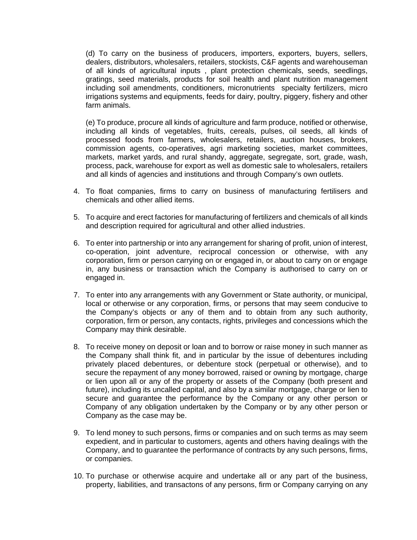(d) To carry on the business of producers, importers, exporters, buyers, sellers, dealers, distributors, wholesalers, retailers, stockists, C&F agents and warehouseman of all kinds of agricultural inputs , plant protection chemicals, seeds, seedlings, gratings, seed materials, products for soil health and plant nutrition management including soil amendments, conditioners, micronutrients specialty fertilizers, micro irrigations systems and equipments, feeds for dairy, poultry, piggery, fishery and other farm animals.

(e) To produce, procure all kinds of agriculture and farm produce, notified or otherwise, including all kinds of vegetables, fruits, cereals, pulses, oil seeds, all kinds of processed foods from farmers, wholesalers, retailers, auction houses, brokers, commission agents, co-operatives, agri marketing societies, market committees, markets, market yards, and rural shandy, aggregate, segregate, sort, grade, wash, process, pack, warehouse for export as well as domestic sale to wholesalers, retailers and all kinds of agencies and institutions and through Company's own outlets.

- 4. To float companies, firms to carry on business of manufacturing fertilisers and chemicals and other allied items.
- 5. To acquire and erect factories for manufacturing of fertilizers and chemicals of all kinds and description required for agricultural and other allied industries.
- 6. To enter into partnership or into any arrangement for sharing of profit, union of interest, co-operation, joint adventure, reciprocal concession or otherwise, with any corporation, firm or person carrying on or engaged in, or about to carry on or engage in, any business or transaction which the Company is authorised to carry on or engaged in.
- 7. To enter into any arrangements with any Government or State authority, or municipal, local or otherwise or any corporation, firms, or persons that may seem conducive to the Company's objects or any of them and to obtain from any such authority, corporation, firm or person, any contacts, rights, privileges and concessions which the Company may think desirable.
- 8. To receive money on deposit or loan and to borrow or raise money in such manner as the Company shall think fit, and in particular by the issue of debentures including privately placed debentures, or debenture stock (perpetual or otherwise), and to secure the repayment of any money borrowed, raised or owning by mortgage, charge or lien upon all or any of the property or assets of the Company (both present and future), including its uncalled capital, and also by a similar mortgage, charge or lien to secure and guarantee the performance by the Company or any other person or Company of any obligation undertaken by the Company or by any other person or Company as the case may be.
- 9. To lend money to such persons, firms or companies and on such terms as may seem expedient, and in particular to customers, agents and others having dealings with the Company, and to guarantee the performance of contracts by any such persons, firms, or companies.
- 10. To purchase or otherwise acquire and undertake all or any part of the business, property, liabilities, and transactons of any persons, firm or Company carrying on any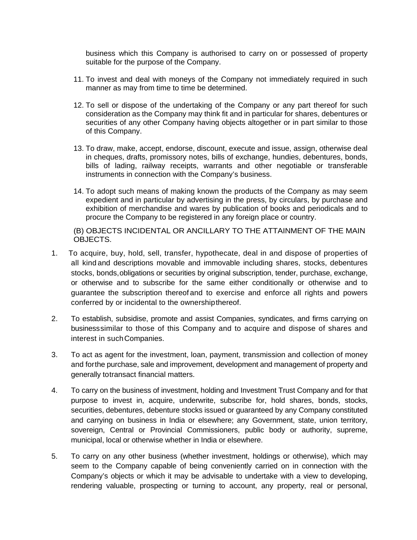business which this Company is authorised to carry on or possessed of property suitable for the purpose of the Company.

- 11. To invest and deal with moneys of the Company not immediately required in such manner as may from time to time be determined.
- 12. To sell or dispose of the undertaking of the Company or any part thereof for such consideration as the Company may think fit and in particular for shares, debentures or securities of any other Company having objects altogether or in part similar to those of this Company.
- 13. To draw, make, accept, endorse, discount, execute and issue, assign, otherwise deal in cheques, drafts, promissory notes, bills of exchange, hundies, debentures, bonds, bills of lading, railway receipts, warrants and other negotiable or transferable instruments in connection with the Company's business.
- 14. To adopt such means of making known the products of the Company as may seem expedient and in particular by advertising in the press, by circulars, by purchase and exhibition of merchandise and wares by publication of books and periodicals and to procure the Company to be registered in any foreign place or country.

(B) OBJECTS INCIDENTAL OR ANCILLARY TO THE ATTAINMENT OF THE MAIN OBJECTS.

- 1. To acquire, buy, hold, sell, transfer, hypothecate, deal in and dispose of properties of all kind and descriptions movable and immovable including shares, stocks, debentures stocks, bonds,obligations or securities by original subscription, tender, purchase, exchange, or otherwise and to subscribe for the same either conditionally or otherwise and to guarantee the subscription thereof and to exercise and enforce all rights and powers conferred by or incidental to the ownershipthereof.
- 2. To establish, subsidise, promote and assist Companies, syndicates, and firms carrying on businesssimilar to those of this Company and to acquire and dispose of shares and interest in suchCompanies.
- 3. To act as agent for the investment, loan, payment, transmission and collection of money and forthe purchase, sale and improvement, development and management of property and generally totransact financial matters.
- 4. To carry on the business of investment, holding and Investment Trust Company and for that purpose to invest in, acquire, underwrite, subscribe for, hold shares, bonds, stocks, securities, debentures, debenture stocks issued or guaranteed by any Company constituted and carrying on business in India or elsewhere; any Government, state, union territory, sovereign, Central or Provincial Commissioners, public body or authority, supreme, municipal, local or otherwise whether in India or elsewhere.
- 5. To carry on any other business (whether investment, holdings or otherwise), which may seem to the Company capable of being conveniently carried on in connection with the Company's objects or which it may be advisable to undertake with a view to developing, rendering valuable, prospecting or turning to account, any property, real or personal,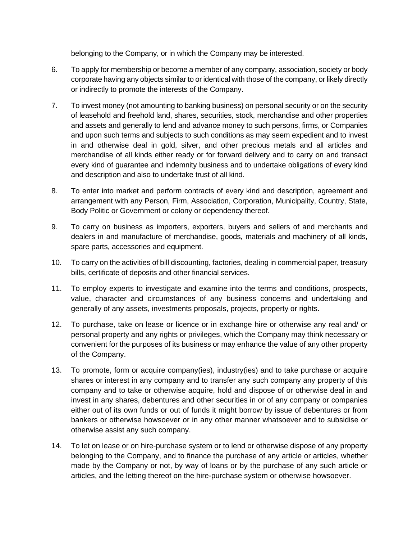belonging to the Company, or in which the Company may be interested.

- 6. To apply for membership or become a member of any company, association, society or body corporate having any objects similar to or identical with those of the company, or likely directly or indirectly to promote the interests of the Company.
- 7. To invest money (not amounting to banking business) on personal security or on the security of leasehold and freehold land, shares, securities, stock, merchandise and other properties and assets and generally to lend and advance money to such persons, firms, or Companies and upon such terms and subjects to such conditions as may seem expedient and to invest in and otherwise deal in gold, silver, and other precious metals and all articles and merchandise of all kinds either ready or for forward delivery and to carry on and transact every kind of guarantee and indemnity business and to undertake obligations of every kind and description and also to undertake trust of all kind.
- 8. To enter into market and perform contracts of every kind and description, agreement and arrangement with any Person, Firm, Association, Corporation, Municipality, Country, State, Body Politic or Government or colony or dependency thereof.
- 9. To carry on business as importers, exporters, buyers and sellers of and merchants and dealers in and manufacture of merchandise, goods, materials and machinery of all kinds, spare parts, accessories and equipment.
- 10. To carry on the activities of bill discounting, factories, dealing in commercial paper, treasury bills, certificate of deposits and other financial services.
- 11. To employ experts to investigate and examine into the terms and conditions, prospects, value, character and circumstances of any business concerns and undertaking and generally of any assets, investments proposals, projects, property or rights.
- 12. To purchase, take on lease or licence or in exchange hire or otherwise any real and/ or personal property and any rights or privileges, which the Company may think necessary or convenient for the purposes of its business or may enhance the value of any other property of the Company.
- 13. To promote, form or acquire company(ies), industry(ies) and to take purchase or acquire shares or interest in any company and to transfer any such company any property of this company and to take or otherwise acquire, hold and dispose of or otherwise deal in and invest in any shares, debentures and other securities in or of any company or companies either out of its own funds or out of funds it might borrow by issue of debentures or from bankers or otherwise howsoever or in any other manner whatsoever and to subsidise or otherwise assist any such company.
- 14. To let on lease or on hire-purchase system or to lend or otherwise dispose of any property belonging to the Company, and to finance the purchase of any article or articles, whether made by the Company or not, by way of loans or by the purchase of any such article or articles, and the letting thereof on the hire-purchase system or otherwise howsoever.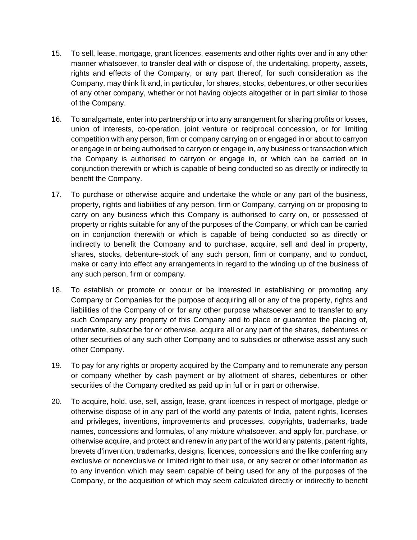- 15. To sell, lease, mortgage, grant licences, easements and other rights over and in any other manner whatsoever, to transfer deal with or dispose of, the undertaking, property, assets, rights and effects of the Company, or any part thereof, for such consideration as the Company, may think fit and, in particular, for shares, stocks, debentures, or other securities of any other company, whether or not having objects altogether or in part similar to those of the Company.
- 16. To amalgamate, enter into partnership or into any arrangement for sharing profits or losses, union of interests, co-operation, joint venture or reciprocal concession, or for limiting competition with any person, firm or company carrying on or engaged in or about to carryon or engage in or being authorised to carryon or engage in, any business or transaction which the Company is authorised to carryon or engage in, or which can be carried on in conjunction therewith or which is capable of being conducted so as directly or indirectly to benefit the Company.
- 17. To purchase or otherwise acquire and undertake the whole or any part of the business, property, rights and liabilities of any person, firm or Company, carrying on or proposing to carry on any business which this Company is authorised to carry on, or possessed of property or rights suitable for any of the purposes of the Company, or which can be carried on in conjunction therewith or which is capable of being conducted so as directly or indirectly to benefit the Company and to purchase, acquire, sell and deal in property, shares, stocks, debenture-stock of any such person, firm or company, and to conduct, make or carry into effect any arrangements in regard to the winding up of the business of any such person, firm or company.
- 18. To establish or promote or concur or be interested in establishing or promoting any Company or Companies for the purpose of acquiring all or any of the property, rights and liabilities of the Company of or for any other purpose whatsoever and to transfer to any such Company any property of this Company and to place or guarantee the placing of, underwrite, subscribe for or otherwise, acquire all or any part of the shares, debentures or other securities of any such other Company and to subsidies or otherwise assist any such other Company.
- 19. To pay for any rights or property acquired by the Company and to remunerate any person or company whether by cash payment or by allotment of shares, debentures or other securities of the Company credited as paid up in full or in part or otherwise.
- 20. To acquire, hold, use, sell, assign, lease, grant licences in respect of mortgage, pledge or otherwise dispose of in any part of the world any patents of India, patent rights, licenses and privileges, inventions, improvements and processes, copyrights, trademarks, trade names, concessions and formulas, of any mixture whatsoever, and apply for, purchase, or otherwise acquire, and protect and renew in any part of the world any patents, patent rights, brevets d'invention, trademarks, designs, licences, concessions and the like conferring any exclusive or nonexclusive or limited right to their use, or any secret or other information as to any invention which may seem capable of being used for any of the purposes of the Company, or the acquisition of which may seem calculated directly or indirectly to benefit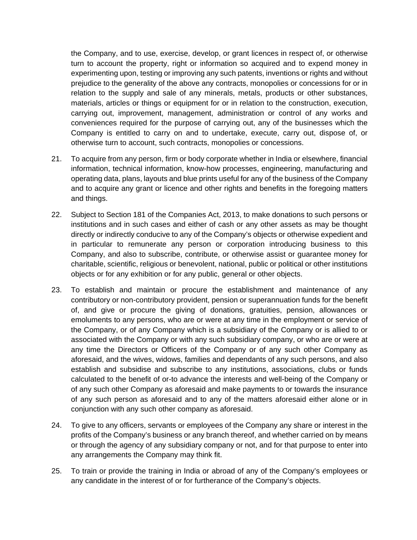the Company, and to use, exercise, develop, or grant licences in respect of, or otherwise turn to account the property, right or information so acquired and to expend money in experimenting upon, testing or improving any such patents, inventions or rights and without prejudice to the generality of the above any contracts, monopolies or concessions for or in relation to the supply and sale of any minerals, metals, products or other substances, materials, articles or things or equipment for or in relation to the construction, execution, carrying out, improvement, management, administration or control of any works and conveniences required for the purpose of carrying out, any of the businesses which the Company is entitled to carry on and to undertake, execute, carry out, dispose of, or otherwise turn to account, such contracts, monopolies or concessions.

- 21. To acquire from any person, firm or body corporate whether in India or elsewhere, financial information, technical information, know-how processes, engineering, manufacturing and operating data, plans, layouts and blue prints useful for any of the business of the Company and to acquire any grant or licence and other rights and benefits in the foregoing matters and things.
- 22. Subject to Section 181 of the Companies Act, 2013, to make donations to such persons or institutions and in such cases and either of cash or any other assets as may be thought directly or indirectly conducive to any of the Company's objects or otherwise expedient and in particular to remunerate any person or corporation introducing business to this Company, and also to subscribe, contribute, or otherwise assist or guarantee money for charitable, scientific, religious or benevolent, national, public or political or other institutions objects or for any exhibition or for any public, general or other objects.
- 23. To establish and maintain or procure the establishment and maintenance of any contributory or non-contributory provident, pension or superannuation funds for the benefit of, and give or procure the giving of donations, gratuities, pension, allowances or emoluments to any persons, who are or were at any time in the employment or service of the Company, or of any Company which is a subsidiary of the Company or is allied to or associated with the Company or with any such subsidiary company, or who are or were at any time the Directors or Officers of the Company or of any such other Company as aforesaid, and the wives, widows, families and dependants of any such persons, and also establish and subsidise and subscribe to any institutions, associations, clubs or funds calculated to the benefit of or-to advance the interests and well-being of the Company or of any such other Company as aforesaid and make payments to or towards the insurance of any such person as aforesaid and to any of the matters aforesaid either alone or in conjunction with any such other company as aforesaid.
- 24. To give to any officers, servants or employees of the Company any share or interest in the profits of the Company's business or any branch thereof, and whether carried on by means or through the agency of any subsidiary company or not, and for that purpose to enter into any arrangements the Company may think fit.
- 25. To train or provide the training in India or abroad of any of the Company's employees or any candidate in the interest of or for furtherance of the Company's objects.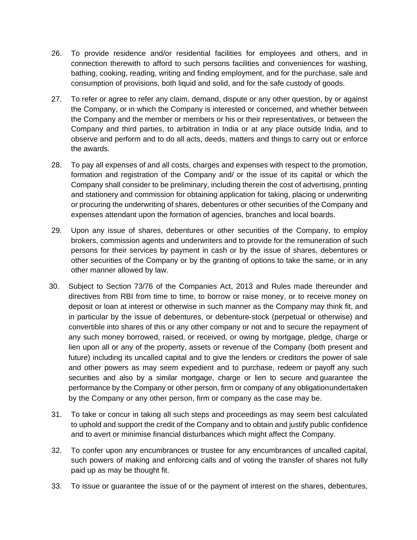- 26. To provide residence and/or residential facilities for employees and others, and in connection therewith to afford to such persons facilities and conveniences for washing, bathing, cooking, reading, writing and finding employment, and for the purchase, sale and consumption of provisions, both liquid and solid, and for the safe custody of goods.
- 27. To refer or agree to refer any claim, demand, dispute or any other question, by or against the Company, or in which the Company is interested or concerned, and whether between the Company and the member or members or his or their representatives, or between the Company and third parties, to arbitration in India or at any place outside India, and to observe and perform and to do all acts, deeds, matters and things to carry out or enforce the awards.
- 28. To pay all expenses of and all costs, charges and expenses with respect to the promotion, formation and registration of the Company and/ or the issue of its capital or which the Company shall consider to be preliminary, including therein the cost of advertising, printing and stationery and commission for obtaining application for taking, placing or underwriting or procuring the underwriting of shares, debentures or other securities of the Company and expenses attendant upon the formation of agencies, branches and local boards.
- 29. Upon any issue of shares, debentures or other securities of the Company, to employ brokers, commission agents and underwriters and to provide for the remuneration of such persons for their services by payment in cash or by the issue of shares, debentures or other securities of the Company or by the granting of options to take the same, or in any other manner allowed by law.
- 30. Subject to Section 73/76 of the Companies Act, 2013 and Rules made thereunder and directives from RBI from time to time, to borrow or raise money, or to receive money on deposit or loan at interest or otherwise in such manner as the Company may think fit, and in particular by the issue of debentures, or debenture-stock (perpetual or otherwise) and convertible into shares of this or any other company or not and to secure the repayment of any such money borrowed, raised, or received, or owing by mortgage, pledge, charge or lien upon all or any of the property, assets or revenue of the Company (both present and future) including its uncalled capital and to give the lenders or creditors the power of sale and other powers as may seem expedient and to purchase, redeem or payoff any such securities and also by a similar mortgage, charge or lien to secure and guarantee the performance by the Company or other person, firm or company of any obligationundertaken by the Company or any other person, firm or company as the case may be.
- 31. To take or concur in taking all such steps and proceedings as may seem best calculated to uphold and support the credit of the Company and to obtain and justify public confidence and to avert or minimise financial disturbances which might affect the Company.
- 32. To confer upon any encumbrances or trustee for any encumbrances of uncalled capital, such powers of making and enforcing calls and of voting the transfer of shares not fully paid up as may be thought fit.
- 33. To issue or guarantee the issue of or the payment of interest on the shares, debentures,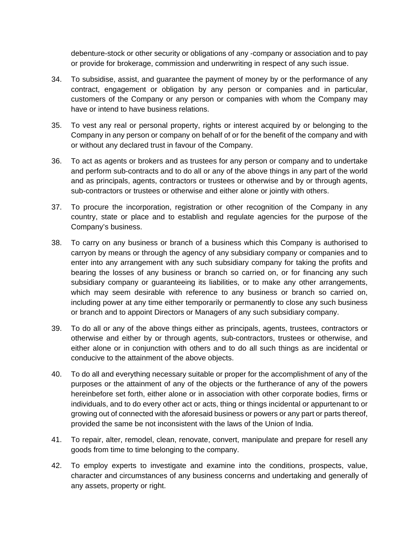debenture-stock or other security or obligations of any -company or association and to pay or provide for brokerage, commission and underwriting in respect of any such issue.

- 34. To subsidise, assist, and guarantee the payment of money by or the performance of any contract, engagement or obligation by any person or companies and in particular, customers of the Company or any person or companies with whom the Company may have or intend to have business relations.
- 35. To vest any real or personal property, rights or interest acquired by or belonging to the Company in any person or company on behalf of or for the benefit of the company and with or without any declared trust in favour of the Company.
- 36. To act as agents or brokers and as trustees for any person or company and to undertake and perform sub-contracts and to do all or any of the above things in any part of the world and as principals, agents, contractors or trustees or otherwise and by or through agents, sub-contractors or trustees or otherwise and either alone or jointly with others.
- 37. To procure the incorporation, registration or other recognition of the Company in any country, state or place and to establish and regulate agencies for the purpose of the Company's business.
- 38. To carry on any business or branch of a business which this Company is authorised to carryon by means or through the agency of any subsidiary company or companies and to enter into any arrangement with any such subsidiary company for taking the profits and bearing the losses of any business or branch so carried on, or for financing any such subsidiary company or guaranteeing its liabilities, or to make any other arrangements, which may seem desirable with reference to any business or branch so carried on, including power at any time either temporarily or permanently to close any such business or branch and to appoint Directors or Managers of any such subsidiary company.
- 39. To do all or any of the above things either as principals, agents, trustees, contractors or otherwise and either by or through agents, sub-contractors, trustees or otherwise, and either alone or in conjunction with others and to do all such things as are incidental or conducive to the attainment of the above objects.
- 40. To do all and everything necessary suitable or proper for the accomplishment of any of the purposes or the attainment of any of the objects or the furtherance of any of the powers hereinbefore set forth, either alone or in association with other corporate bodies, firms or individuals, and to do every other act or acts, thing or things incidental or appurtenant to or growing out of connected with the aforesaid business or powers or any part or parts thereof, provided the same be not inconsistent with the laws of the Union of India.
- 41. To repair, alter, remodel, clean, renovate, convert, manipulate and prepare for resell any goods from time to time belonging to the company.
- 42. To employ experts to investigate and examine into the conditions, prospects, value, character and circumstances of any business concerns and undertaking and generally of any assets, property or right.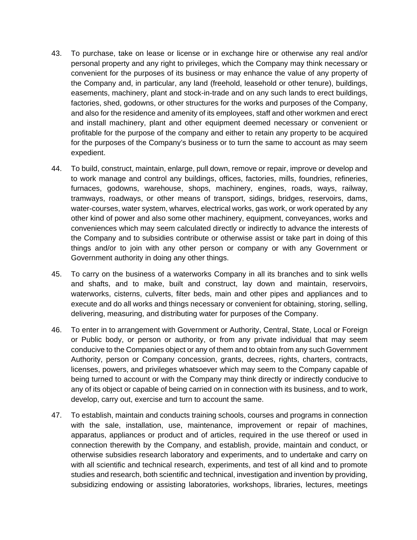- 43. To purchase, take on lease or license or in exchange hire or otherwise any real and/or personal property and any right to privileges, which the Company may think necessary or convenient for the purposes of its business or may enhance the value of any property of the Company and, in particular, any land (freehold, leasehold or other tenure), buildings, easements, machinery, plant and stock-in-trade and on any such lands to erect buildings, factories, shed, godowns, or other structures for the works and purposes of the Company, and also for the residence and amenity of its employees, staff and other workmen and erect and install machinery, plant and other equipment deemed necessary or convenient or profitable for the purpose of the company and either to retain any property to be acquired for the purposes of the Company's business or to turn the same to account as may seem expedient.
- 44. To build, construct, maintain, enlarge, pull down, remove or repair, improve or develop and to work manage and control any buildings, offices, factories, mills, foundries, refineries, furnaces, godowns, warehouse, shops, machinery, engines, roads, ways, railway, tramways, roadways, or other means of transport, sidings, bridges, reservoirs, dams, water-courses, water system, wharves, electrical works, gas work, or work operated by any other kind of power and also some other machinery, equipment, conveyances, works and conveniences which may seem calculated directly or indirectly to advance the interests of the Company and to subsidies contribute or otherwise assist or take part in doing of this things and/or to join with any other person or company or with any Government or Government authority in doing any other things.
- 45. To carry on the business of a waterworks Company in all its branches and to sink wells and shafts, and to make, built and construct, lay down and maintain, reservoirs, waterworks, cisterns, culverts, filter beds, main and other pipes and appliances and to execute and do all works and things necessary or convenient for obtaining, storing, selling, delivering, measuring, and distributing water for purposes of the Company.
- 46. To enter in to arrangement with Government or Authority, Central, State, Local or Foreign or Public body, or person or authority, or from any private individual that may seem conducive to the Companies object or any of them and to obtain from any such Government Authority, person or Company concession, grants, decrees, rights, charters, contracts, licenses, powers, and privileges whatsoever which may seem to the Company capable of being turned to account or with the Company may think directly or indirectly conducive to any of its object or capable of being carried on in connection with its business, and to work, develop, carry out, exercise and turn to account the same.
- 47. To establish, maintain and conducts training schools, courses and programs in connection with the sale, installation, use, maintenance, improvement or repair of machines, apparatus, appliances or product and of articles, required in the use thereof or used in connection therewith by the Company, and establish, provide, maintain and conduct, or otherwise subsidies research laboratory and experiments, and to undertake and carry on with all scientific and technical research, experiments, and test of all kind and to promote studies and research, both scientific and technical, investigation and invention by providing, subsidizing endowing or assisting laboratories, workshops, libraries, lectures, meetings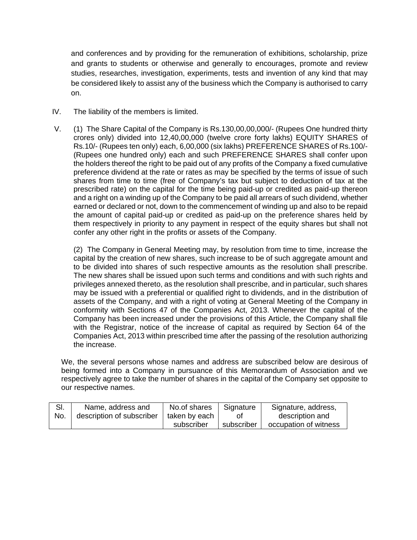and conferences and by providing for the remuneration of exhibitions, scholarship, prize and grants to students or otherwise and generally to encourages, promote and review studies, researches, investigation, experiments, tests and invention of any kind that may be considered likely to assist any of the business which the Company is authorised to carry on.

- IV. The liability of the members is limited.
- V. (1) The Share Capital of the Company is Rs.130,00,00,000/- (Rupees One hundred thirty crores only) divided into 12,40,00,000 (twelve crore forty lakhs) EQUITY SHARES of Rs.10/- (Rupees ten only) each, 6,00,000 (six lakhs) PREFERENCE SHARES of Rs.100/- (Rupees one hundred only) each and such PREFERENCE SHARES shall confer upon the holders thereof the right to be paid out of any profits of the Company a fixed cumulative preference dividend at the rate or rates as may be specified by the terms of issue of such shares from time to time (free of Company's tax but subject to deduction of tax at the prescribed rate) on the capital for the time being paid-up or credited as paid-up thereon and a right on a winding up of the Company to be paid all arrears of such dividend, whether earned or declared or not, down to the commencement of winding up and also to be repaid the amount of capital paid-up or credited as paid-up on the preference shares held by them respectively in priority to any payment in respect of the equity shares but shall not confer any other right in the profits or assets of the Company.

(2) The Company in General Meeting may, by resolution from time to time, increase the capital by the creation of new shares, such increase to be of such aggregate amount and to be divided into shares of such respective amounts as the resolution shall prescribe. The new shares shall be issued upon such terms and conditions and with such rights and privileges annexed thereto, as the resolution shall prescribe, and in particular, such shares may be issued with a preferential or qualified right to dividends, and in the distribution of assets of the Company, and with a right of voting at General Meeting of the Company in conformity with Sections 47 of the Companies Act, 2013. Whenever the capital of the Company has been increased under the provisions of this Article, the Company shall file with the Registrar, notice of the increase of capital as required by Section 64 of the Companies Act, 2013 within prescribed time after the passing of the resolution authorizing the increase.

We, the several persons whose names and address are subscribed below are desirous of being formed into a Company in pursuance of this Memorandum of Association and we respectively agree to take the number of shares in the capital of the Company set opposite to our respective names.

| SI. | Name, address and         | No.of shares  | Signature  | Signature, address,   |
|-----|---------------------------|---------------|------------|-----------------------|
| No. | description of subscriber | taken by each | Ωt         | description and       |
|     |                           | subscriber    | subscriber | occupation of witness |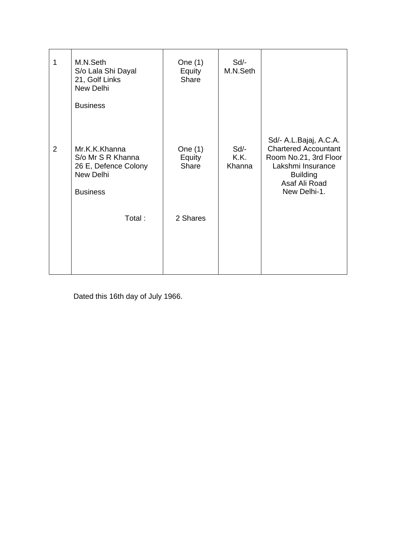| 1              | M.N.Seth<br>S/o Lala Shi Dayal<br>21, Golf Links<br>New Delhi                              | One (1)<br>Equity<br>Share | Sd/-<br>M.N.Seth       |                                                                                                                                                         |
|----------------|--------------------------------------------------------------------------------------------|----------------------------|------------------------|---------------------------------------------------------------------------------------------------------------------------------------------------------|
|                | <b>Business</b>                                                                            |                            |                        |                                                                                                                                                         |
| $\overline{2}$ | Mr.K.K.Khanna<br>S/o Mr S R Khanna<br>26 E, Defence Colony<br>New Delhi<br><b>Business</b> | One (1)<br>Equity<br>Share | Sd/-<br>K.K.<br>Khanna | Sd/- A.L.Bajaj, A.C.A.<br><b>Chartered Accountant</b><br>Room No.21, 3rd Floor<br>Lakshmi Insurance<br><b>Building</b><br>Asaf Ali Road<br>New Delhi-1. |
|                | Total:                                                                                     | 2 Shares                   |                        |                                                                                                                                                         |
|                |                                                                                            |                            |                        |                                                                                                                                                         |

Dated this 16th day of July 1966.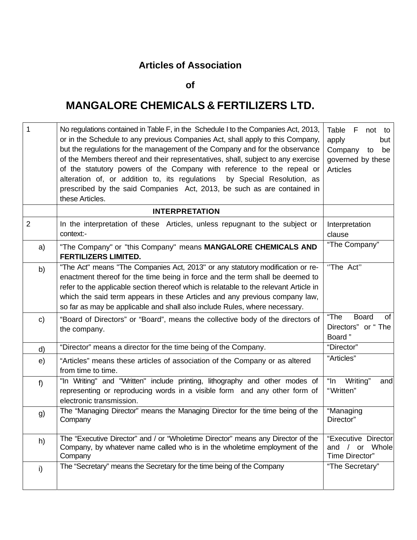## **Articles of Association**

**of**

## **MANGALORE CHEMICALS & FERTILIZERS LTD.**

| 1              | No regulations contained in Table F, in the Schedule I to the Companies Act, 2013,<br>or in the Schedule to any previous Companies Act, shall apply to this Company,<br>but the regulations for the management of the Company and for the observance<br>of the Members thereof and their representatives, shall, subject to any exercise<br>of the statutory powers of the Company with reference to the repeal or<br>alteration of, or addition to, its regulations by Special Resolution, as<br>prescribed by the said Companies Act, 2013, be such as are contained in<br>these Articles. | Table F<br>not to<br>apply<br>but<br>Company<br>be<br>to<br>governed by these<br>Articles |
|----------------|----------------------------------------------------------------------------------------------------------------------------------------------------------------------------------------------------------------------------------------------------------------------------------------------------------------------------------------------------------------------------------------------------------------------------------------------------------------------------------------------------------------------------------------------------------------------------------------------|-------------------------------------------------------------------------------------------|
|                | <b>INTERPRETATION</b>                                                                                                                                                                                                                                                                                                                                                                                                                                                                                                                                                                        |                                                                                           |
| $\overline{2}$ | In the interpretation of these Articles, unless repugnant to the subject or<br>context:-                                                                                                                                                                                                                                                                                                                                                                                                                                                                                                     | Interpretation<br>clause                                                                  |
| a)             | "The Company" or "this Company" means MANGALORE CHEMICALS AND<br><b>FERTILIZERS LIMITED.</b>                                                                                                                                                                                                                                                                                                                                                                                                                                                                                                 | "The Company"                                                                             |
| b)             | "The Act" means "The Companies Act, 2013" or any statutory modification or re-<br>enactment thereof for the time being in force and the term shall be deemed to<br>refer to the applicable section thereof which is relatable to the relevant Article in<br>which the said term appears in these Articles and any previous company law,<br>so far as may be applicable and shall also include Rules, where necessary.                                                                                                                                                                        | "The Act"                                                                                 |
| $\mathsf{c}$   | "Board of Directors" or "Board", means the collective body of the directors of<br>the company.                                                                                                                                                                                                                                                                                                                                                                                                                                                                                               | "The<br><b>Board</b><br>of<br>Directors" or "The<br>Board"                                |
| d)             | "Director" means a director for the time being of the Company.                                                                                                                                                                                                                                                                                                                                                                                                                                                                                                                               | "Director"                                                                                |
| e)             | "Articles" means these articles of association of the Company or as altered<br>from time to time.                                                                                                                                                                                                                                                                                                                                                                                                                                                                                            | "Articles"                                                                                |
| f              | "In Writing" and "Written" include printing, lithography and other modes of<br>representing or reproducing words in a visible form and any other form of<br>electronic transmission.                                                                                                                                                                                                                                                                                                                                                                                                         | "In<br>Writing"<br>and<br>"Written"                                                       |
| g)             | The "Managing Director" means the Managing Director for the time being of the<br>Company                                                                                                                                                                                                                                                                                                                                                                                                                                                                                                     | "Managing<br>Director"                                                                    |
| h)             | The "Executive Director" and / or "Wholetime Director" means any Director of the<br>Company, by whatever name called who is in the wholetime employment of the<br>Company                                                                                                                                                                                                                                                                                                                                                                                                                    | "Executive Director<br>and<br>or Whole<br>Time Director"                                  |
| i)             | The "Secretary" means the Secretary for the time being of the Company                                                                                                                                                                                                                                                                                                                                                                                                                                                                                                                        | "The Secretary"                                                                           |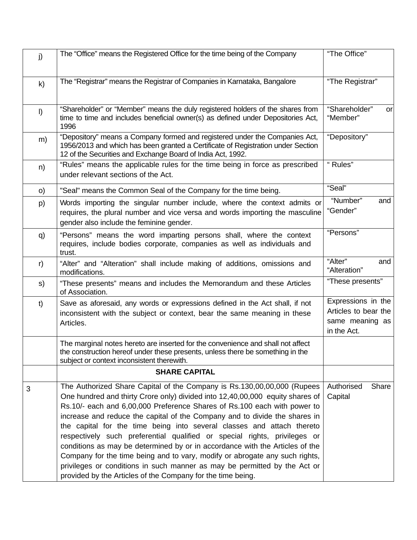| j)           | The "Office" means the Registered Office for the time being of the Company                                                                                                                                                                                                                                                                                                                                                                                                                                                                                                                                                                                                                                                                                                           | "The Office"                                                                 |
|--------------|--------------------------------------------------------------------------------------------------------------------------------------------------------------------------------------------------------------------------------------------------------------------------------------------------------------------------------------------------------------------------------------------------------------------------------------------------------------------------------------------------------------------------------------------------------------------------------------------------------------------------------------------------------------------------------------------------------------------------------------------------------------------------------------|------------------------------------------------------------------------------|
| $\mathsf{k}$ | The "Registrar" means the Registrar of Companies in Karnataka, Bangalore                                                                                                                                                                                                                                                                                                                                                                                                                                                                                                                                                                                                                                                                                                             | "The Registrar"                                                              |
| $\vert$      | "Shareholder" or "Member" means the duly registered holders of the shares from<br>time to time and includes beneficial owner(s) as defined under Depositories Act,<br>1996                                                                                                                                                                                                                                                                                                                                                                                                                                                                                                                                                                                                           | "Shareholder"<br>or<br>"Member"                                              |
| m)           | "Depository" means a Company formed and registered under the Companies Act,<br>1956/2013 and which has been granted a Certificate of Registration under Section<br>12 of the Securities and Exchange Board of India Act, 1992.                                                                                                                                                                                                                                                                                                                                                                                                                                                                                                                                                       | "Depository"                                                                 |
| n)           | "Rules" means the applicable rules for the time being in force as prescribed<br>under relevant sections of the Act.                                                                                                                                                                                                                                                                                                                                                                                                                                                                                                                                                                                                                                                                  | "Rules"                                                                      |
| O)           | "Seal" means the Common Seal of the Company for the time being.                                                                                                                                                                                                                                                                                                                                                                                                                                                                                                                                                                                                                                                                                                                      | "Seal"                                                                       |
| p)           | Words importing the singular number include, where the context admits or<br>requires, the plural number and vice versa and words importing the masculine<br>gender also include the feminine gender.                                                                                                                                                                                                                                                                                                                                                                                                                                                                                                                                                                                 | "Number"<br>and<br>"Gender"                                                  |
| q)           | "Persons" means the word imparting persons shall, where the context<br>requires, include bodies corporate, companies as well as individuals and<br>trust.                                                                                                                                                                                                                                                                                                                                                                                                                                                                                                                                                                                                                            | "Persons"                                                                    |
| r)           | "Alter" and "Alteration" shall include making of additions, omissions and<br>modifications.                                                                                                                                                                                                                                                                                                                                                                                                                                                                                                                                                                                                                                                                                          | "Alter"<br>and<br>"Alteration"                                               |
| s)           | "These presents" means and includes the Memorandum and these Articles<br>of Association.                                                                                                                                                                                                                                                                                                                                                                                                                                                                                                                                                                                                                                                                                             | "These presents"                                                             |
| t)           | Save as aforesaid, any words or expressions defined in the Act shall, if not<br>inconsistent with the subject or context, bear the same meaning in these<br>Articles.                                                                                                                                                                                                                                                                                                                                                                                                                                                                                                                                                                                                                | Expressions in the<br>Articles to bear the<br>same meaning as<br>in the Act. |
|              | The marginal notes hereto are inserted for the convenience and shall not affect<br>the construction hereof under these presents, unless there be something in the<br>subject or context inconsistent therewith.                                                                                                                                                                                                                                                                                                                                                                                                                                                                                                                                                                      |                                                                              |
|              | <b>SHARE CAPITAL</b>                                                                                                                                                                                                                                                                                                                                                                                                                                                                                                                                                                                                                                                                                                                                                                 |                                                                              |
| 3            | The Authorized Share Capital of the Company is Rs.130,00,00,000 (Rupees<br>One hundred and thirty Crore only) divided into 12,40,00,000 equity shares of<br>Rs.10/- each and 6,00,000 Preference Shares of Rs.100 each with power to<br>increase and reduce the capital of the Company and to divide the shares in<br>the capital for the time being into several classes and attach thereto<br>respectively such preferential qualified or special rights, privileges or<br>conditions as may be determined by or in accordance with the Articles of the<br>Company for the time being and to vary, modify or abrogate any such rights,<br>privileges or conditions in such manner as may be permitted by the Act or<br>provided by the Articles of the Company for the time being. | Authorised<br>Share<br>Capital                                               |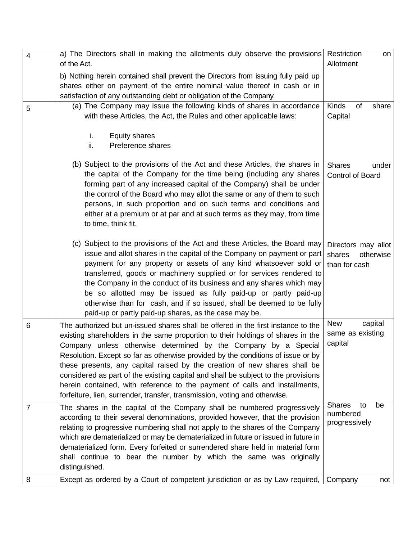| $\overline{4}$ | a) The Directors shall in making the allotments duly observe the provisions Restriction<br>of the Act.                                                                                                                                                                                                                                                                                                                                                                                                                                                                                                                                                    | on<br>Allotment                                             |
|----------------|-----------------------------------------------------------------------------------------------------------------------------------------------------------------------------------------------------------------------------------------------------------------------------------------------------------------------------------------------------------------------------------------------------------------------------------------------------------------------------------------------------------------------------------------------------------------------------------------------------------------------------------------------------------|-------------------------------------------------------------|
|                | b) Nothing herein contained shall prevent the Directors from issuing fully paid up<br>shares either on payment of the entire nominal value thereof in cash or in<br>satisfaction of any outstanding debt or obligation of the Company.                                                                                                                                                                                                                                                                                                                                                                                                                    |                                                             |
| 5              | (a) The Company may issue the following kinds of shares in accordance<br>with these Articles, the Act, the Rules and other applicable laws:                                                                                                                                                                                                                                                                                                                                                                                                                                                                                                               | <b>Kinds</b><br>of<br>share<br>Capital                      |
|                | <b>Equity shares</b><br>i.<br>ii.<br>Preference shares                                                                                                                                                                                                                                                                                                                                                                                                                                                                                                                                                                                                    |                                                             |
|                | (b) Subject to the provisions of the Act and these Articles, the shares in<br>the capital of the Company for the time being (including any shares<br>forming part of any increased capital of the Company) shall be under<br>the control of the Board who may allot the same or any of them to such<br>persons, in such proportion and on such terms and conditions and<br>either at a premium or at par and at such terms as they may, from time<br>to time, think fit.                                                                                                                                                                                  | <b>Shares</b><br>under<br>Control of Board                  |
|                | (c) Subject to the provisions of the Act and these Articles, the Board may<br>issue and allot shares in the capital of the Company on payment or part<br>payment for any property or assets of any kind whatsoever sold or<br>transferred, goods or machinery supplied or for services rendered to<br>the Company in the conduct of its business and any shares which may<br>be so allotted may be issued as fully paid-up or partly paid-up<br>otherwise than for cash, and if so issued, shall be deemed to be fully<br>paid-up or partly paid-up shares, as the case may be.                                                                           | Directors may allot<br>shares<br>otherwise<br>than for cash |
| 6              | The authorized but un-issued shares shall be offered in the first instance to the<br>existing shareholders in the same proportion to their holdings of shares in the<br>Company unless otherwise determined by the Company by a Special<br>Resolution. Except so far as otherwise provided by the conditions of issue or by<br>these presents, any capital raised by the creation of new shares shall be<br>considered as part of the existing capital and shall be subject to the provisions<br>herein contained, with reference to the payment of calls and installments,<br>forfeiture, lien, surrender, transfer, transmission, voting and otherwise. | capital<br><b>New</b><br>same as existing<br>capital        |
| $\overline{7}$ | The shares in the capital of the Company shall be numbered progressively<br>according to their several denominations, provided however, that the provision<br>relating to progressive numbering shall not apply to the shares of the Company<br>which are dematerialized or may be dematerialized in future or issued in future in<br>dematerialized form. Every forfeited or surrendered share held in material form<br>shall continue to bear the number by which the same was originally<br>distinguished.                                                                                                                                             | <b>Shares</b><br>to<br>be<br>numbered<br>progressively      |
| 8              | Except as ordered by a Court of competent jurisdiction or as by Law required,                                                                                                                                                                                                                                                                                                                                                                                                                                                                                                                                                                             | Company<br>not                                              |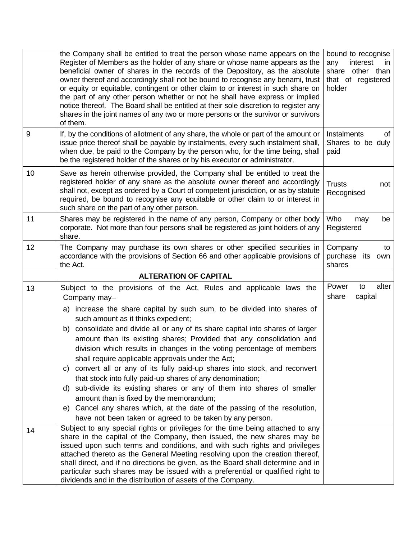|    | the Company shall be entitled to treat the person whose name appears on the<br>Register of Members as the holder of any share or whose name appears as the<br>beneficial owner of shares in the records of the Depository, as the absolute<br>owner thereof and accordingly shall not be bound to recognise any benami, trust<br>or equity or equitable, contingent or other claim to or interest in such share on<br>the part of any other person whether or not he shall have express or implied<br>notice thereof. The Board shall be entitled at their sole discretion to register any<br>shares in the joint names of any two or more persons or the survivor or survivors<br>of them.                                                                                                                                                            | bound to recognise<br>interest<br>any<br>in<br>share other than<br>that of registered<br>holder |
|----|--------------------------------------------------------------------------------------------------------------------------------------------------------------------------------------------------------------------------------------------------------------------------------------------------------------------------------------------------------------------------------------------------------------------------------------------------------------------------------------------------------------------------------------------------------------------------------------------------------------------------------------------------------------------------------------------------------------------------------------------------------------------------------------------------------------------------------------------------------|-------------------------------------------------------------------------------------------------|
| 9  | If, by the conditions of allotment of any share, the whole or part of the amount or<br>issue price thereof shall be payable by instalments, every such instalment shall,<br>when due, be paid to the Company by the person who, for the time being, shall<br>be the registered holder of the shares or by his executor or administrator.                                                                                                                                                                                                                                                                                                                                                                                                                                                                                                               | Instalments<br>of<br>Shares to be duly<br>paid                                                  |
| 10 | Save as herein otherwise provided, the Company shall be entitled to treat the<br>registered holder of any share as the absolute owner thereof and accordingly<br>shall not, except as ordered by a Court of competent jurisdiction, or as by statute<br>required, be bound to recognise any equitable or other claim to or interest in<br>such share on the part of any other person.                                                                                                                                                                                                                                                                                                                                                                                                                                                                  | <b>Trusts</b><br>not<br>Recognised                                                              |
| 11 | Shares may be registered in the name of any person, Company or other body<br>corporate. Not more than four persons shall be registered as joint holders of any<br>share.                                                                                                                                                                                                                                                                                                                                                                                                                                                                                                                                                                                                                                                                               | Who<br>be<br>may<br>Registered                                                                  |
| 12 | The Company may purchase its own shares or other specified securities in<br>accordance with the provisions of Section 66 and other applicable provisions of<br>the Act.                                                                                                                                                                                                                                                                                                                                                                                                                                                                                                                                                                                                                                                                                | Company<br>to<br>purchase its<br>own<br>shares                                                  |
|    |                                                                                                                                                                                                                                                                                                                                                                                                                                                                                                                                                                                                                                                                                                                                                                                                                                                        |                                                                                                 |
|    | <b>ALTERATION OF CAPITAL</b>                                                                                                                                                                                                                                                                                                                                                                                                                                                                                                                                                                                                                                                                                                                                                                                                                           |                                                                                                 |
| 13 | Subject to the provisions of the Act, Rules and applicable laws the<br>Company may-<br>a) increase the share capital by such sum, to be divided into shares of<br>such amount as it thinks expedient;<br>b) consolidate and divide all or any of its share capital into shares of larger<br>amount than its existing shares; Provided that any consolidation and<br>division which results in changes in the voting percentage of members<br>shall require applicable approvals under the Act;<br>convert all or any of its fully paid-up shares into stock, and reconvert<br>C)<br>that stock into fully paid-up shares of any denomination;<br>sub-divide its existing shares or any of them into shares of smaller<br>d)<br>amount than is fixed by the memorandum;<br>Cancel any shares which, at the date of the passing of the resolution,<br>e) | alter<br>Power<br>to<br>share<br>capital                                                        |
| 14 | have not been taken or agreed to be taken by any person.<br>Subject to any special rights or privileges for the time being attached to any                                                                                                                                                                                                                                                                                                                                                                                                                                                                                                                                                                                                                                                                                                             |                                                                                                 |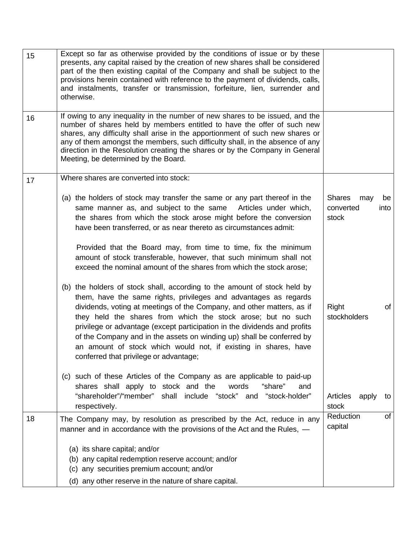| 15 | Except so far as otherwise provided by the conditions of issue or by these<br>presents, any capital raised by the creation of new shares shall be considered<br>part of the then existing capital of the Company and shall be subject to the<br>provisions herein contained with reference to the payment of dividends, calls,<br>and instalments, transfer or transmission, forfeiture, lien, surrender and<br>otherwise.                                                                                                                                |                                            |            |
|----|-----------------------------------------------------------------------------------------------------------------------------------------------------------------------------------------------------------------------------------------------------------------------------------------------------------------------------------------------------------------------------------------------------------------------------------------------------------------------------------------------------------------------------------------------------------|--------------------------------------------|------------|
| 16 | If owing to any inequality in the number of new shares to be issued, and the<br>number of shares held by members entitled to have the offer of such new<br>shares, any difficulty shall arise in the apportionment of such new shares or<br>any of them amongst the members, such difficulty shall, in the absence of any<br>direction in the Resolution creating the shares or by the Company in General<br>Meeting, be determined by the Board.                                                                                                         |                                            |            |
| 17 | Where shares are converted into stock:                                                                                                                                                                                                                                                                                                                                                                                                                                                                                                                    |                                            |            |
|    | (a) the holders of stock may transfer the same or any part thereof in the<br>same manner as, and subject to the same<br>Articles under which,<br>the shares from which the stock arose might before the conversion<br>have been transferred, or as near thereto as circumstances admit:                                                                                                                                                                                                                                                                   | <b>Shares</b><br>may<br>converted<br>stock | be<br>into |
|    | Provided that the Board may, from time to time, fix the minimum<br>amount of stock transferable, however, that such minimum shall not<br>exceed the nominal amount of the shares from which the stock arose;                                                                                                                                                                                                                                                                                                                                              |                                            |            |
|    | (b) the holders of stock shall, according to the amount of stock held by<br>them, have the same rights, privileges and advantages as regards<br>dividends, voting at meetings of the Company, and other matters, as if<br>they held the shares from which the stock arose; but no such<br>privilege or advantage (except participation in the dividends and profits<br>of the Company and in the assets on winding up) shall be conferred by<br>an amount of stock which would not, if existing in shares, have<br>conferred that privilege or advantage; | <b>Right</b><br>stockholders               | of         |
|    | (c) such of these Articles of the Company as are applicable to paid-up<br>shares shall apply to stock and the<br>words<br>"share"<br>and<br>"shareholder"/"member" shall include "stock" and<br>"stock-holder"<br>respectively.                                                                                                                                                                                                                                                                                                                           | Articles<br>apply<br>stock                 | to         |
| 18 | The Company may, by resolution as prescribed by the Act, reduce in any<br>manner and in accordance with the provisions of the Act and the Rules, -                                                                                                                                                                                                                                                                                                                                                                                                        | Reduction<br>capital                       | of         |
|    | (a) its share capital; and/or<br>(b) any capital redemption reserve account; and/or<br>(c) any securities premium account; and/or                                                                                                                                                                                                                                                                                                                                                                                                                         |                                            |            |
|    | (d) any other reserve in the nature of share capital.                                                                                                                                                                                                                                                                                                                                                                                                                                                                                                     |                                            |            |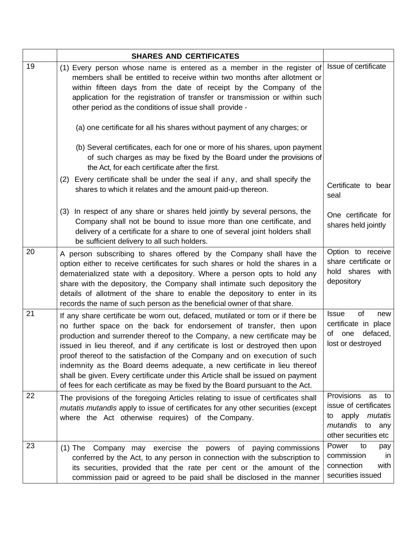|    | <b>SHARES AND CERTIFICATES</b>                                                                                                                                                                                                                                                                                                                                                                                                                                                                                                                                                                                                                     |                                                                                                                            |
|----|----------------------------------------------------------------------------------------------------------------------------------------------------------------------------------------------------------------------------------------------------------------------------------------------------------------------------------------------------------------------------------------------------------------------------------------------------------------------------------------------------------------------------------------------------------------------------------------------------------------------------------------------------|----------------------------------------------------------------------------------------------------------------------------|
| 19 | (1) Every person whose name is entered as a member in the register of<br>members shall be entitled to receive within two months after allotment or<br>within fifteen days from the date of receipt by the Company of the<br>application for the registration of transfer or transmission or within such<br>other period as the conditions of issue shall provide -                                                                                                                                                                                                                                                                                 | Issue of certificate                                                                                                       |
|    | (a) one certificate for all his shares without payment of any charges; or                                                                                                                                                                                                                                                                                                                                                                                                                                                                                                                                                                          |                                                                                                                            |
|    | (b) Several certificates, each for one or more of his shares, upon payment<br>of such charges as may be fixed by the Board under the provisions of<br>the Act, for each certificate after the first.                                                                                                                                                                                                                                                                                                                                                                                                                                               |                                                                                                                            |
|    | (2) Every certificate shall be under the seal if any, and shall specify the<br>shares to which it relates and the amount paid-up thereon.                                                                                                                                                                                                                                                                                                                                                                                                                                                                                                          | Certificate to bear<br>seal                                                                                                |
|    | (3) In respect of any share or shares held jointly by several persons, the<br>Company shall not be bound to issue more than one certificate, and<br>delivery of a certificate for a share to one of several joint holders shall<br>be sufficient delivery to all such holders.                                                                                                                                                                                                                                                                                                                                                                     | One certificate for<br>shares held jointly                                                                                 |
| 20 | A person subscribing to shares offered by the Company shall have the<br>option either to receive certificates for such shares or hold the shares in a<br>dematerialized state with a depository. Where a person opts to hold any<br>share with the depository, the Company shall intimate such depository the<br>details of allotment of the share to enable the depository to enter in its<br>records the name of such person as the beneficial owner of that share.                                                                                                                                                                              | Option to receive<br>share certificate or<br>hold shares with<br>depository                                                |
| 21 | If any share certificate be worn out, defaced, mutilated or torn or if there be<br>no further space on the back for endorsement of transfer, then upon<br>production and surrender thereof to the Company, a new certificate may be<br>issued in lieu thereof, and if any certificate is lost or destroyed then upon<br>proof thereof to the satisfaction of the Company and on execution of such<br>indemnity as the Board deems adequate, a new certificate in lieu thereof<br>shall be given. Every certificate under this Article shall be issued on payment<br>of fees for each certificate as may be fixed by the Board pursuant to the Act. | of<br><b>Issue</b><br>new<br>certificate in place<br>defaced,<br>of one<br>lost or destroyed                               |
| 22 | The provisions of the foregoing Articles relating to issue of certificates shall<br>mutatis mutandis apply to issue of certificates for any other securities (except<br>where the Act otherwise requires) of the Company.                                                                                                                                                                                                                                                                                                                                                                                                                          | Provisions<br>as<br>to<br>issue of certificates<br>apply<br>mutatis<br>to<br>mutandis<br>to<br>any<br>other securities etc |
| 23 | Company may exercise the powers of paying commissions<br>$(1)$ The<br>conferred by the Act, to any person in connection with the subscription to<br>its securities, provided that the rate per cent or the amount of the<br>commission paid or agreed to be paid shall be disclosed in the manner                                                                                                                                                                                                                                                                                                                                                  | Power<br>to<br>pay<br>commission<br>in<br>connection<br>with<br>securities issued                                          |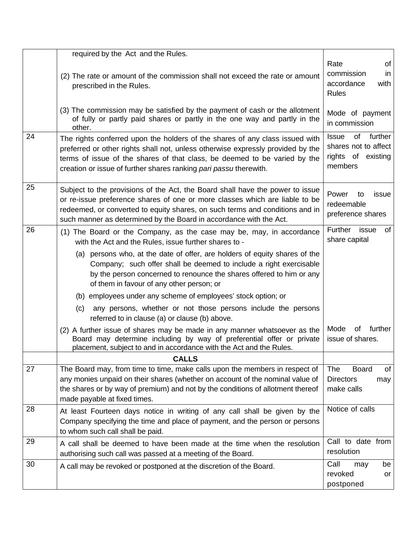|    | required by the Act and the Rules.                                                                                                                                                                                                                                                                                 |                                                                                        |
|----|--------------------------------------------------------------------------------------------------------------------------------------------------------------------------------------------------------------------------------------------------------------------------------------------------------------------|----------------------------------------------------------------------------------------|
|    | (2) The rate or amount of the commission shall not exceed the rate or amount<br>prescribed in the Rules.                                                                                                                                                                                                           | of<br>Rate<br>commission<br>in.<br>accordance<br>with<br><b>Rules</b>                  |
|    | (3) The commission may be satisfied by the payment of cash or the allotment<br>of fully or partly paid shares or partly in the one way and partly in the<br>other.                                                                                                                                                 | Mode of payment<br>in commission                                                       |
| 24 | The rights conferred upon the holders of the shares of any class issued with<br>preferred or other rights shall not, unless otherwise expressly provided by the<br>terms of issue of the shares of that class, be deemed to be varied by the<br>creation or issue of further shares ranking pari passu therewith.  | of<br>further<br><b>Issue</b><br>shares not to affect<br>rights of existing<br>members |
| 25 | Subject to the provisions of the Act, the Board shall have the power to issue<br>or re-issue preference shares of one or more classes which are liable to be<br>redeemed, or converted to equity shares, on such terms and conditions and in<br>such manner as determined by the Board in accordance with the Act. | Power<br>issue<br>to<br>redeemable<br>preference shares                                |
| 26 | (1) The Board or the Company, as the case may be, may, in accordance<br>with the Act and the Rules, issue further shares to -                                                                                                                                                                                      | Further<br>issue<br>of<br>share capital                                                |
|    | (a) persons who, at the date of offer, are holders of equity shares of the<br>Company; such offer shall be deemed to include a right exercisable<br>by the person concerned to renounce the shares offered to him or any<br>of them in favour of any other person; or                                              |                                                                                        |
|    | (b) employees under any scheme of employees' stock option; or                                                                                                                                                                                                                                                      |                                                                                        |
|    | any persons, whether or not those persons include the persons<br>(c)<br>referred to in clause (a) or clause (b) above.                                                                                                                                                                                             |                                                                                        |
|    | (2) A further issue of shares may be made in any manner whatsoever as the<br>Board may determine including by way of preferential offer or private<br>placement, subject to and in accordance with the Act and the Rules.                                                                                          | Mode<br>further<br>οf<br>issue of shares.                                              |
|    | <b>CALLS</b>                                                                                                                                                                                                                                                                                                       |                                                                                        |
| 27 | The Board may, from time to time, make calls upon the members in respect of<br>any monies unpaid on their shares (whether on account of the nominal value of<br>the shares or by way of premium) and not by the conditions of allotment thereof<br>made payable at fixed times.                                    | The<br><b>Board</b><br>of<br><b>Directors</b><br>may<br>make calls                     |
| 28 | At least Fourteen days notice in writing of any call shall be given by the<br>Company specifying the time and place of payment, and the person or persons<br>to whom such call shall be paid.                                                                                                                      | Notice of calls                                                                        |
| 29 | A call shall be deemed to have been made at the time when the resolution<br>authorising such call was passed at a meeting of the Board.                                                                                                                                                                            | Call to date from<br>resolution                                                        |
| 30 | A call may be revoked or postponed at the discretion of the Board.                                                                                                                                                                                                                                                 | Call<br>be<br>may<br>revoked<br>or<br>postponed                                        |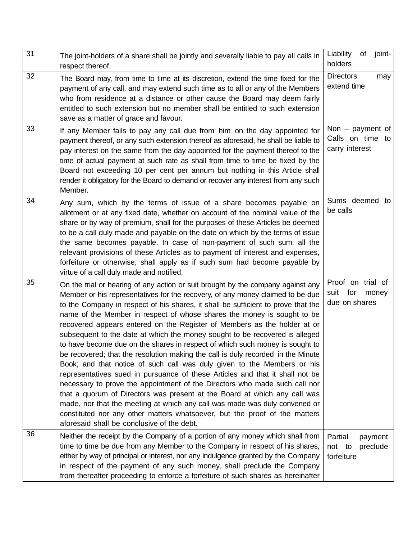| 31 | The joint-holders of a share shall be jointly and severally liable to pay all calls in<br>respect thereof.                                                                                                                                                                                                                                                                                                                                                                                                                                                                                                                                                                                                                                                                                                                                                                                                                                                                                                                                                                                                                                                                                        | Liability<br>of<br>joint-<br>holders                     |
|----|---------------------------------------------------------------------------------------------------------------------------------------------------------------------------------------------------------------------------------------------------------------------------------------------------------------------------------------------------------------------------------------------------------------------------------------------------------------------------------------------------------------------------------------------------------------------------------------------------------------------------------------------------------------------------------------------------------------------------------------------------------------------------------------------------------------------------------------------------------------------------------------------------------------------------------------------------------------------------------------------------------------------------------------------------------------------------------------------------------------------------------------------------------------------------------------------------|----------------------------------------------------------|
| 32 | The Board may, from time to time at its discretion, extend the time fixed for the<br>payment of any call, and may extend such time as to all or any of the Members<br>who from residence at a distance or other cause the Board may deem fairly<br>entitled to such extension but no member shall be entitled to such extension<br>save as a matter of grace and favour.                                                                                                                                                                                                                                                                                                                                                                                                                                                                                                                                                                                                                                                                                                                                                                                                                          | <b>Directors</b><br>may<br>extend time                   |
| 33 | If any Member fails to pay any call due from him on the day appointed for<br>payment thereof, or any such extension thereof as aforesaid, he shall be liable to<br>pay interest on the same from the day appointed for the payment thereof to the<br>time of actual payment at such rate as shall from time to time be fixed by the<br>Board not exceeding 10 per cent per annum but nothing in this Article shall<br>render it obligatory for the Board to demand or recover any interest from any such<br>Member.                                                                                                                                                                                                                                                                                                                                                                                                                                                                                                                                                                                                                                                                               | Non $-$ payment of<br>Calls on time to<br>carry interest |
| 34 | Any sum, which by the terms of issue of a share becomes payable on<br>allotment or at any fixed date, whether on account of the nominal value of the<br>share or by way of premium, shall for the purposes of these Articles be deemed<br>to be a call duly made and payable on the date on which by the terms of issue<br>the same becomes payable. In case of non-payment of such sum, all the<br>relevant provisions of these Articles as to payment of interest and expenses,<br>forfeiture or otherwise, shall apply as if such sum had become payable by<br>virtue of a call duly made and notified.                                                                                                                                                                                                                                                                                                                                                                                                                                                                                                                                                                                        | Sums deemed to<br>be calls                               |
| 35 | On the trial or hearing of any action or suit brought by the company against any<br>Member or his representatives for the recovery, of any money claimed to be due<br>to the Company in respect of his shares, it shall be sufficient to prove that the<br>name of the Member in respect of whose shares the money is sought to be<br>recovered appears entered on the Register of Members as the holder at or<br>subsequent to the date at which the money sought to be recovered is alleged<br>to have become due on the shares in respect of which such money is sought to<br>be recovered; that the resolution making the call is duly recorded in the Minute<br>Book; and that notice of such call was duly given to the Members or his<br>representatives sued in pursuance of these Articles and that it shall not be<br>necessary to prove the appointment of the Directors who made such call nor<br>that a quorum of Directors was present at the Board at which any call was<br>made, nor that the meeting at which any call was made was duly convened or<br>constituted nor any other matters whatsoever, but the proof of the matters<br>aforesaid shall be conclusive of the debt. | Proof on trial of<br>suit for<br>money<br>due on shares  |
| 36 | Neither the receipt by the Company of a portion of any money which shall from<br>time to time be due from any Member to the Company in respect of his shares,<br>either by way of principal or interest, nor any indulgence granted by the Company<br>in respect of the payment of any such money, shall preclude the Company<br>from thereafter proceeding to enforce a forfeiture of such shares as hereinafter                                                                                                                                                                                                                                                                                                                                                                                                                                                                                                                                                                                                                                                                                                                                                                                 | Partial<br>payment<br>not to<br>preclude<br>forfeiture   |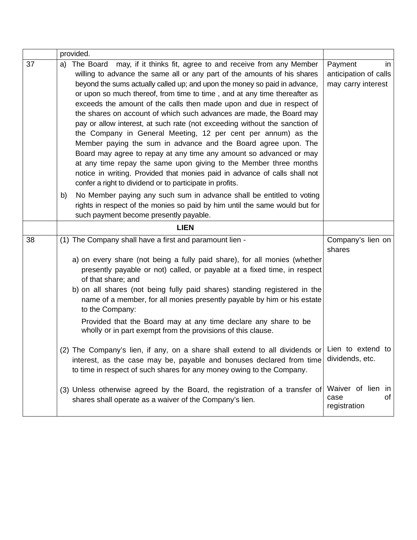|    | provided.                                                                                                                                                                                                                                                                                                                                                                                                                                                                                                                                                                                                                                                                                                                                                                                                                                                                                                                                                                |                                                              |
|----|--------------------------------------------------------------------------------------------------------------------------------------------------------------------------------------------------------------------------------------------------------------------------------------------------------------------------------------------------------------------------------------------------------------------------------------------------------------------------------------------------------------------------------------------------------------------------------------------------------------------------------------------------------------------------------------------------------------------------------------------------------------------------------------------------------------------------------------------------------------------------------------------------------------------------------------------------------------------------|--------------------------------------------------------------|
| 37 | The Board may, if it thinks fit, agree to and receive from any Member<br>a)<br>willing to advance the same all or any part of the amounts of his shares<br>beyond the sums actually called up; and upon the money so paid in advance,<br>or upon so much thereof, from time to time, and at any time thereafter as<br>exceeds the amount of the calls then made upon and due in respect of<br>the shares on account of which such advances are made, the Board may<br>pay or allow interest, at such rate (not exceeding without the sanction of<br>the Company in General Meeting, 12 per cent per annum) as the<br>Member paying the sum in advance and the Board agree upon. The<br>Board may agree to repay at any time any amount so advanced or may<br>at any time repay the same upon giving to the Member three months<br>notice in writing. Provided that monies paid in advance of calls shall not<br>confer a right to dividend or to participate in profits. | Payment<br>in<br>anticipation of calls<br>may carry interest |
|    | No Member paying any such sum in advance shall be entitled to voting<br>b)<br>rights in respect of the monies so paid by him until the same would but for<br>such payment become presently payable.                                                                                                                                                                                                                                                                                                                                                                                                                                                                                                                                                                                                                                                                                                                                                                      |                                                              |
|    | <b>LIEN</b>                                                                                                                                                                                                                                                                                                                                                                                                                                                                                                                                                                                                                                                                                                                                                                                                                                                                                                                                                              |                                                              |
| 38 | (1) The Company shall have a first and paramount lien -<br>a) on every share (not being a fully paid share), for all monies (whether<br>presently payable or not) called, or payable at a fixed time, in respect<br>of that share; and<br>b) on all shares (not being fully paid shares) standing registered in the<br>name of a member, for all monies presently payable by him or his estate<br>to the Company:<br>Provided that the Board may at any time declare any share to be<br>wholly or in part exempt from the provisions of this clause.                                                                                                                                                                                                                                                                                                                                                                                                                     | Company's lien on<br>shares                                  |
|    | (2) The Company's lien, if any, on a share shall extend to all dividends or Lien to extend to<br>interest, as the case may be, payable and bonuses declared from time<br>to time in respect of such shares for any money owing to the Company.                                                                                                                                                                                                                                                                                                                                                                                                                                                                                                                                                                                                                                                                                                                           | dividends, etc.                                              |
|    | (3) Unless otherwise agreed by the Board, the registration of a transfer of<br>shares shall operate as a waiver of the Company's lien.                                                                                                                                                                                                                                                                                                                                                                                                                                                                                                                                                                                                                                                                                                                                                                                                                                   | Waiver of lien in<br>of<br>case<br>registration              |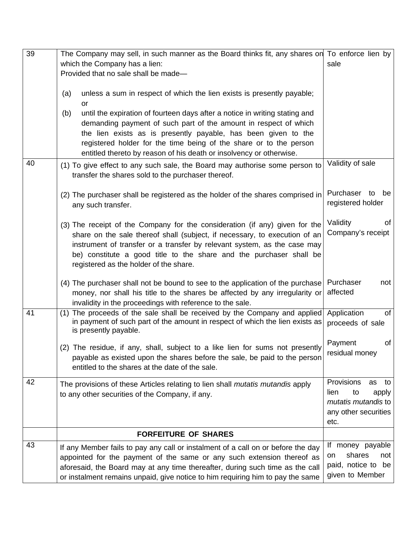| 39 | The Company may sell, in such manner as the Board thinks fit, any shares on To enforce lien by                                                                                                                                                                                                                                                                        |                                                                                                      |
|----|-----------------------------------------------------------------------------------------------------------------------------------------------------------------------------------------------------------------------------------------------------------------------------------------------------------------------------------------------------------------------|------------------------------------------------------------------------------------------------------|
|    | which the Company has a lien:                                                                                                                                                                                                                                                                                                                                         | sale                                                                                                 |
|    | Provided that no sale shall be made-                                                                                                                                                                                                                                                                                                                                  |                                                                                                      |
|    | unless a sum in respect of which the lien exists is presently payable;<br>(a)<br>or                                                                                                                                                                                                                                                                                   |                                                                                                      |
|    | until the expiration of fourteen days after a notice in writing stating and<br>(b)<br>demanding payment of such part of the amount in respect of which<br>the lien exists as is presently payable, has been given to the<br>registered holder for the time being of the share or to the person<br>entitled thereto by reason of his death or insolvency or otherwise. |                                                                                                      |
| 40 | (1) To give effect to any such sale, the Board may authorise some person to<br>transfer the shares sold to the purchaser thereof.                                                                                                                                                                                                                                     | Validity of sale                                                                                     |
|    | (2) The purchaser shall be registered as the holder of the shares comprised in<br>any such transfer.                                                                                                                                                                                                                                                                  | Purchaser to<br>be<br>registered holder                                                              |
|    | (3) The receipt of the Company for the consideration (if any) given for the<br>share on the sale thereof shall (subject, if necessary, to execution of an<br>instrument of transfer or a transfer by relevant system, as the case may<br>be) constitute a good title to the share and the purchaser shall be<br>registered as the holder of the share.                | Validity<br>οf<br>Company's receipt                                                                  |
|    | (4) The purchaser shall not be bound to see to the application of the purchase   Purchaser<br>money, nor shall his title to the shares be affected by any irregularity or<br>invalidity in the proceedings with reference to the sale.                                                                                                                                | not<br>affected                                                                                      |
| 41 | (1) The proceeds of the sale shall be received by the Company and applied<br>in payment of such part of the amount in respect of which the lien exists as<br>is presently payable.                                                                                                                                                                                    | Application<br>of<br>proceeds of sale                                                                |
|    | (2) The residue, if any, shall, subject to a like lien for sums not presently<br>payable as existed upon the shares before the sale, be paid to the person<br>entitled to the shares at the date of the sale.                                                                                                                                                         | of<br>Payment<br>residual monev                                                                      |
| 42 | The provisions of these Articles relating to lien shall <i>mutatis mutandis</i> apply<br>to any other securities of the Company, if any.                                                                                                                                                                                                                              | Provisions<br>as<br>to<br>lien<br>to<br>apply<br>mutatis mutandis to<br>any other securities<br>etc. |
|    | <b>FORFEITURE OF SHARES</b>                                                                                                                                                                                                                                                                                                                                           |                                                                                                      |
| 43 | If any Member fails to pay any call or instalment of a call on or before the day<br>appointed for the payment of the same or any such extension thereof as<br>aforesaid, the Board may at any time thereafter, during such time as the call<br>or instalment remains unpaid, give notice to him requiring him to pay the same                                         | If money payable<br>shares<br>not<br>on<br>paid, notice to be<br>given to Member                     |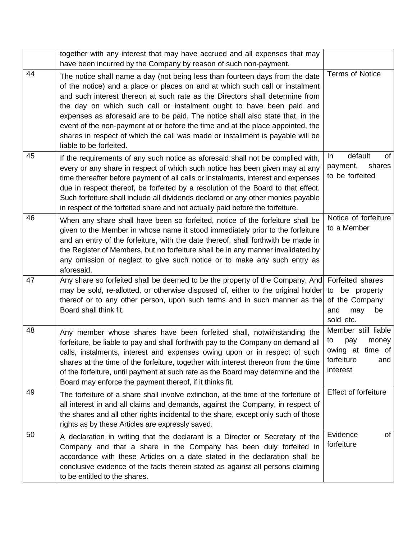|    | together with any interest that may have accrued and all expenses that may<br>have been incurred by the Company by reason of such non-payment.                                                                                                                                                                                                                                                                                                                                                                                                                                                        |                                                                                                |
|----|-------------------------------------------------------------------------------------------------------------------------------------------------------------------------------------------------------------------------------------------------------------------------------------------------------------------------------------------------------------------------------------------------------------------------------------------------------------------------------------------------------------------------------------------------------------------------------------------------------|------------------------------------------------------------------------------------------------|
| 44 | The notice shall name a day (not being less than fourteen days from the date<br>of the notice) and a place or places on and at which such call or instalment<br>and such interest thereon at such rate as the Directors shall determine from<br>the day on which such call or instalment ought to have been paid and<br>expenses as aforesaid are to be paid. The notice shall also state that, in the<br>event of the non-payment at or before the time and at the place appointed, the<br>shares in respect of which the call was made or installment is payable will be<br>liable to be forfeited. | <b>Terms of Notice</b>                                                                         |
| 45 | If the requirements of any such notice as aforesaid shall not be complied with,<br>every or any share in respect of which such notice has been given may at any<br>time thereafter before payment of all calls or instalments, interest and expenses<br>due in respect thereof, be forfeited by a resolution of the Board to that effect.<br>Such forfeiture shall include all dividends declared or any other monies payable<br>in respect of the forfeited share and not actually paid before the forfeiture.                                                                                       | default<br>of<br>In.<br>shares<br>payment,<br>to be forfeited                                  |
| 46 | When any share shall have been so forfeited, notice of the forfeiture shall be<br>given to the Member in whose name it stood immediately prior to the forfeiture<br>and an entry of the forfeiture, with the date thereof, shall forthwith be made in<br>the Register of Members, but no forfeiture shall be in any manner invalidated by<br>any omission or neglect to give such notice or to make any such entry as<br>aforesaid.                                                                                                                                                                   | Notice of forfeiture<br>to a Member                                                            |
| 47 | Any share so forfeited shall be deemed to be the property of the Company. And Forfeited shares<br>may be sold, re-allotted, or otherwise disposed of, either to the original holder to be property<br>thereof or to any other person, upon such terms and in such manner as the<br>Board shall think fit.                                                                                                                                                                                                                                                                                             | of the Company<br>and<br>may<br>be<br>sold etc.                                                |
| 48 | Any member whose shares have been forfeited shall, notwithstanding the<br>forfeiture, be liable to pay and shall forthwith pay to the Company on demand all<br>calls, instalments, interest and expenses owing upon or in respect of such<br>shares at the time of the forfeiture, together with interest thereon from the time<br>of the forfeiture, until payment at such rate as the Board may determine and the<br>Board may enforce the payment thereof, if it thinks fit.                                                                                                                       | Member still liable<br>to<br>pay<br>money<br>owing at time of<br>forfeiture<br>and<br>interest |
| 49 | The forfeiture of a share shall involve extinction, at the time of the forfeiture of<br>all interest in and all claims and demands, against the Company, in respect of<br>the shares and all other rights incidental to the share, except only such of those<br>rights as by these Articles are expressly saved.                                                                                                                                                                                                                                                                                      | Effect of forfeiture                                                                           |
| 50 | A declaration in writing that the declarant is a Director or Secretary of the<br>Company and that a share in the Company has been duly forfeited in<br>accordance with these Articles on a date stated in the declaration shall be<br>conclusive evidence of the facts therein stated as against all persons claiming<br>to be entitled to the shares.                                                                                                                                                                                                                                                | Evidence<br>0f<br>forfeiture                                                                   |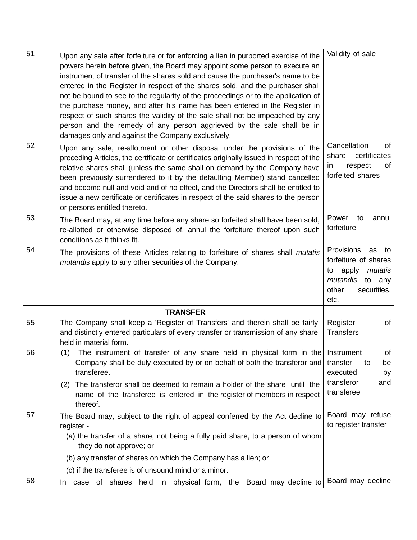| $\overline{51}$ | Upon any sale after forfeiture or for enforcing a lien in purported exercise of the<br>powers herein before given, the Board may appoint some person to execute an<br>instrument of transfer of the shares sold and cause the purchaser's name to be<br>entered in the Register in respect of the shares sold, and the purchaser shall<br>not be bound to see to the regularity of the proceedings or to the application of<br>the purchase money, and after his name has been entered in the Register in<br>respect of such shares the validity of the sale shall not be impeached by any<br>person and the remedy of any person aggrieved by the sale shall be in<br>damages only and against the Company exclusively. | Validity of sale                                                                                                               |
|-----------------|--------------------------------------------------------------------------------------------------------------------------------------------------------------------------------------------------------------------------------------------------------------------------------------------------------------------------------------------------------------------------------------------------------------------------------------------------------------------------------------------------------------------------------------------------------------------------------------------------------------------------------------------------------------------------------------------------------------------------|--------------------------------------------------------------------------------------------------------------------------------|
| 52              | Upon any sale, re-allotment or other disposal under the provisions of the<br>preceding Articles, the certificate or certificates originally issued in respect of the<br>relative shares shall (unless the same shall on demand by the Company have<br>been previously surrendered to it by the defaulting Member) stand cancelled<br>and become null and void and of no effect, and the Directors shall be entitled to<br>issue a new certificate or certificates in respect of the said shares to the person<br>or persons entitled thereto.                                                                                                                                                                            | Cancellation<br>of<br>certificates<br>share<br>respect<br>in<br>of<br>forfeited shares                                         |
| 53              | The Board may, at any time before any share so forfeited shall have been sold,<br>re-allotted or otherwise disposed of, annul the forfeiture thereof upon such<br>conditions as it thinks fit.                                                                                                                                                                                                                                                                                                                                                                                                                                                                                                                           | Power<br>annul<br>to<br>forfeiture                                                                                             |
| 54              | The provisions of these Articles relating to forfeiture of shares shall <i>mutatis</i><br>mutandis apply to any other securities of the Company.                                                                                                                                                                                                                                                                                                                                                                                                                                                                                                                                                                         | Provisions<br>as<br>to<br>forfeiture of shares<br>apply<br>mutatis<br>to<br>mutandis<br>to any<br>other<br>securities,<br>etc. |
|                 | <b>TRANSFER</b>                                                                                                                                                                                                                                                                                                                                                                                                                                                                                                                                                                                                                                                                                                          |                                                                                                                                |
| 55              | The Company shall keep a 'Register of Transfers' and therein shall be fairly<br>and distinctly entered particulars of every transfer or transmission of any share<br>held in material form.                                                                                                                                                                                                                                                                                                                                                                                                                                                                                                                              | Register<br>of<br><b>Transfers</b>                                                                                             |
| 56              | The instrument of transfer of any share held in physical form in the Instrument<br>(1)<br>Company shall be duly executed by or on behalf of both the transferor and<br>transferee.<br>The transferor shall be deemed to remain a holder of the share until the<br>(2)<br>name of the transferee is entered in the register of members in respect<br>thereof.                                                                                                                                                                                                                                                                                                                                                             | of<br>transfer<br>to<br>be<br>executed<br>by<br>transferor<br>and<br>transferee                                                |
| 57              | The Board may, subject to the right of appeal conferred by the Act decline to<br>register -<br>(a) the transfer of a share, not being a fully paid share, to a person of whom<br>they do not approve; or<br>(b) any transfer of shares on which the Company has a lien; or                                                                                                                                                                                                                                                                                                                                                                                                                                               | Board may refuse<br>to register transfer                                                                                       |
|                 | (c) if the transferee is of unsound mind or a minor.                                                                                                                                                                                                                                                                                                                                                                                                                                                                                                                                                                                                                                                                     |                                                                                                                                |
| 58              | case of shares held in physical form, the Board may decline to<br>In.                                                                                                                                                                                                                                                                                                                                                                                                                                                                                                                                                                                                                                                    | Board may decline                                                                                                              |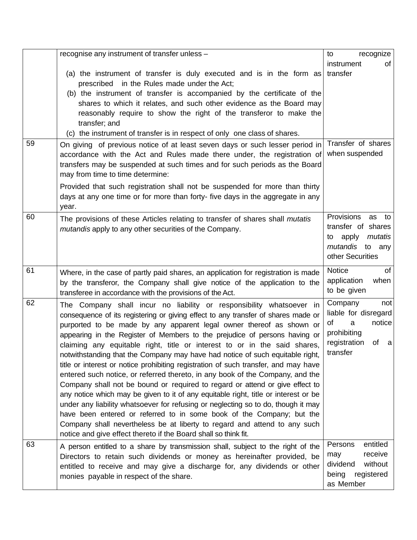|    | recognise any instrument of transfer unless -                                                                                                                       | recognize<br>to                              |
|----|---------------------------------------------------------------------------------------------------------------------------------------------------------------------|----------------------------------------------|
|    |                                                                                                                                                                     | of<br>instrument                             |
|    | (a) the instrument of transfer is duly executed and is in the form as<br>prescribed in the Rules made under the Act;                                                | transfer                                     |
|    | (b) the instrument of transfer is accompanied by the certificate of the                                                                                             |                                              |
|    | shares to which it relates, and such other evidence as the Board may                                                                                                |                                              |
|    | reasonably require to show the right of the transferor to make the<br>transfer; and                                                                                 |                                              |
|    | (c) the instrument of transfer is in respect of only one class of shares.                                                                                           |                                              |
| 59 | On giving of previous notice of at least seven days or such lesser period in                                                                                        | Transfer of shares                           |
|    | accordance with the Act and Rules made there under, the registration of                                                                                             | when suspended                               |
|    | transfers may be suspended at such times and for such periods as the Board<br>may from time to time determine:                                                      |                                              |
|    | Provided that such registration shall not be suspended for more than thirty                                                                                         |                                              |
|    | days at any one time or for more than forty- five days in the aggregate in any<br>year.                                                                             |                                              |
| 60 | The provisions of these Articles relating to transfer of shares shall <i>mutatis</i>                                                                                | Provisions<br>as<br>to                       |
|    | mutandis apply to any other securities of the Company.                                                                                                              | transfer of shares<br>mutatis<br>apply<br>to |
|    |                                                                                                                                                                     | mutandis<br>to any                           |
|    |                                                                                                                                                                     | other Securities                             |
| 61 | Where, in the case of partly paid shares, an application for registration is made                                                                                   | Notice<br>of                                 |
|    | by the transferor, the Company shall give notice of the application to the                                                                                          | when<br>application                          |
|    | transferee in accordance with the provisions of the Act.                                                                                                            | to be given                                  |
| 62 | The Company shall incur no liability or responsibility whatsoever in                                                                                                | Company<br>not<br>liable for disregard       |
|    | consequence of its registering or giving effect to any transfer of shares made or<br>purported to be made by any apparent legal owner thereof as shown or           | notice<br>οf<br>a                            |
|    | appearing in the Register of Members to the prejudice of persons having or                                                                                          | prohibiting                                  |
|    | claiming any equitable right, title or interest to or in the said shares,                                                                                           | registration<br>of<br><sub>a</sub>           |
|    | notwithstanding that the Company may have had notice of such equitable right,                                                                                       | transfer                                     |
|    | title or interest or notice prohibiting registration of such transfer, and may have                                                                                 |                                              |
|    | entered such notice, or referred thereto, in any book of the Company, and the                                                                                       |                                              |
|    | Company shall not be bound or required to regard or attend or give effect to<br>any notice which may be given to it of any equitable right, title or interest or be |                                              |
|    | under any liability whatsoever for refusing or neglecting so to do, though it may                                                                                   |                                              |
|    | have been entered or referred to in some book of the Company; but the                                                                                               |                                              |
|    | Company shall nevertheless be at liberty to regard and attend to any such                                                                                           |                                              |
| 63 | notice and give effect thereto if the Board shall so think fit.                                                                                                     | entitled<br>Persons                          |
|    | A person entitled to a share by transmission shall, subject to the right of the<br>Directors to retain such dividends or money as hereinafter provided, be          | receive<br>may                               |
|    | entitled to receive and may give a discharge for, any dividends or other                                                                                            | dividend<br>without                          |
|    | monies payable in respect of the share.                                                                                                                             | registered<br>being                          |
|    |                                                                                                                                                                     | as Member                                    |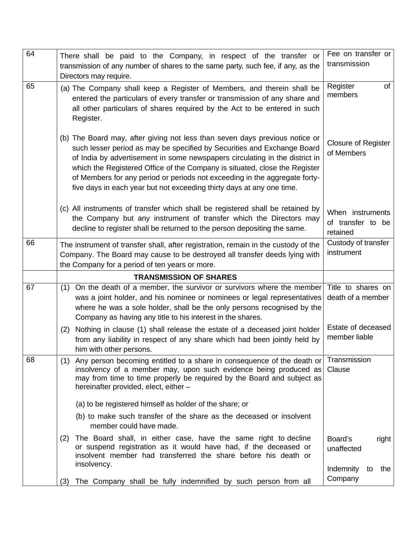| 64 | There shall be paid to the Company, in respect of the transfer or<br>transmission of any number of shares to the same party, such fee, if any, as the                                                                                                                                                                                                                                                                                                                      | Fee on transfer or<br>transmission                |
|----|----------------------------------------------------------------------------------------------------------------------------------------------------------------------------------------------------------------------------------------------------------------------------------------------------------------------------------------------------------------------------------------------------------------------------------------------------------------------------|---------------------------------------------------|
|    | Directors may require.                                                                                                                                                                                                                                                                                                                                                                                                                                                     |                                                   |
| 65 | (a) The Company shall keep a Register of Members, and therein shall be<br>entered the particulars of every transfer or transmission of any share and<br>all other particulars of shares required by the Act to be entered in such<br>Register.                                                                                                                                                                                                                             | Register<br>of<br>members                         |
|    | (b) The Board may, after giving not less than seven days previous notice or<br>such lesser period as may be specified by Securities and Exchange Board<br>of India by advertisement in some newspapers circulating in the district in<br>which the Registered Office of the Company is situated, close the Register<br>of Members for any period or periods not exceeding in the aggregate forty-<br>five days in each year but not exceeding thirty days at any one time. | <b>Closure of Register</b><br>of Members          |
|    | (c) All instruments of transfer which shall be registered shall be retained by<br>the Company but any instrument of transfer which the Directors may<br>decline to register shall be returned to the person depositing the same.                                                                                                                                                                                                                                           | When instruments<br>of transfer to be<br>retained |
| 66 | The instrument of transfer shall, after registration, remain in the custody of the<br>Company. The Board may cause to be destroyed all transfer deeds lying with<br>the Company for a period of ten years or more.                                                                                                                                                                                                                                                         | Custody of transfer<br>instrument                 |
|    | <b>TRANSMISSION OF SHARES</b>                                                                                                                                                                                                                                                                                                                                                                                                                                              |                                                   |
| 67 | On the death of a member, the survivor or survivors where the member Title to shares on<br>(1)<br>was a joint holder, and his nominee or nominees or legal representatives<br>where he was a sole holder, shall be the only persons recognised by the<br>Company as having any title to his interest in the shares.                                                                                                                                                        | death of a member                                 |
|    | Nothing in clause (1) shall release the estate of a deceased joint holder<br>(2)<br>from any liability in respect of any share which had been jointly held by<br>him with other persons.                                                                                                                                                                                                                                                                                   | Estate of deceased<br>member liable               |
| 68 | Any person becoming entitled to a share in consequence of the death or<br>(1)<br>insolvency of a member may, upon such evidence being produced as<br>may from time to time properly be required by the Board and subject as<br>hereinafter provided, elect, either -                                                                                                                                                                                                       | Transmission<br>Clause                            |
|    | (a) to be registered himself as holder of the share; or                                                                                                                                                                                                                                                                                                                                                                                                                    |                                                   |
|    | (b) to make such transfer of the share as the deceased or insolvent<br>member could have made.                                                                                                                                                                                                                                                                                                                                                                             |                                                   |
|    | The Board shall, in either case, have the same right to decline<br>(2)<br>or suspend registration as it would have had, if the deceased or<br>insolvent member had transferred the share before his death or<br>insolvency.                                                                                                                                                                                                                                                | Board's<br>right<br>unaffected                    |
|    | The Company shall be fully indemnified by such person from all<br>(3)                                                                                                                                                                                                                                                                                                                                                                                                      | Indemnity<br>the<br>to<br>Company                 |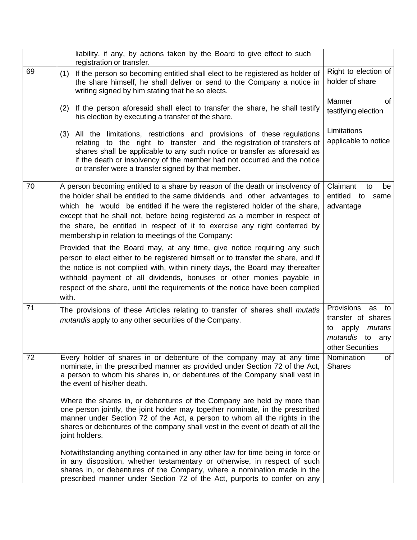|    | liability, if any, by actions taken by the Board to give effect to such<br>registration or transfer.                                                                                                                                                                                                                                                                                                                                                        |                                                                                                            |
|----|-------------------------------------------------------------------------------------------------------------------------------------------------------------------------------------------------------------------------------------------------------------------------------------------------------------------------------------------------------------------------------------------------------------------------------------------------------------|------------------------------------------------------------------------------------------------------------|
| 69 | If the person so becoming entitled shall elect to be registered as holder of<br>(1)<br>the share himself, he shall deliver or send to the Company a notice in<br>writing signed by him stating that he so elects.                                                                                                                                                                                                                                           | Right to election of<br>holder of share                                                                    |
|    | If the person aforesaid shall elect to transfer the share, he shall testify<br>(2)<br>his election by executing a transfer of the share.                                                                                                                                                                                                                                                                                                                    | Manner<br>of<br>testifying election                                                                        |
|    | All the limitations, restrictions and provisions of these regulations<br>(3)<br>relating to the right to transfer and the registration of transfers of<br>shares shall be applicable to any such notice or transfer as aforesaid as<br>if the death or insolvency of the member had not occurred and the notice<br>or transfer were a transfer signed by that member.                                                                                       | Limitations<br>applicable to notice                                                                        |
| 70 | A person becoming entitled to a share by reason of the death or insolvency of<br>the holder shall be entitled to the same dividends and other advantages to<br>which he would be entitled if he were the registered holder of the share,<br>except that he shall not, before being registered as a member in respect of<br>the share, be entitled in respect of it to exercise any right conferred by<br>membership in relation to meetings of the Company: | Claimant<br>to<br>be<br>entitled to<br>same<br>advantage                                                   |
|    | Provided that the Board may, at any time, give notice requiring any such<br>person to elect either to be registered himself or to transfer the share, and if<br>the notice is not complied with, within ninety days, the Board may thereafter<br>withhold payment of all dividends, bonuses or other monies payable in<br>respect of the share, until the requirements of the notice have been complied<br>with.                                            |                                                                                                            |
| 71 | The provisions of these Articles relating to transfer of shares shall <i>mutatis</i><br>mutandis apply to any other securities of the Company.                                                                                                                                                                                                                                                                                                              | Provisions as<br>to<br>transfer of shares<br>mutatis<br>apply<br>to<br>mutandis to any<br>other Securities |
| 72 | Every holder of shares in or debenture of the company may at any time<br>nominate, in the prescribed manner as provided under Section 72 of the Act,<br>a person to whom his shares in, or debentures of the Company shall vest in<br>the event of his/her death.                                                                                                                                                                                           | Nomination<br>of<br><b>Shares</b>                                                                          |
|    | Where the shares in, or debentures of the Company are held by more than<br>one person jointly, the joint holder may together nominate, in the prescribed<br>manner under Section 72 of the Act, a person to whom all the rights in the<br>shares or debentures of the company shall vest in the event of death of all the<br>joint holders.                                                                                                                 |                                                                                                            |
|    | Notwithstanding anything contained in any other law for time being in force or<br>in any disposition, whether testamentary or otherwise, in respect of such<br>shares in, or debentures of the Company, where a nomination made in the<br>prescribed manner under Section 72 of the Act, purports to confer on any                                                                                                                                          |                                                                                                            |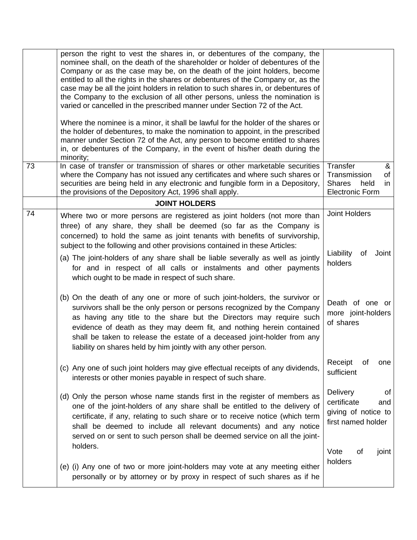| 73 | person the right to vest the shares in, or debentures of the company, the<br>nominee shall, on the death of the shareholder or holder of debentures of the<br>Company or as the case may be, on the death of the joint holders, become<br>entitled to all the rights in the shares or debentures of the Company or, as the<br>case may be all the joint holders in relation to such shares in, or debentures of<br>the Company to the exclusion of all other persons, unless the nomination is<br>varied or cancelled in the prescribed manner under Section 72 of the Act.<br>Where the nominee is a minor, it shall be lawful for the holder of the shares or<br>the holder of debentures, to make the nomination to appoint, in the prescribed<br>manner under Section 72 of the Act, any person to become entitled to shares<br>in, or debentures of the Company, in the event of his/her death during the<br>minority;<br>In case of transfer or transmission of shares or other marketable securities<br>where the Company has not issued any certificates and where such shares or | Transfer<br>&<br>Transmission<br>of                                               |
|----|-------------------------------------------------------------------------------------------------------------------------------------------------------------------------------------------------------------------------------------------------------------------------------------------------------------------------------------------------------------------------------------------------------------------------------------------------------------------------------------------------------------------------------------------------------------------------------------------------------------------------------------------------------------------------------------------------------------------------------------------------------------------------------------------------------------------------------------------------------------------------------------------------------------------------------------------------------------------------------------------------------------------------------------------------------------------------------------------|-----------------------------------------------------------------------------------|
|    | securities are being held in any electronic and fungible form in a Depository,<br>the provisions of the Depository Act, 1996 shall apply.                                                                                                                                                                                                                                                                                                                                                                                                                                                                                                                                                                                                                                                                                                                                                                                                                                                                                                                                                 | <b>Shares</b><br>held<br>in<br><b>Electronic Form</b>                             |
|    | <b>JOINT HOLDERS</b>                                                                                                                                                                                                                                                                                                                                                                                                                                                                                                                                                                                                                                                                                                                                                                                                                                                                                                                                                                                                                                                                      |                                                                                   |
| 74 | Where two or more persons are registered as joint holders (not more than<br>three) of any share, they shall be deemed (so far as the Company is<br>concerned) to hold the same as joint tenants with benefits of survivorship,<br>subject to the following and other provisions contained in these Articles:<br>(a) The joint-holders of any share shall be liable severally as well as jointly<br>for and in respect of all calls or instalments and other payments<br>which ought to be made in respect of such share.                                                                                                                                                                                                                                                                                                                                                                                                                                                                                                                                                                  | <b>Joint Holders</b><br>Liability<br>of<br>Joint<br>holders                       |
|    | (b) On the death of any one or more of such joint-holders, the survivor or<br>survivors shall be the only person or persons recognized by the Company<br>as having any title to the share but the Directors may require such<br>evidence of death as they may deem fit, and nothing herein contained<br>shall be taken to release the estate of a deceased joint-holder from any<br>liability on shares held by him jointly with any other person.                                                                                                                                                                                                                                                                                                                                                                                                                                                                                                                                                                                                                                        | Death of one or<br>more joint-holders<br>of shares                                |
|    | (c) Any one of such joint holders may give effectual receipts of any dividends,<br>interests or other monies payable in respect of such share.                                                                                                                                                                                                                                                                                                                                                                                                                                                                                                                                                                                                                                                                                                                                                                                                                                                                                                                                            | Receipt<br>οf<br>one<br>sufficient                                                |
|    | (d) Only the person whose name stands first in the register of members as<br>one of the joint-holders of any share shall be entitled to the delivery of<br>certificate, if any, relating to such share or to receive notice (which term<br>shall be deemed to include all relevant documents) and any notice<br>served on or sent to such person shall be deemed service on all the joint-<br>holders.                                                                                                                                                                                                                                                                                                                                                                                                                                                                                                                                                                                                                                                                                    | Delivery<br>0f<br>certificate<br>and<br>giving of notice to<br>first named holder |
|    | (e) (i) Any one of two or more joint-holders may vote at any meeting either<br>personally or by attorney or by proxy in respect of such shares as if he                                                                                                                                                                                                                                                                                                                                                                                                                                                                                                                                                                                                                                                                                                                                                                                                                                                                                                                                   | Vote<br>0f<br>joint<br>holders                                                    |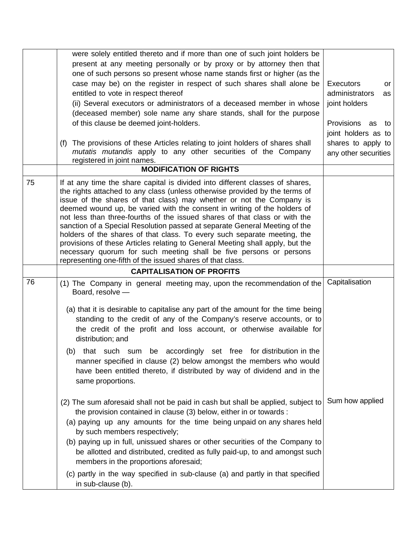|    | were solely entitled thereto and if more than one of such joint holders be<br>present at any meeting personally or by proxy or by attorney then that<br>one of such persons so present whose name stands first or higher (as the<br>case may be) on the register in respect of such shares shall alone be<br>entitled to vote in respect thereof<br>(ii) Several executors or administrators of a deceased member in whose<br>(deceased member) sole name any share stands, shall for the purpose<br>of this clause be deemed joint-holders.<br>The provisions of these Articles relating to joint holders of shares shall<br>(f)<br>mutatis mutandis apply to any other securities of the Company<br>registered in joint names.                                              | <b>Executors</b><br>or<br>administrators<br>as<br>joint holders<br>Provisions as<br>to<br>joint holders as to<br>shares to apply to<br>any other securities |
|----|-------------------------------------------------------------------------------------------------------------------------------------------------------------------------------------------------------------------------------------------------------------------------------------------------------------------------------------------------------------------------------------------------------------------------------------------------------------------------------------------------------------------------------------------------------------------------------------------------------------------------------------------------------------------------------------------------------------------------------------------------------------------------------|-------------------------------------------------------------------------------------------------------------------------------------------------------------|
|    | <b>MODIFICATION OF RIGHTS</b>                                                                                                                                                                                                                                                                                                                                                                                                                                                                                                                                                                                                                                                                                                                                                 |                                                                                                                                                             |
| 75 | If at any time the share capital is divided into different classes of shares,<br>the rights attached to any class (unless otherwise provided by the terms of<br>issue of the shares of that class) may whether or not the Company is<br>deemed wound up, be varied with the consent in writing of the holders of<br>not less than three-fourths of the issued shares of that class or with the<br>sanction of a Special Resolution passed at separate General Meeting of the<br>holders of the shares of that class. To every such separate meeting, the<br>provisions of these Articles relating to General Meeting shall apply, but the<br>necessary quorum for such meeting shall be five persons or persons<br>representing one-fifth of the issued shares of that class. |                                                                                                                                                             |
|    | <b>CAPITALISATION OF PROFITS</b>                                                                                                                                                                                                                                                                                                                                                                                                                                                                                                                                                                                                                                                                                                                                              |                                                                                                                                                             |
| 76 | (1) The Company in general meeting may, upon the recommendation of the<br>Board, resolve -<br>(a) that it is desirable to capitalise any part of the amount for the time being<br>standing to the credit of any of the Company's reserve accounts, or to<br>the credit of the profit and loss account, or otherwise available for<br>distribution; and<br>(b) that such sum be accordingly set free for distribution in the<br>manner specified in clause (2) below amongst the members who would<br>have been entitled thereto, if distributed by way of dividend and in the<br>same proportions.                                                                                                                                                                            | Capitalisation                                                                                                                                              |
|    | (2) The sum aforesaid shall not be paid in cash but shall be applied, subject to<br>the provision contained in clause (3) below, either in or towards :<br>(a) paying up any amounts for the time being unpaid on any shares held<br>by such members respectively;<br>(b) paying up in full, unissued shares or other securities of the Company to<br>be allotted and distributed, credited as fully paid-up, to and amongst such<br>members in the proportions aforesaid;<br>(c) partly in the way specified in sub-clause (a) and partly in that specified<br>in sub-clause (b).                                                                                                                                                                                            | Sum how applied                                                                                                                                             |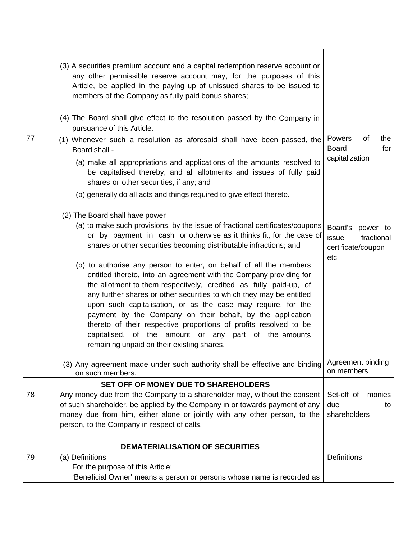|    | (3) A securities premium account and a capital redemption reserve account or<br>any other permissible reserve account may, for the purposes of this<br>Article, be applied in the paying up of unissued shares to be issued to<br>members of the Company as fully paid bonus shares;<br>(4) The Board shall give effect to the resolution passed by the Company in<br>pursuance of this Article.                                                                                                                                                                                                                                                                                                                                                                                                                                                                  |                                                                         |
|----|-------------------------------------------------------------------------------------------------------------------------------------------------------------------------------------------------------------------------------------------------------------------------------------------------------------------------------------------------------------------------------------------------------------------------------------------------------------------------------------------------------------------------------------------------------------------------------------------------------------------------------------------------------------------------------------------------------------------------------------------------------------------------------------------------------------------------------------------------------------------|-------------------------------------------------------------------------|
| 77 | (1) Whenever such a resolution as aforesaid shall have been passed, the<br>Board shall -<br>(a) make all appropriations and applications of the amounts resolved to<br>be capitalised thereby, and all allotments and issues of fully paid<br>shares or other securities, if any; and<br>(b) generally do all acts and things required to give effect thereto.                                                                                                                                                                                                                                                                                                                                                                                                                                                                                                    | of<br>Powers<br>the<br><b>Board</b><br>for<br>capitalization            |
|    | (2) The Board shall have power-<br>(a) to make such provisions, by the issue of fractional certificates/coupons<br>or by payment in cash or otherwise as it thinks fit, for the case of<br>shares or other securities becoming distributable infractions; and<br>(b) to authorise any person to enter, on behalf of all the members<br>entitled thereto, into an agreement with the Company providing for<br>the allotment to them respectively, credited as fully paid-up, of<br>any further shares or other securities to which they may be entitled<br>upon such capitalisation, or as the case may require, for the<br>payment by the Company on their behalf, by the application<br>thereto of their respective proportions of profits resolved to be<br>capitalised, of the amount or any part of the amounts<br>remaining unpaid on their existing shares. | Board's<br>power to<br>fractional<br>issue<br>certificate/coupon<br>etc |
|    | (3) Any agreement made under such authority shall be effective and binding<br>on such members.                                                                                                                                                                                                                                                                                                                                                                                                                                                                                                                                                                                                                                                                                                                                                                    | Agreement binding<br>on members                                         |
|    | SET OFF OF MONEY DUE TO SHAREHOLDERS                                                                                                                                                                                                                                                                                                                                                                                                                                                                                                                                                                                                                                                                                                                                                                                                                              |                                                                         |
| 78 | Any money due from the Company to a shareholder may, without the consent<br>of such shareholder, be applied by the Company in or towards payment of any<br>money due from him, either alone or jointly with any other person, to the<br>person, to the Company in respect of calls.                                                                                                                                                                                                                                                                                                                                                                                                                                                                                                                                                                               | Set-off of<br>monies<br>due<br>to<br>shareholders                       |
|    | DEMATERIALISATION OF SECURITIES                                                                                                                                                                                                                                                                                                                                                                                                                                                                                                                                                                                                                                                                                                                                                                                                                                   |                                                                         |
| 79 | (a) Definitions<br>For the purpose of this Article:<br>'Beneficial Owner' means a person or persons whose name is recorded as                                                                                                                                                                                                                                                                                                                                                                                                                                                                                                                                                                                                                                                                                                                                     | <b>Definitions</b>                                                      |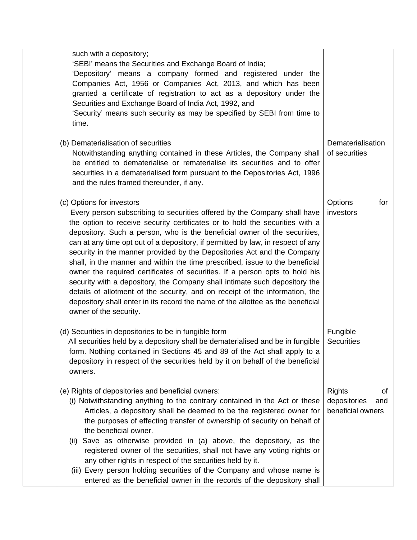| such with a depository;<br>'SEBI' means the Securities and Exchange Board of India;<br>'Depository' means a company formed and registered under the<br>Companies Act, 1956 or Companies Act, 2013, and which has been<br>granted a certificate of registration to act as a depository under the<br>Securities and Exchange Board of India Act, 1992, and<br>'Security' means such security as may be specified by SEBI from time to<br>time.                                                                                                                                                                                                                                                                                                                                                                                                                               |                                                                 |
|----------------------------------------------------------------------------------------------------------------------------------------------------------------------------------------------------------------------------------------------------------------------------------------------------------------------------------------------------------------------------------------------------------------------------------------------------------------------------------------------------------------------------------------------------------------------------------------------------------------------------------------------------------------------------------------------------------------------------------------------------------------------------------------------------------------------------------------------------------------------------|-----------------------------------------------------------------|
| (b) Dematerialisation of securities<br>Notwithstanding anything contained in these Articles, the Company shall<br>be entitled to dematerialise or rematerialise its securities and to offer<br>securities in a dematerialised form pursuant to the Depositories Act, 1996<br>and the rules framed thereunder, if any.                                                                                                                                                                                                                                                                                                                                                                                                                                                                                                                                                      | Dematerialisation<br>of securities                              |
| (c) Options for investors<br>Every person subscribing to securities offered by the Company shall have<br>the option to receive security certificates or to hold the securities with a<br>depository. Such a person, who is the beneficial owner of the securities,<br>can at any time opt out of a depository, if permitted by law, in respect of any<br>security in the manner provided by the Depositories Act and the Company<br>shall, in the manner and within the time prescribed, issue to the beneficial<br>owner the required certificates of securities. If a person opts to hold his<br>security with a depository, the Company shall intimate such depository the<br>details of allotment of the security, and on receipt of the information, the<br>depository shall enter in its record the name of the allottee as the beneficial<br>owner of the security. | Options<br>for<br>investors                                     |
| (d) Securities in depositories to be in fungible form<br>All securities held by a depository shall be dematerialised and be in fungible<br>form. Nothing contained in Sections 45 and 89 of the Act shall apply to a<br>depository in respect of the securities held by it on behalf of the beneficial<br>owners.                                                                                                                                                                                                                                                                                                                                                                                                                                                                                                                                                          | Fungible<br><b>Securities</b>                                   |
| (e) Rights of depositories and beneficial owners:<br>(i) Notwithstanding anything to the contrary contained in the Act or these<br>Articles, a depository shall be deemed to be the registered owner for<br>the purposes of effecting transfer of ownership of security on behalf of<br>the beneficial owner.<br>Save as otherwise provided in (a) above, the depository, as the<br>(II)<br>registered owner of the securities, shall not have any voting rights or<br>any other rights in respect of the securities held by it.<br>(iii) Every person holding securities of the Company and whose name is<br>entered as the beneficial owner in the records of the depository shall                                                                                                                                                                                       | <b>Rights</b><br>οf<br>depositories<br>and<br>beneficial owners |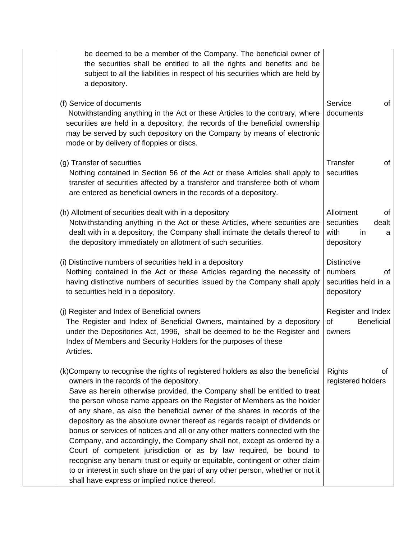| be deemed to be a member of the Company. The beneficial owner of<br>the securities shall be entitled to all the rights and benefits and be<br>subject to all the liabilities in respect of his securities which are held by<br>a depository.                                                                                                                                                                                                                                                                                                                                                                                                                                                                                                                                                                                                                                                         |                                                                           |
|------------------------------------------------------------------------------------------------------------------------------------------------------------------------------------------------------------------------------------------------------------------------------------------------------------------------------------------------------------------------------------------------------------------------------------------------------------------------------------------------------------------------------------------------------------------------------------------------------------------------------------------------------------------------------------------------------------------------------------------------------------------------------------------------------------------------------------------------------------------------------------------------------|---------------------------------------------------------------------------|
| (f) Service of documents<br>Notwithstanding anything in the Act or these Articles to the contrary, where<br>securities are held in a depository, the records of the beneficial ownership<br>may be served by such depository on the Company by means of electronic<br>mode or by delivery of floppies or discs.                                                                                                                                                                                                                                                                                                                                                                                                                                                                                                                                                                                      | Service<br>of<br>documents                                                |
| (g) Transfer of securities<br>Nothing contained in Section 56 of the Act or these Articles shall apply to<br>transfer of securities affected by a transferor and transferee both of whom<br>are entered as beneficial owners in the records of a depository.                                                                                                                                                                                                                                                                                                                                                                                                                                                                                                                                                                                                                                         | Transfer<br>of<br>securities                                              |
| (h) Allotment of securities dealt with in a depository<br>Notwithstanding anything in the Act or these Articles, where securities are<br>dealt with in a depository, the Company shall intimate the details thereof to<br>the depository immediately on allotment of such securities.                                                                                                                                                                                                                                                                                                                                                                                                                                                                                                                                                                                                                | Allotment<br>of<br>securities<br>dealt<br>with<br>in<br>a<br>depository   |
| (i) Distinctive numbers of securities held in a depository<br>Nothing contained in the Act or these Articles regarding the necessity of<br>having distinctive numbers of securities issued by the Company shall apply<br>to securities held in a depository.                                                                                                                                                                                                                                                                                                                                                                                                                                                                                                                                                                                                                                         | <b>Distinctive</b><br>numbers<br>0f<br>securities held in a<br>depository |
| (j) Register and Index of Beneficial owners<br>The Register and Index of Beneficial Owners, maintained by a depository<br>under the Depositories Act, 1996, shall be deemed to be the Register and<br>Index of Members and Security Holders for the purposes of these<br>Articles.                                                                                                                                                                                                                                                                                                                                                                                                                                                                                                                                                                                                                   | Register and Index<br><b>Beneficial</b><br>of<br>owners                   |
| (k)Company to recognise the rights of registered holders as also the beneficial<br>owners in the records of the depository.<br>Save as herein otherwise provided, the Company shall be entitled to treat<br>the person whose name appears on the Register of Members as the holder<br>of any share, as also the beneficial owner of the shares in records of the<br>depository as the absolute owner thereof as regards receipt of dividends or<br>bonus or services of notices and all or any other matters connected with the<br>Company, and accordingly, the Company shall not, except as ordered by a<br>Court of competent jurisdiction or as by law required, be bound to<br>recognise any benami trust or equity or equitable, contingent or other claim<br>to or interest in such share on the part of any other person, whether or not it<br>shall have express or implied notice thereof. | <b>Rights</b><br>οf<br>registered holders                                 |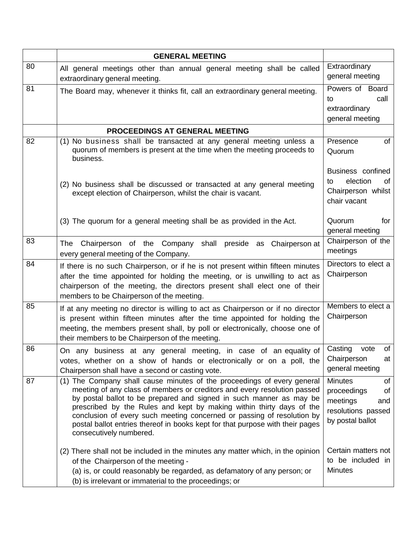|    | <b>GENERAL MEETING</b>                                                                                                                                                                                                                                                                                                                                                                                                                                                                   |                                                                                                        |
|----|------------------------------------------------------------------------------------------------------------------------------------------------------------------------------------------------------------------------------------------------------------------------------------------------------------------------------------------------------------------------------------------------------------------------------------------------------------------------------------------|--------------------------------------------------------------------------------------------------------|
| 80 | All general meetings other than annual general meeting shall be called<br>extraordinary general meeting.                                                                                                                                                                                                                                                                                                                                                                                 | Extraordinary<br>general meeting                                                                       |
| 81 | The Board may, whenever it thinks fit, call an extraordinary general meeting.                                                                                                                                                                                                                                                                                                                                                                                                            | Powers of Board<br>call<br>to<br>extraordinary<br>general meeting                                      |
|    | PROCEEDINGS AT GENERAL MEETING                                                                                                                                                                                                                                                                                                                                                                                                                                                           |                                                                                                        |
| 82 | (1) No business shall be transacted at any general meeting unless a<br>quorum of members is present at the time when the meeting proceeds to<br>business.                                                                                                                                                                                                                                                                                                                                | Presence<br>of<br>Quorum                                                                               |
|    | (2) No business shall be discussed or transacted at any general meeting<br>except election of Chairperson, whilst the chair is vacant.                                                                                                                                                                                                                                                                                                                                                   | Business confined<br>election<br>οf<br>to<br>Chairperson whilst<br>chair vacant                        |
|    | (3) The quorum for a general meeting shall be as provided in the Act.                                                                                                                                                                                                                                                                                                                                                                                                                    | Quorum<br>for<br>general meeting                                                                       |
| 83 | The Chairperson of the Company shall preside as Chairperson at<br>every general meeting of the Company.                                                                                                                                                                                                                                                                                                                                                                                  | Chairperson of the<br>meetings                                                                         |
| 84 | If there is no such Chairperson, or if he is not present within fifteen minutes<br>after the time appointed for holding the meeting, or is unwilling to act as<br>chairperson of the meeting, the directors present shall elect one of their<br>members to be Chairperson of the meeting.                                                                                                                                                                                                | Directors to elect a<br>Chairperson                                                                    |
| 85 | If at any meeting no director is willing to act as Chairperson or if no director<br>is present within fifteen minutes after the time appointed for holding the<br>meeting, the members present shall, by poll or electronically, choose one of<br>their members to be Chairperson of the meeting.                                                                                                                                                                                        | Members to elect a<br>Chairperson                                                                      |
| 86 | On any business at any general meeting, in case of an equality of<br>votes, whether on a show of hands or electronically or on a poll, the<br>Chairperson shall have a second or casting vote.                                                                                                                                                                                                                                                                                           | Casting<br>of<br>vote<br>Chairperson<br>at<br>general meeting                                          |
| 87 | (1) The Company shall cause minutes of the proceedings of every general<br>meeting of any class of members or creditors and every resolution passed<br>by postal ballot to be prepared and signed in such manner as may be<br>prescribed by the Rules and kept by making within thirty days of the<br>conclusion of every such meeting concerned or passing of resolution by<br>postal ballot entries thereof in books kept for that purpose with their pages<br>consecutively numbered. | <b>Minutes</b><br>οf<br>proceedings<br>οf<br>meetings<br>and<br>resolutions passed<br>by postal ballot |
|    | (2) There shall not be included in the minutes any matter which, in the opinion<br>of the Chairperson of the meeting -<br>(a) is, or could reasonably be regarded, as defamatory of any person; or<br>(b) is irrelevant or immaterial to the proceedings; or                                                                                                                                                                                                                             | Certain matters not<br>to be included in<br><b>Minutes</b>                                             |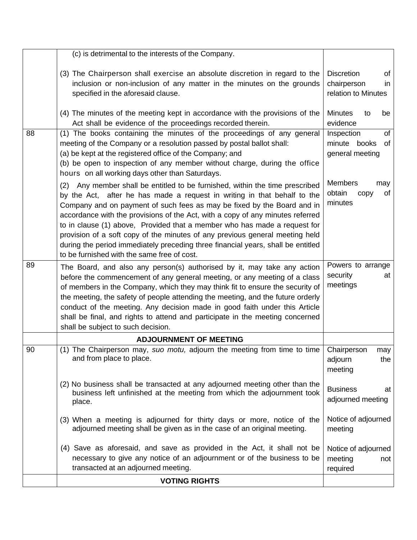|    | (c) is detrimental to the interests of the Company.                                                                                                                                                                                                                                                                                                                                                                                                                                                                                                                                                                   |                                                                      |
|----|-----------------------------------------------------------------------------------------------------------------------------------------------------------------------------------------------------------------------------------------------------------------------------------------------------------------------------------------------------------------------------------------------------------------------------------------------------------------------------------------------------------------------------------------------------------------------------------------------------------------------|----------------------------------------------------------------------|
|    | (3) The Chairperson shall exercise an absolute discretion in regard to the<br>inclusion or non-inclusion of any matter in the minutes on the grounds<br>specified in the aforesaid clause.                                                                                                                                                                                                                                                                                                                                                                                                                            | <b>Discretion</b><br>of<br>chairperson<br>in.<br>relation to Minutes |
|    | (4) The minutes of the meeting kept in accordance with the provisions of the<br>Act shall be evidence of the proceedings recorded therein.                                                                                                                                                                                                                                                                                                                                                                                                                                                                            | <b>Minutes</b><br>be<br>to<br>evidence                               |
| 88 | (1) The books containing the minutes of the proceedings of any general<br>meeting of the Company or a resolution passed by postal ballot shall:<br>(a) be kept at the registered office of the Company; and<br>(b) be open to inspection of any member without charge, during the office<br>hours on all working days other than Saturdays.                                                                                                                                                                                                                                                                           | Inspection<br>of<br>minute books<br>of<br>general meeting            |
|    | (2) Any member shall be entitled to be furnished, within the time prescribed<br>by the Act, after he has made a request in writing in that behalf to the<br>Company and on payment of such fees as may be fixed by the Board and in<br>accordance with the provisions of the Act, with a copy of any minutes referred<br>to in clause (1) above, Provided that a member who has made a request for<br>provision of a soft copy of the minutes of any previous general meeting held<br>during the period immediately preceding three financial years, shall be entitled<br>to be furnished with the same free of cost. | <b>Members</b><br>may<br>obtain<br>of<br>copy<br>minutes             |
| 89 | The Board, and also any person(s) authorised by it, may take any action<br>before the commencement of any general meeting, or any meeting of a class<br>of members in the Company, which they may think fit to ensure the security of<br>the meeting, the safety of people attending the meeting, and the future orderly<br>conduct of the meeting. Any decision made in good faith under this Article<br>shall be final, and rights to attend and participate in the meeting concerned<br>shall be subject to such decision.                                                                                         | Powers to arrange<br>security<br>at<br>meetings                      |
|    | <b>ADJOURNMENT OF MEETING</b>                                                                                                                                                                                                                                                                                                                                                                                                                                                                                                                                                                                         |                                                                      |
| 90 | (1) The Chairperson may, suo motu, adjourn the meeting from time to time   Chairperson<br>and from place to place.                                                                                                                                                                                                                                                                                                                                                                                                                                                                                                    | may<br>adjourn<br>the<br>meeting                                     |
|    | (2) No business shall be transacted at any adjourned meeting other than the<br>business left unfinished at the meeting from which the adjournment took<br>place.                                                                                                                                                                                                                                                                                                                                                                                                                                                      | <b>Business</b><br>at<br>adjourned meeting                           |
|    | (3) When a meeting is adjourned for thirty days or more, notice of the<br>adjourned meeting shall be given as in the case of an original meeting.                                                                                                                                                                                                                                                                                                                                                                                                                                                                     | Notice of adjourned<br>meeting                                       |
|    | (4) Save as aforesaid, and save as provided in the Act, it shall not be<br>necessary to give any notice of an adjournment or of the business to be<br>transacted at an adjourned meeting.                                                                                                                                                                                                                                                                                                                                                                                                                             | Notice of adjourned<br>meeting<br>not<br>required                    |
|    | <b>VOTING RIGHTS</b>                                                                                                                                                                                                                                                                                                                                                                                                                                                                                                                                                                                                  |                                                                      |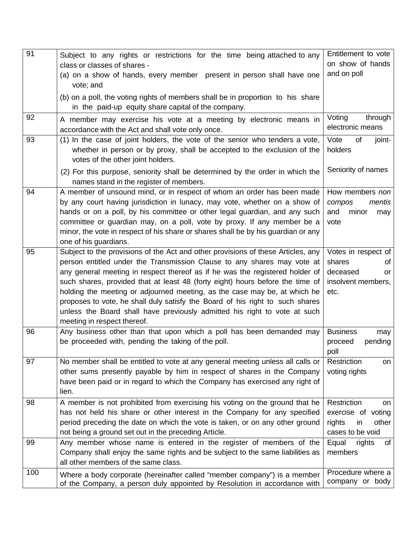| 91  | Subject to any rights or restrictions for the time being attached to any                                                                                  | Entitlement to vote                   |
|-----|-----------------------------------------------------------------------------------------------------------------------------------------------------------|---------------------------------------|
|     | class or classes of shares -                                                                                                                              | on show of hands                      |
|     | (a) on a show of hands, every member present in person shall have one<br>vote; and                                                                        | and on poll                           |
|     | (b) on a poll, the voting rights of members shall be in proportion to his share                                                                           |                                       |
|     | in the paid-up equity share capital of the company.                                                                                                       |                                       |
| 92  | A member may exercise his vote at a meeting by electronic means in                                                                                        | Voting<br>through                     |
|     | accordance with the Act and shall vote only once.                                                                                                         | electronic means                      |
| 93  | (1) In the case of joint holders, the vote of the senior who tenders a vote,                                                                              | of<br>Vote<br>joint-                  |
|     | whether in person or by proxy, shall be accepted to the exclusion of the<br>votes of the other joint holders.                                             | holders                               |
|     | (2) For this purpose, seniority shall be determined by the order in which the                                                                             | Seniority of names                    |
|     | names stand in the register of members.                                                                                                                   |                                       |
| 94  | A member of unsound mind, or in respect of whom an order has been made                                                                                    | How members non                       |
|     | by any court having jurisdiction in lunacy, may vote, whether on a show of                                                                                | compos<br>mentis                      |
|     | hands or on a poll, by his committee or other legal guardian, and any such                                                                                | and<br>minor<br>may                   |
|     | committee or guardian may, on a poll, vote by proxy. If any member be a                                                                                   | vote                                  |
|     | minor, the vote in respect of his share or shares shall be by his guardian or any<br>one of his guardians.                                                |                                       |
| 95  | Subject to the provisions of the Act and other provisions of these Articles, any                                                                          | Votes in respect of                   |
|     | person entitled under the Transmission Clause to any shares may vote at                                                                                   | shares<br>οf                          |
|     | any general meeting in respect thereof as if he was the registered holder of                                                                              | deceased<br>or                        |
|     | such shares, provided that at least 48 (forty eight) hours before the time of                                                                             | insolvent members,                    |
|     | holding the meeting or adjourned meeting, as the case may be, at which he                                                                                 | etc.                                  |
|     | proposes to vote, he shall duly satisfy the Board of his right to such shares                                                                             |                                       |
|     | unless the Board shall have previously admitted his right to vote at such                                                                                 |                                       |
|     | meeting in respect thereof.                                                                                                                               |                                       |
| 96  | Any business other than that upon which a poll has been demanded may                                                                                      | <b>Business</b><br>may                |
|     | be proceeded with, pending the taking of the poll.                                                                                                        | pending<br>proceed                    |
|     |                                                                                                                                                           | poll                                  |
| 97  | No member shall be entitled to vote at any general meeting unless all calls or                                                                            | Restriction<br>on                     |
|     | other sums presently payable by him in respect of shares in the Company                                                                                   | voting rights                         |
|     | have been paid or in regard to which the Company has exercised any right of                                                                               |                                       |
|     | lien.                                                                                                                                                     |                                       |
| 98  | A member is not prohibited from exercising his voting on the ground that he                                                                               | Restriction<br>on                     |
|     | has not held his share or other interest in the Company for any specified<br>period preceding the date on which the vote is taken, or on any other ground | exercise of voting<br>rights<br>other |
|     | not being a ground set out in the preceding Article.                                                                                                      | in<br>cases to be void                |
| 99  | Any member whose name is entered in the register of members of the                                                                                        | Equal<br>rights<br>of                 |
|     | Company shall enjoy the same rights and be subject to the same liabilities as                                                                             | members                               |
|     | all other members of the same class.                                                                                                                      |                                       |
| 100 | Where a body corporate (hereinafter called "member company") is a member                                                                                  | Procedure where a                     |
|     | of the Company, a person duly appointed by Resolution in accordance with                                                                                  | company or body                       |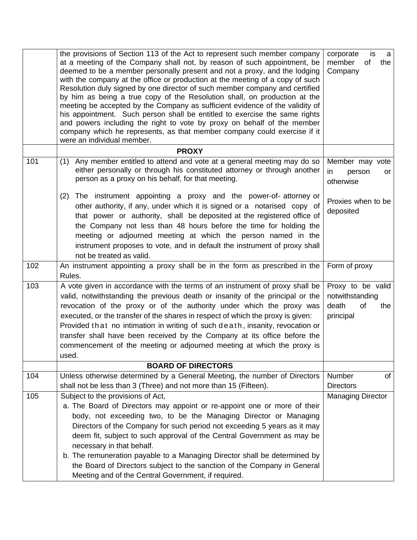|     | the provisions of Section 113 of the Act to represent such member company<br>at a meeting of the Company shall not, by reason of such appointment, be<br>deemed to be a member personally present and not a proxy, and the lodging<br>with the company at the office or production at the meeting of a copy of such<br>Resolution duly signed by one director of such member company and certified<br>by him as being a true copy of the Resolution shall, on production at the<br>meeting be accepted by the Company as sufficient evidence of the validity of<br>his appointment. Such person shall be entitled to exercise the same rights<br>and powers including the right to vote by proxy on behalf of the member<br>company which he represents, as that member company could exercise if it<br>were an individual member. | is<br>corporate<br>a<br>of<br>member<br>the<br>Company                  |
|-----|------------------------------------------------------------------------------------------------------------------------------------------------------------------------------------------------------------------------------------------------------------------------------------------------------------------------------------------------------------------------------------------------------------------------------------------------------------------------------------------------------------------------------------------------------------------------------------------------------------------------------------------------------------------------------------------------------------------------------------------------------------------------------------------------------------------------------------|-------------------------------------------------------------------------|
|     | <b>PROXY</b>                                                                                                                                                                                                                                                                                                                                                                                                                                                                                                                                                                                                                                                                                                                                                                                                                       |                                                                         |
| 101 | Any member entitled to attend and vote at a general meeting may do so<br>(1)<br>either personally or through his constituted attorney or through another<br>person as a proxy on his behalf, for that meeting.                                                                                                                                                                                                                                                                                                                                                                                                                                                                                                                                                                                                                     | Member may vote<br>in.<br>person<br>or<br>otherwise                     |
|     | The instrument appointing a proxy and the power-of-attorney or<br>(2)<br>other authority, if any, under which it is signed or a notarised copy of<br>that power or authority, shall be deposited at the registered office of<br>the Company not less than 48 hours before the time for holding the<br>meeting or adjourned meeting at which the person named in the<br>instrument proposes to vote, and in default the instrument of proxy shall<br>not be treated as valid.                                                                                                                                                                                                                                                                                                                                                       | Proxies when to be<br>deposited                                         |
| 102 | An instrument appointing a proxy shall be in the form as prescribed in the<br>Rules.                                                                                                                                                                                                                                                                                                                                                                                                                                                                                                                                                                                                                                                                                                                                               | Form of proxy                                                           |
| 103 | A vote given in accordance with the terms of an instrument of proxy shall be<br>valid, notwithstanding the previous death or insanity of the principal or the<br>revocation of the proxy or of the authority under which the proxy was<br>executed, or the transfer of the shares in respect of which the proxy is given:<br>Provided that no intimation in writing of such death, insanity, revocation or<br>transfer shall have been received by the Company at its office before the<br>commencement of the meeting or adjourned meeting at which the proxy is<br>used.                                                                                                                                                                                                                                                         | Proxy to be valid<br>notwithstanding<br>death<br>of<br>the<br>principal |
|     | <b>BOARD OF DIRECTORS</b>                                                                                                                                                                                                                                                                                                                                                                                                                                                                                                                                                                                                                                                                                                                                                                                                          |                                                                         |
| 104 | Unless otherwise determined by a General Meeting, the number of Directors<br>shall not be less than 3 (Three) and not more than 15 (Fifteen).                                                                                                                                                                                                                                                                                                                                                                                                                                                                                                                                                                                                                                                                                      | Number<br>οf<br><b>Directors</b>                                        |
| 105 | Subject to the provisions of Act,<br>a. The Board of Directors may appoint or re-appoint one or more of their<br>body, not exceeding two, to be the Managing Director or Managing<br>Directors of the Company for such period not exceeding 5 years as it may<br>deem fit, subject to such approval of the Central Government as may be<br>necessary in that behalf.<br>b. The remuneration payable to a Managing Director shall be determined by<br>the Board of Directors subject to the sanction of the Company in General<br>Meeting and of the Central Government, if required.                                                                                                                                                                                                                                               | <b>Managing Director</b>                                                |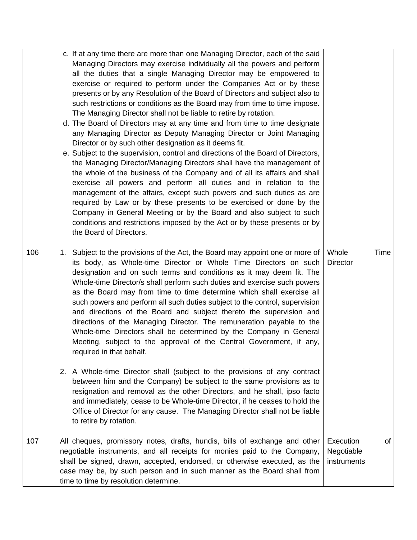|     | c. If at any time there are more than one Managing Director, each of the said<br>Managing Directors may exercise individually all the powers and perform<br>all the duties that a single Managing Director may be empowered to<br>exercise or required to perform under the Companies Act or by these<br>presents or by any Resolution of the Board of Directors and subject also to<br>such restrictions or conditions as the Board may from time to time impose.<br>The Managing Director shall not be liable to retire by rotation.<br>d. The Board of Directors may at any time and from time to time designate<br>any Managing Director as Deputy Managing Director or Joint Managing<br>Director or by such other designation as it deems fit.<br>e. Subject to the supervision, control and directions of the Board of Directors,<br>the Managing Director/Managing Directors shall have the management of<br>the whole of the business of the Company and of all its affairs and shall<br>exercise all powers and perform all duties and in relation to the<br>management of the affairs, except such powers and such duties as are<br>required by Law or by these presents to be exercised or done by the<br>Company in General Meeting or by the Board and also subject to such<br>conditions and restrictions imposed by the Act or by these presents or by<br>the Board of Directors. |                           |      |
|-----|---------------------------------------------------------------------------------------------------------------------------------------------------------------------------------------------------------------------------------------------------------------------------------------------------------------------------------------------------------------------------------------------------------------------------------------------------------------------------------------------------------------------------------------------------------------------------------------------------------------------------------------------------------------------------------------------------------------------------------------------------------------------------------------------------------------------------------------------------------------------------------------------------------------------------------------------------------------------------------------------------------------------------------------------------------------------------------------------------------------------------------------------------------------------------------------------------------------------------------------------------------------------------------------------------------------------------------------------------------------------------------------------------|---------------------------|------|
| 106 | 1. Subject to the provisions of the Act, the Board may appoint one or more of<br>its body, as Whole-time Director or Whole Time Directors on such<br>designation and on such terms and conditions as it may deem fit. The<br>Whole-time Director/s shall perform such duties and exercise such powers<br>as the Board may from time to time determine which shall exercise all<br>such powers and perform all such duties subject to the control, supervision<br>and directions of the Board and subject thereto the supervision and<br>directions of the Managing Director. The remuneration payable to the<br>Whole-time Directors shall be determined by the Company in General<br>Meeting, subject to the approval of the Central Government, if any,<br>required in that behalf.<br>2. A Whole-time Director shall (subject to the provisions of any contract<br>between him and the Company) be subject to the same provisions as to<br>resignation and removal as the other Directors, and he shall, ipso facto<br>and immediately, cease to be Whole-time Director, if he ceases to hold the<br>Office of Director for any cause. The Managing Director shall not be liable<br>to retire by rotation.                                                                                                                                                                                     | Whole<br><b>Director</b>  | Time |
| 107 | All cheques, promissory notes, drafts, hundis, bills of exchange and other                                                                                                                                                                                                                                                                                                                                                                                                                                                                                                                                                                                                                                                                                                                                                                                                                                                                                                                                                                                                                                                                                                                                                                                                                                                                                                                        | Execution                 | of   |
|     | negotiable instruments, and all receipts for monies paid to the Company,<br>shall be signed, drawn, accepted, endorsed, or otherwise executed, as the<br>case may be, by such person and in such manner as the Board shall from<br>time to time by resolution determine.                                                                                                                                                                                                                                                                                                                                                                                                                                                                                                                                                                                                                                                                                                                                                                                                                                                                                                                                                                                                                                                                                                                          | Negotiable<br>instruments |      |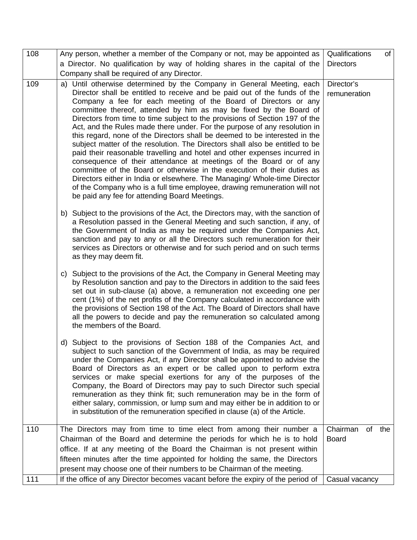| 108 | Any person, whether a member of the Company or not, may be appointed as                                                                                                                                                                                                                                                                                                                                                                                                                                                                                                                                                                                                                                                                                                                                                                                                                                                                                                                                                                                        | Qualifications             |        | of |
|-----|----------------------------------------------------------------------------------------------------------------------------------------------------------------------------------------------------------------------------------------------------------------------------------------------------------------------------------------------------------------------------------------------------------------------------------------------------------------------------------------------------------------------------------------------------------------------------------------------------------------------------------------------------------------------------------------------------------------------------------------------------------------------------------------------------------------------------------------------------------------------------------------------------------------------------------------------------------------------------------------------------------------------------------------------------------------|----------------------------|--------|----|
|     | a Director. No qualification by way of holding shares in the capital of the                                                                                                                                                                                                                                                                                                                                                                                                                                                                                                                                                                                                                                                                                                                                                                                                                                                                                                                                                                                    | <b>Directors</b>           |        |    |
|     | Company shall be required of any Director.                                                                                                                                                                                                                                                                                                                                                                                                                                                                                                                                                                                                                                                                                                                                                                                                                                                                                                                                                                                                                     |                            |        |    |
| 109 | a) Until otherwise determined by the Company in General Meeting, each<br>Director shall be entitled to receive and be paid out of the funds of the<br>Company a fee for each meeting of the Board of Directors or any<br>committee thereof, attended by him as may be fixed by the Board of<br>Directors from time to time subject to the provisions of Section 197 of the<br>Act, and the Rules made there under. For the purpose of any resolution in<br>this regard, none of the Directors shall be deemed to be interested in the<br>subject matter of the resolution. The Directors shall also be entitled to be<br>paid their reasonable travelling and hotel and other expenses incurred in<br>consequence of their attendance at meetings of the Board or of any<br>committee of the Board or otherwise in the execution of their duties as<br>Directors either in India or elsewhere. The Managing/ Whole-time Director<br>of the Company who is a full time employee, drawing remuneration will not<br>be paid any fee for attending Board Meetings. | Director's<br>remuneration |        |    |
|     | b) Subject to the provisions of the Act, the Directors may, with the sanction of<br>a Resolution passed in the General Meeting and such sanction, if any, of<br>the Government of India as may be required under the Companies Act,<br>sanction and pay to any or all the Directors such remuneration for their<br>services as Directors or otherwise and for such period and on such terms<br>as they may deem fit.                                                                                                                                                                                                                                                                                                                                                                                                                                                                                                                                                                                                                                           |                            |        |    |
|     | c) Subject to the provisions of the Act, the Company in General Meeting may<br>by Resolution sanction and pay to the Directors in addition to the said fees<br>set out in sub-clause (a) above, a remuneration not exceeding one per<br>cent (1%) of the net profits of the Company calculated in accordance with<br>the provisions of Section 198 of the Act. The Board of Directors shall have<br>all the powers to decide and pay the remuneration so calculated among<br>the members of the Board.                                                                                                                                                                                                                                                                                                                                                                                                                                                                                                                                                         |                            |        |    |
|     | d) Subject to the provisions of Section 188 of the Companies Act, and<br>subject to such sanction of the Government of India, as may be required<br>under the Companies Act, if any Director shall be appointed to advise the<br>Board of Directors as an expert or be called upon to perform extra<br>services or make special exertions for any of the purposes of the<br>Company, the Board of Directors may pay to such Director such special<br>remuneration as they think fit; such remuneration may be in the form of<br>either salary, commission, or lump sum and may either be in addition to or<br>in substitution of the remuneration specified in clause (a) of the Article.                                                                                                                                                                                                                                                                                                                                                                      |                            |        |    |
| 110 | The Directors may from time to time elect from among their number a                                                                                                                                                                                                                                                                                                                                                                                                                                                                                                                                                                                                                                                                                                                                                                                                                                                                                                                                                                                            | Chairman                   | of the |    |
|     | Chairman of the Board and determine the periods for which he is to hold<br>office. If at any meeting of the Board the Chairman is not present within<br>fifteen minutes after the time appointed for holding the same, the Directors                                                                                                                                                                                                                                                                                                                                                                                                                                                                                                                                                                                                                                                                                                                                                                                                                           | <b>Board</b>               |        |    |
|     | present may choose one of their numbers to be Chairman of the meeting.                                                                                                                                                                                                                                                                                                                                                                                                                                                                                                                                                                                                                                                                                                                                                                                                                                                                                                                                                                                         |                            |        |    |
| 111 | If the office of any Director becomes vacant before the expiry of the period of                                                                                                                                                                                                                                                                                                                                                                                                                                                                                                                                                                                                                                                                                                                                                                                                                                                                                                                                                                                | Casual vacancy             |        |    |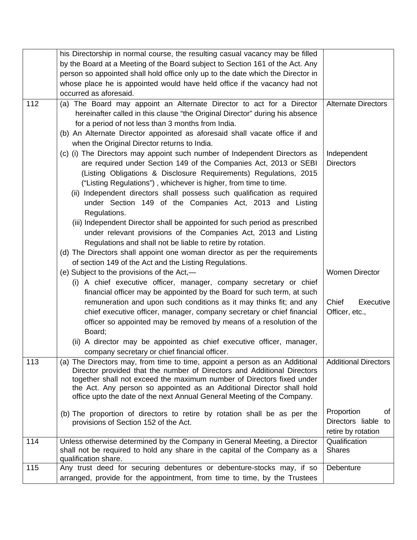|     | his Directorship in normal course, the resulting casual vacancy may be filled                                                                                                                                                                                                                                                                                                                                                                                                                                                                                                                                                                                                                                                                                                                           |                                                                  |
|-----|---------------------------------------------------------------------------------------------------------------------------------------------------------------------------------------------------------------------------------------------------------------------------------------------------------------------------------------------------------------------------------------------------------------------------------------------------------------------------------------------------------------------------------------------------------------------------------------------------------------------------------------------------------------------------------------------------------------------------------------------------------------------------------------------------------|------------------------------------------------------------------|
|     | by the Board at a Meeting of the Board subject to Section 161 of the Act. Any                                                                                                                                                                                                                                                                                                                                                                                                                                                                                                                                                                                                                                                                                                                           |                                                                  |
|     | person so appointed shall hold office only up to the date which the Director in                                                                                                                                                                                                                                                                                                                                                                                                                                                                                                                                                                                                                                                                                                                         |                                                                  |
|     | whose place he is appointed would have held office if the vacancy had not                                                                                                                                                                                                                                                                                                                                                                                                                                                                                                                                                                                                                                                                                                                               |                                                                  |
|     | occurred as aforesaid.                                                                                                                                                                                                                                                                                                                                                                                                                                                                                                                                                                                                                                                                                                                                                                                  |                                                                  |
| 112 | (a) The Board may appoint an Alternate Director to act for a Director<br>hereinafter called in this clause "the Original Director" during his absence<br>for a period of not less than 3 months from India.<br>(b) An Alternate Director appointed as aforesaid shall vacate office if and<br>when the Original Director returns to India.                                                                                                                                                                                                                                                                                                                                                                                                                                                              | <b>Alternate Directors</b>                                       |
|     | (c) (i) The Directors may appoint such number of Independent Directors as<br>are required under Section 149 of the Companies Act, 2013 or SEBI<br>(Listing Obligations & Disclosure Requirements) Regulations, 2015<br>("Listing Regulations"), whichever is higher, from time to time.<br>(ii) Independent directors shall possess such qualification as required<br>under Section 149 of the Companies Act, 2013 and Listing<br>Regulations.<br>(iii) Independent Director shall be appointed for such period as prescribed<br>under relevant provisions of the Companies Act, 2013 and Listing<br>Regulations and shall not be liable to retire by rotation.<br>(d) The Directors shall appoint one woman director as per the requirements<br>of section 149 of the Act and the Listing Regulations. | Independent<br><b>Directors</b>                                  |
|     | (e) Subject to the provisions of the Act,—                                                                                                                                                                                                                                                                                                                                                                                                                                                                                                                                                                                                                                                                                                                                                              | <b>Women Director</b>                                            |
|     | (i) A chief executive officer, manager, company secretary or chief                                                                                                                                                                                                                                                                                                                                                                                                                                                                                                                                                                                                                                                                                                                                      |                                                                  |
|     | financial officer may be appointed by the Board for such term, at such                                                                                                                                                                                                                                                                                                                                                                                                                                                                                                                                                                                                                                                                                                                                  |                                                                  |
|     | remuneration and upon such conditions as it may thinks fit; and any<br>chief executive officer, manager, company secretary or chief financial<br>officer so appointed may be removed by means of a resolution of the<br>Board;<br>(ii) A director may be appointed as chief executive officer, manager,<br>company secretary or chief financial officer.                                                                                                                                                                                                                                                                                                                                                                                                                                                | Chief<br>Executive<br>Officer, etc.,                             |
| 113 | (a) The Directors may, from time to time, appoint a person as an Additional<br>Director provided that the number of Directors and Additional Directors<br>together shall not exceed the maximum number of Directors fixed under<br>the Act. Any person so appointed as an Additional Director shall hold<br>office upto the date of the next Annual General Meeting of the Company.                                                                                                                                                                                                                                                                                                                                                                                                                     | <b>Additional Directors</b>                                      |
|     | (b) The proportion of directors to retire by rotation shall be as per the<br>provisions of Section 152 of the Act.                                                                                                                                                                                                                                                                                                                                                                                                                                                                                                                                                                                                                                                                                      | Proportion<br>of<br>Directors liable<br>to<br>retire by rotation |
| 114 | Unless otherwise determined by the Company in General Meeting, a Director<br>shall not be required to hold any share in the capital of the Company as a<br>qualification share.                                                                                                                                                                                                                                                                                                                                                                                                                                                                                                                                                                                                                         | Qualification<br><b>Shares</b>                                   |
| 115 | Any trust deed for securing debentures or debenture-stocks may, if so<br>arranged, provide for the appointment, from time to time, by the Trustees                                                                                                                                                                                                                                                                                                                                                                                                                                                                                                                                                                                                                                                      | Debenture                                                        |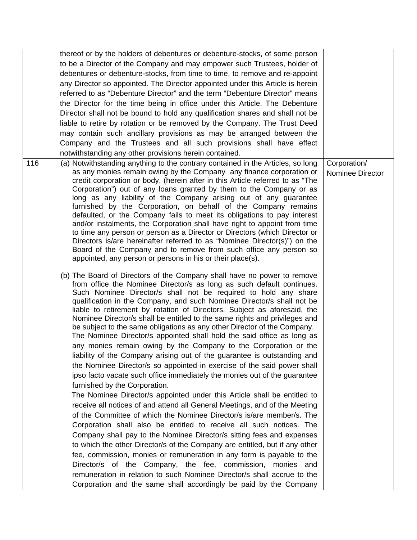|     | thereof or by the holders of debentures or debenture-stocks, of some person                                                                                                                                                                                                                                                                                                                                                                                                                                                                                                                                                                                                                                                                                                                                                                                                                                                                                                                                                                                                                                                                                                                                                                                                                                                                                                                                                                                                                                                                                                                                                                                                                                     |                                  |
|-----|-----------------------------------------------------------------------------------------------------------------------------------------------------------------------------------------------------------------------------------------------------------------------------------------------------------------------------------------------------------------------------------------------------------------------------------------------------------------------------------------------------------------------------------------------------------------------------------------------------------------------------------------------------------------------------------------------------------------------------------------------------------------------------------------------------------------------------------------------------------------------------------------------------------------------------------------------------------------------------------------------------------------------------------------------------------------------------------------------------------------------------------------------------------------------------------------------------------------------------------------------------------------------------------------------------------------------------------------------------------------------------------------------------------------------------------------------------------------------------------------------------------------------------------------------------------------------------------------------------------------------------------------------------------------------------------------------------------------|----------------------------------|
|     | to be a Director of the Company and may empower such Trustees, holder of                                                                                                                                                                                                                                                                                                                                                                                                                                                                                                                                                                                                                                                                                                                                                                                                                                                                                                                                                                                                                                                                                                                                                                                                                                                                                                                                                                                                                                                                                                                                                                                                                                        |                                  |
|     | debentures or debenture-stocks, from time to time, to remove and re-appoint                                                                                                                                                                                                                                                                                                                                                                                                                                                                                                                                                                                                                                                                                                                                                                                                                                                                                                                                                                                                                                                                                                                                                                                                                                                                                                                                                                                                                                                                                                                                                                                                                                     |                                  |
|     | any Director so appointed. The Director appointed under this Article is herein                                                                                                                                                                                                                                                                                                                                                                                                                                                                                                                                                                                                                                                                                                                                                                                                                                                                                                                                                                                                                                                                                                                                                                                                                                                                                                                                                                                                                                                                                                                                                                                                                                  |                                  |
|     | referred to as "Debenture Director" and the term "Debenture Director" means                                                                                                                                                                                                                                                                                                                                                                                                                                                                                                                                                                                                                                                                                                                                                                                                                                                                                                                                                                                                                                                                                                                                                                                                                                                                                                                                                                                                                                                                                                                                                                                                                                     |                                  |
|     | the Director for the time being in office under this Article. The Debenture                                                                                                                                                                                                                                                                                                                                                                                                                                                                                                                                                                                                                                                                                                                                                                                                                                                                                                                                                                                                                                                                                                                                                                                                                                                                                                                                                                                                                                                                                                                                                                                                                                     |                                  |
|     | Director shall not be bound to hold any qualification shares and shall not be                                                                                                                                                                                                                                                                                                                                                                                                                                                                                                                                                                                                                                                                                                                                                                                                                                                                                                                                                                                                                                                                                                                                                                                                                                                                                                                                                                                                                                                                                                                                                                                                                                   |                                  |
|     | liable to retire by rotation or be removed by the Company. The Trust Deed                                                                                                                                                                                                                                                                                                                                                                                                                                                                                                                                                                                                                                                                                                                                                                                                                                                                                                                                                                                                                                                                                                                                                                                                                                                                                                                                                                                                                                                                                                                                                                                                                                       |                                  |
|     | may contain such ancillary provisions as may be arranged between the                                                                                                                                                                                                                                                                                                                                                                                                                                                                                                                                                                                                                                                                                                                                                                                                                                                                                                                                                                                                                                                                                                                                                                                                                                                                                                                                                                                                                                                                                                                                                                                                                                            |                                  |
|     | Company and the Trustees and all such provisions shall have effect                                                                                                                                                                                                                                                                                                                                                                                                                                                                                                                                                                                                                                                                                                                                                                                                                                                                                                                                                                                                                                                                                                                                                                                                                                                                                                                                                                                                                                                                                                                                                                                                                                              |                                  |
|     | notwithstanding any other provisions herein contained.                                                                                                                                                                                                                                                                                                                                                                                                                                                                                                                                                                                                                                                                                                                                                                                                                                                                                                                                                                                                                                                                                                                                                                                                                                                                                                                                                                                                                                                                                                                                                                                                                                                          |                                  |
| 116 | (a) Notwithstanding anything to the contrary contained in the Articles, so long<br>as any monies remain owing by the Company any finance corporation or<br>credit corporation or body, (herein after in this Article referred to as "The<br>Corporation") out of any loans granted by them to the Company or as<br>long as any liability of the Company arising out of any guarantee<br>furnished by the Corporation, on behalf of the Company remains<br>defaulted, or the Company fails to meet its obligations to pay interest<br>and/or instalments, the Corporation shall have right to appoint from time<br>to time any person or person as a Director or Directors (which Director or<br>Directors is/are hereinafter referred to as "Nominee Director(s)") on the<br>Board of the Company and to remove from such office any person so<br>appointed, any person or persons in his or their place(s).                                                                                                                                                                                                                                                                                                                                                                                                                                                                                                                                                                                                                                                                                                                                                                                                    | Corporation/<br>Nominee Director |
|     | (b) The Board of Directors of the Company shall have no power to remove<br>from office the Nominee Director/s as long as such default continues.<br>Such Nominee Director/s shall not be required to hold any share<br>qualification in the Company, and such Nominee Director/s shall not be<br>liable to retirement by rotation of Directors. Subject as aforesaid, the<br>Nominee Director/s shall be entitled to the same rights and privileges and<br>be subject to the same obligations as any other Director of the Company.<br>The Nominee Director/s appointed shall hold the said office as long as<br>any monies remain owing by the Company to the Corporation or the<br>liability of the Company arising out of the guarantee is outstanding and<br>the Nominee Director/s so appointed in exercise of the said power shall<br>ipso facto vacate such office immediately the monies out of the guarantee<br>furnished by the Corporation.<br>The Nominee Director/s appointed under this Article shall be entitled to<br>receive all notices of and attend all General Meetings, and of the Meeting<br>of the Committee of which the Nominee Director/s is/are member/s. The<br>Corporation shall also be entitled to receive all such notices. The<br>Company shall pay to the Nominee Director/s sitting fees and expenses<br>to which the other Director/s of the Company are entitled, but if any other<br>fee, commission, monies or remuneration in any form is payable to the<br>Director/s of the Company, the fee, commission, monies and<br>remuneration in relation to such Nominee Director/s shall accrue to the<br>Corporation and the same shall accordingly be paid by the Company |                                  |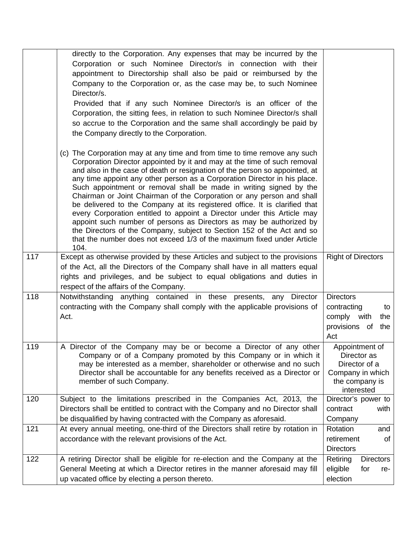|     | directly to the Corporation. Any expenses that may be incurred by the                                                                                    |                                      |
|-----|----------------------------------------------------------------------------------------------------------------------------------------------------------|--------------------------------------|
|     | Corporation or such Nominee Director/s in connection with their                                                                                          |                                      |
|     | appointment to Directorship shall also be paid or reimbursed by the                                                                                      |                                      |
|     | Company to the Corporation or, as the case may be, to such Nominee                                                                                       |                                      |
|     | Director/s.                                                                                                                                              |                                      |
|     | Provided that if any such Nominee Director/s is an officer of the<br>Corporation, the sitting fees, in relation to such Nominee Director/s shall         |                                      |
|     | so accrue to the Corporation and the same shall accordingly be paid by                                                                                   |                                      |
|     | the Company directly to the Corporation.                                                                                                                 |                                      |
|     | (c) The Corporation may at any time and from time to time remove any such                                                                                |                                      |
|     | Corporation Director appointed by it and may at the time of such removal                                                                                 |                                      |
|     | and also in the case of death or resignation of the person so appointed, at<br>any time appoint any other person as a Corporation Director in his place. |                                      |
|     | Such appointment or removal shall be made in writing signed by the                                                                                       |                                      |
|     | Chairman or Joint Chairman of the Corporation or any person and shall<br>be delivered to the Company at its registered office. It is clarified that      |                                      |
|     | every Corporation entitled to appoint a Director under this Article may                                                                                  |                                      |
|     | appoint such number of persons as Directors as may be authorized by                                                                                      |                                      |
|     | the Directors of the Company, subject to Section 152 of the Act and so<br>that the number does not exceed 1/3 of the maximum fixed under Article         |                                      |
|     | 104.                                                                                                                                                     |                                      |
| 117 | Except as otherwise provided by these Articles and subject to the provisions                                                                             | <b>Right of Directors</b>            |
|     | of the Act, all the Directors of the Company shall have in all matters equal                                                                             |                                      |
|     | rights and privileges, and be subject to equal obligations and duties in<br>respect of the affairs of the Company.                                       |                                      |
| 118 | Notwithstanding anything contained in these presents, any Director                                                                                       | <b>Directors</b>                     |
|     | contracting with the Company shall comply with the applicable provisions of                                                                              | contracting<br>to                    |
|     | Act.                                                                                                                                                     | comply with<br>the                   |
|     |                                                                                                                                                          | provisions of<br>the                 |
|     |                                                                                                                                                          | Act                                  |
| 119 | A Director of the Company may be or become a Director of any other<br>Company or of a Company promoted by this Company or in which it                    | Appointment of<br>Director as        |
|     | may be interested as a member, shareholder or otherwise and no such                                                                                      | Director of a                        |
|     | Director shall be accountable for any benefits received as a Director or                                                                                 | Company in which                     |
|     | member of such Company.                                                                                                                                  | the company is<br>interested         |
| 120 | Subject to the limitations prescribed in the Companies Act, 2013, the                                                                                    | Director's power to                  |
|     | Directors shall be entitled to contract with the Company and no Director shall                                                                           | contract<br>with                     |
|     | be disqualified by having contracted with the Company as aforesaid.                                                                                      | Company                              |
| 121 | At every annual meeting, one-third of the Directors shall retire by rotation in                                                                          | Rotation<br>and                      |
|     | accordance with the relevant provisions of the Act.                                                                                                      | retirement<br>0f<br><b>Directors</b> |
| 122 | A retiring Director shall be eligible for re-election and the Company at the                                                                             | Retiring<br><b>Directors</b>         |
|     | General Meeting at which a Director retires in the manner aforesaid may fill                                                                             | eligible<br>for<br>re-               |
|     | up vacated office by electing a person thereto.                                                                                                          | election                             |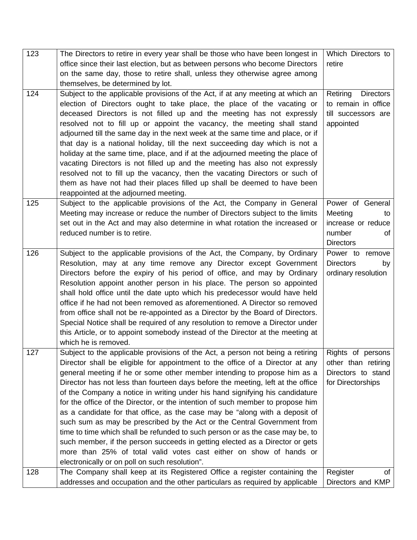| 123 | The Directors to retire in every year shall be those who have been longest in   | Which Directors to           |
|-----|---------------------------------------------------------------------------------|------------------------------|
|     | office since their last election, but as between persons who become Directors   | retire                       |
|     | on the same day, those to retire shall, unless they otherwise agree among       |                              |
|     | themselves, be determined by lot.                                               |                              |
| 124 | Subject to the applicable provisions of the Act, if at any meeting at which an  | <b>Directors</b><br>Retiring |
|     | election of Directors ought to take place, the place of the vacating or         | to remain in office          |
|     | deceased Directors is not filled up and the meeting has not expressly           | till successors are          |
|     | resolved not to fill up or appoint the vacancy, the meeting shall stand         | appointed                    |
|     | adjourned till the same day in the next week at the same time and place, or if  |                              |
|     | that day is a national holiday, till the next succeeding day which is not a     |                              |
|     | holiday at the same time, place, and if at the adjourned meeting the place of   |                              |
|     | vacating Directors is not filled up and the meeting has also not expressly      |                              |
|     | resolved not to fill up the vacancy, then the vacating Directors or such of     |                              |
|     | them as have not had their places filled up shall be deemed to have been        |                              |
|     | reappointed at the adjourned meeting.                                           |                              |
| 125 | Subject to the applicable provisions of the Act, the Company in General         | Power of General             |
|     | Meeting may increase or reduce the number of Directors subject to the limits    | Meeting<br>to                |
|     | set out in the Act and may also determine in what rotation the increased or     | increase or reduce           |
|     | reduced number is to retire.                                                    | number<br>οf                 |
|     |                                                                                 | <b>Directors</b>             |
| 126 | Subject to the applicable provisions of the Act, the Company, by Ordinary       | Power to remove              |
|     | Resolution, may at any time remove any Director except Government               | <b>Directors</b><br>by       |
|     | Directors before the expiry of his period of office, and may by Ordinary        | ordinary resolution          |
|     | Resolution appoint another person in his place. The person so appointed         |                              |
|     | shall hold office until the date upto which his predecessor would have held     |                              |
|     | office if he had not been removed as aforementioned. A Director so removed      |                              |
|     | from office shall not be re-appointed as a Director by the Board of Directors.  |                              |
|     | Special Notice shall be required of any resolution to remove a Director under   |                              |
|     | this Article, or to appoint somebody instead of the Director at the meeting at  |                              |
|     | which he is removed.                                                            |                              |
| 127 | Subject to the applicable provisions of the Act, a person not being a retiring  | Rights of persons            |
|     | Director shall be eligible for appointment to the office of a Director at any   | other than retiring          |
|     | general meeting if he or some other member intending to propose him as a        | Directors to stand           |
|     | Director has not less than fourteen days before the meeting, left at the office | for Directorships            |
|     | of the Company a notice in writing under his hand signifying his candidature    |                              |
|     | for the office of the Director, or the intention of such member to propose him  |                              |
|     | as a candidate for that office, as the case may be "along with a deposit of     |                              |
|     | such sum as may be prescribed by the Act or the Central Government from         |                              |
|     | time to time which shall be refunded to such person or as the case may be, to   |                              |
|     | such member, if the person succeeds in getting elected as a Director or gets    |                              |
|     | more than 25% of total valid votes cast either on show of hands or              |                              |
|     | electronically or on poll on such resolution".                                  |                              |
| 128 | The Company shall keep at its Registered Office a register containing the       | Register<br>οf               |
|     | addresses and occupation and the other particulars as required by applicable    | Directors and KMP            |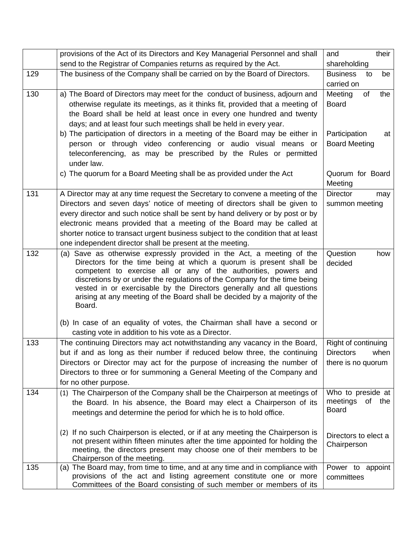|     | provisions of the Act of its Directors and Key Managerial Personnel and shall                                                                                                                                                                                                                                                                                                                                                                                            | their<br>and                                                   |
|-----|--------------------------------------------------------------------------------------------------------------------------------------------------------------------------------------------------------------------------------------------------------------------------------------------------------------------------------------------------------------------------------------------------------------------------------------------------------------------------|----------------------------------------------------------------|
|     | send to the Registrar of Companies returns as required by the Act.                                                                                                                                                                                                                                                                                                                                                                                                       | shareholding                                                   |
| 129 | The business of the Company shall be carried on by the Board of Directors.                                                                                                                                                                                                                                                                                                                                                                                               | <b>Business</b><br>be<br>to<br>carried on                      |
| 130 | a) The Board of Directors may meet for the conduct of business, adjourn and<br>otherwise regulate its meetings, as it thinks fit, provided that a meeting of<br>the Board shall be held at least once in every one hundred and twenty<br>days; and at least four such meetings shall be held in every year.                                                                                                                                                              | Meeting<br>of<br>the<br><b>Board</b>                           |
|     | b) The participation of directors in a meeting of the Board may be either in<br>person or through video conferencing or audio visual means or<br>teleconferencing, as may be prescribed by the Rules or permitted<br>under law.                                                                                                                                                                                                                                          | Participation<br>at<br><b>Board Meeting</b>                    |
|     | c) The quorum for a Board Meeting shall be as provided under the Act                                                                                                                                                                                                                                                                                                                                                                                                     | Quorum for Board<br>Meeting                                    |
| 131 | A Director may at any time request the Secretary to convene a meeting of the<br>Directors and seven days' notice of meeting of directors shall be given to<br>every director and such notice shall be sent by hand delivery or by post or by<br>electronic means provided that a meeting of the Board may be called at<br>shorter notice to transact urgent business subject to the condition that at least<br>one independent director shall be present at the meeting. | <b>Director</b><br>may<br>summon meeting                       |
| 132 | (a) Save as otherwise expressly provided in the Act, a meeting of the<br>Directors for the time being at which a quorum is present shall be<br>competent to exercise all or any of the authorities, powers and<br>discretions by or under the regulations of the Company for the time being<br>vested in or exercisable by the Directors generally and all questions<br>arising at any meeting of the Board shall be decided by a majority of the<br>Board.              | Question<br>how<br>decided                                     |
|     | (b) In case of an equality of votes, the Chairman shall have a second or<br>casting vote in addition to his vote as a Director.                                                                                                                                                                                                                                                                                                                                          |                                                                |
| 133 | The continuing Directors may act notwithstanding any vacancy in the Board,<br>but if and as long as their number if reduced below three, the continuing<br>Directors or Director may act for the purpose of increasing the number of<br>Directors to three or for summoning a General Meeting of the Company and<br>for no other purpose.                                                                                                                                | Right of continuing<br>Directors<br>when<br>there is no quorum |
| 134 | (1) The Chairperson of the Company shall be the Chairperson at meetings of<br>the Board. In his absence, the Board may elect a Chairperson of its<br>meetings and determine the period for which he is to hold office.                                                                                                                                                                                                                                                   | Who to preside at<br>meetings<br>of the<br><b>Board</b>        |
|     | (2) If no such Chairperson is elected, or if at any meeting the Chairperson is<br>not present within fifteen minutes after the time appointed for holding the<br>meeting, the directors present may choose one of their members to be<br>Chairperson of the meeting.                                                                                                                                                                                                     | Directors to elect a<br>Chairperson                            |
| 135 | (a) The Board may, from time to time, and at any time and in compliance with<br>provisions of the act and listing agreement constitute one or more<br>Committees of the Board consisting of such member or members of its                                                                                                                                                                                                                                                | Power to appoint<br>committees                                 |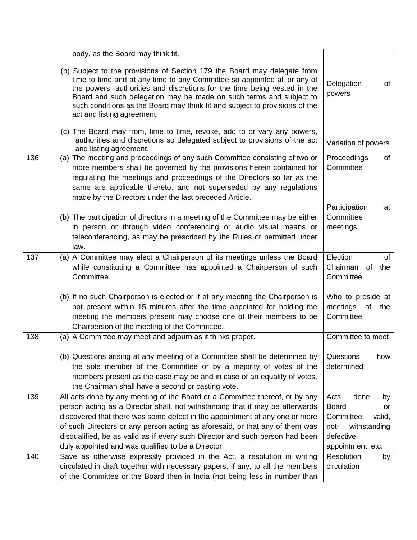|     | body, as the Board may think fit.                                                                                                                                                                                                                                                                                                                                                                                                                                 |                                                                                                                           |
|-----|-------------------------------------------------------------------------------------------------------------------------------------------------------------------------------------------------------------------------------------------------------------------------------------------------------------------------------------------------------------------------------------------------------------------------------------------------------------------|---------------------------------------------------------------------------------------------------------------------------|
|     | (b) Subject to the provisions of Section 179 the Board may delegate from<br>time to time and at any time to any Committee so appointed all or any of<br>the powers, authorities and discretions for the time being vested in the<br>Board and such delegation may be made on such terms and subject to<br>such conditions as the Board may think fit and subject to provisions of the<br>act and listing agreement.                                               | Delegation<br>of<br>powers                                                                                                |
|     | (c) The Board may from, time to time, revoke, add to or vary any powers,<br>authorities and discretions so delegated subject to provisions of the act<br>and listing agreement.                                                                                                                                                                                                                                                                                   | Variation of powers                                                                                                       |
| 136 | (a) The meeting and proceedings of any such Committee consisting of two or<br>more members shall be governed by the provisions herein contained for<br>regulating the meetings and proceedings of the Directors so far as the<br>same are applicable thereto, and not superseded by any regulations<br>made by the Directors under the last preceded Article.                                                                                                     | Proceedings<br>of<br>Committee                                                                                            |
|     | (b) The participation of directors in a meeting of the Committee may be either<br>in person or through video conferencing or audio visual means or<br>teleconferencing, as may be prescribed by the Rules or permitted under<br>law.                                                                                                                                                                                                                              | Participation<br>at<br>Committee<br>meetings                                                                              |
| 137 | (a) A Committee may elect a Chairperson of its meetings unless the Board<br>while constituting a Committee has appointed a Chairperson of such<br>Committee.                                                                                                                                                                                                                                                                                                      | Election<br>οf<br>Chairman<br>of<br>the<br>Committee                                                                      |
|     | (b) If no such Chairperson is elected or if at any meeting the Chairperson is<br>not present within 15 minutes after the time appointed for holding the<br>meeting the members present may choose one of their members to be<br>Chairperson of the meeting of the Committee.                                                                                                                                                                                      | Who to preside at<br>meetings<br>of<br>the<br>Committee                                                                   |
| 138 | (a) A Committee may meet and adjourn as it thinks proper.                                                                                                                                                                                                                                                                                                                                                                                                         | Committee to meet                                                                                                         |
|     | (b) Questions arising at any meeting of a Committee shall be determined by<br>the sole member of the Committee or by a majority of votes of the<br>members present as the case may be and in case of an equality of votes,<br>the Chairman shall have a second or casting vote.                                                                                                                                                                                   | Questions<br>how<br>determined                                                                                            |
| 139 | All acts done by any meeting of the Board or a Committee thereof, or by any<br>person acting as a Director shall, not withstanding that it may be afterwards<br>discovered that there was some defect in the appointment of any one or more<br>of such Directors or any person acting as aforesaid, or that any of them was<br>disqualified, be as valid as if every such Director and such person had been<br>duly appointed and was qualified to be a Director. | Acts<br>done<br>by<br><b>Board</b><br>or<br>Committee<br>valid,<br>withstanding<br>not-<br>defective<br>appointment, etc. |
| 140 | Save as otherwise expressly provided in the Act, a resolution in writing<br>circulated in draft together with necessary papers, if any, to all the members<br>of the Committee or the Board then in India (not being less in number than                                                                                                                                                                                                                          | Resolution<br>by<br>circulation                                                                                           |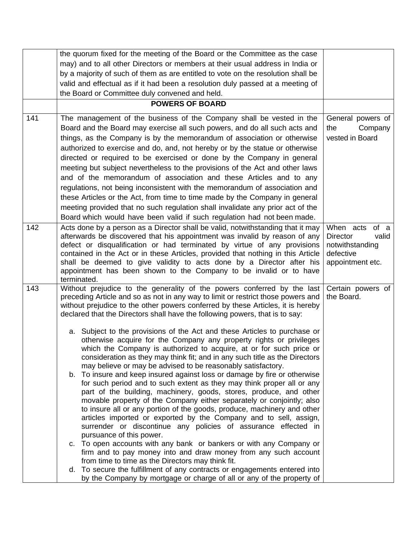|     | the quorum fixed for the meeting of the Board or the Committee as the case                                                                                |                               |
|-----|-----------------------------------------------------------------------------------------------------------------------------------------------------------|-------------------------------|
|     | may) and to all other Directors or members at their usual address in India or                                                                             |                               |
|     | by a majority of such of them as are entitled to vote on the resolution shall be                                                                          |                               |
|     | valid and effectual as if it had been a resolution duly passed at a meeting of                                                                            |                               |
|     | the Board or Committee duly convened and held.                                                                                                            |                               |
|     | <b>POWERS OF BOARD</b>                                                                                                                                    |                               |
| 141 | The management of the business of the Company shall be vested in the                                                                                      | General powers of             |
|     | Board and the Board may exercise all such powers, and do all such acts and                                                                                | Company<br>the                |
|     | things, as the Company is by the memorandum of association or otherwise                                                                                   | vested in Board               |
|     | authorized to exercise and do, and, not hereby or by the statue or otherwise                                                                              |                               |
|     | directed or required to be exercised or done by the Company in general                                                                                    |                               |
|     | meeting but subject nevertheless to the provisions of the Act and other laws                                                                              |                               |
|     | and of the memorandum of association and these Articles and to any                                                                                        |                               |
|     | regulations, not being inconsistent with the memorandum of association and                                                                                |                               |
|     | these Articles or the Act, from time to time made by the Company in general                                                                               |                               |
|     | meeting provided that no such regulation shall invalidate any prior act of the                                                                            |                               |
|     | Board which would have been valid if such regulation had not been made.                                                                                   |                               |
| 142 | Acts done by a person as a Director shall be valid, notwithstanding that it may                                                                           | When acts of a                |
|     | afterwards be discovered that his appointment was invalid by reason of any                                                                                | <b>Director</b><br>valid      |
|     | defect or disqualification or had terminated by virtue of any provisions                                                                                  | notwithstanding               |
|     | contained in the Act or in these Articles, provided that nothing in this Article<br>shall be deemed to give validity to acts done by a Director after his | defective<br>appointment etc. |
|     | appointment has been shown to the Company to be invalid or to have                                                                                        |                               |
|     | terminated.                                                                                                                                               |                               |
| 143 | Without prejudice to the generality of the powers conferred by the last                                                                                   | Certain powers of             |
|     | preceding Article and so as not in any way to limit or restrict those powers and                                                                          | the Board.                    |
|     | without prejudice to the other powers conferred by these Articles, it is hereby                                                                           |                               |
|     | declared that the Directors shall have the following powers, that is to say:                                                                              |                               |
|     | a. Subject to the provisions of the Act and these Articles to purchase or                                                                                 |                               |
|     | otherwise acquire for the Company any property rights or privileges                                                                                       |                               |
|     | which the Company is authorized to acquire, at or for such price or                                                                                       |                               |
|     | consideration as they may think fit; and in any such title as the Directors                                                                               |                               |
|     | may believe or may be advised to be reasonably satisfactory.<br>b. To insure and keep insured against loss or damage by fire or otherwise                 |                               |
|     | for such period and to such extent as they may think proper all or any                                                                                    |                               |
|     | part of the building, machinery, goods, stores, produce, and other                                                                                        |                               |
|     | movable property of the Company either separately or conjointly; also                                                                                     |                               |
|     | to insure all or any portion of the goods, produce, machinery and other                                                                                   |                               |
|     | articles imported or exported by the Company and to sell, assign,                                                                                         |                               |
|     | surrender or discontinue any policies of assurance effected in                                                                                            |                               |
|     | pursuance of this power.<br>c. To open accounts with any bank or bankers or with any Company or                                                           |                               |
|     | firm and to pay money into and draw money from any such account                                                                                           |                               |
|     | from time to time as the Directors may think fit.                                                                                                         |                               |
|     | d. To secure the fulfillment of any contracts or engagements entered into                                                                                 |                               |
|     | by the Company by mortgage or charge of all or any of the property of                                                                                     |                               |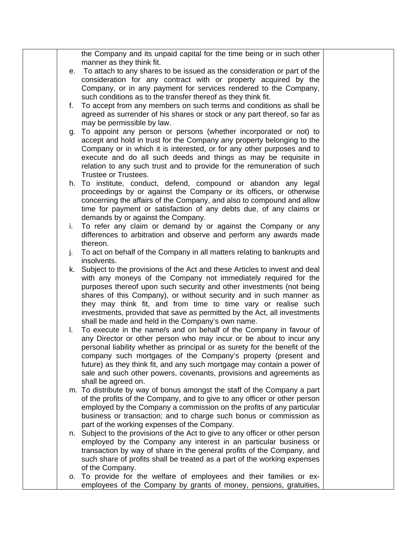the Company and its unpaid capital for the time being or in such other manner as they think fit. e. To attach to any shares to be issued as the consideration or part of the consideration for any contract with or property acquired by the Company, or in any payment for services rendered to the Company, such conditions as to the transfer thereof as they think fit. f. To accept from any members on such terms and conditions as shall be agreed as surrender of his shares or stock or any part thereof, so far as may be permissible by law. g. To appoint any person or persons (whether incorporated or not) to accept and hold in trust for the Company any property belonging to the Company or in which it is interested, or for any other purposes and to execute and do all such deeds and things as may be requisite in relation to any such trust and to provide for the remuneration of such Trustee or Trustees. h. To institute, conduct, defend, compound or abandon any legal proceedings by or against the Company or its officers, or otherwise concerning the affairs of the Company, and also to compound and allow time for payment or satisfaction of any debts due, of any claims or demands by or against the Company. i. To refer any claim or demand by or against the Company or any differences to arbitration and observe and perform any awards made thereon. j. To act on behalf of the Company in all matters relating to bankrupts and insolvents. k. Subject to the provisions of the Act and these Articles to invest and deal with any moneys of the Company not immediately required for the purposes thereof upon such security and other investments (not being shares of this Company), or without security and in such manner as they may think fit, and from time to time vary or realise such investments, provided that save as permitted by the Act, all investments shall be made and held in the Company's own name. l. To execute in the name/s and on behalf of the Company in favour of any Director or other person who may incur or be about to incur any personal liability whether as principal or as surety for the benefit of the company such mortgages of the Company's property (present and future) as they think fit, and any such mortgage may contain a power of sale and such other powers, covenants, provisions and agreements as shall be agreed on. m. To distribute by way of bonus amongst the staff of the Company a part of the profits of the Company, and to give to any officer or other person employed by the Company a commission on the profits of any particular business or transaction; and to charge such bonus or commission as part of the working expenses of the Company. n. Subject to the provisions of the Act to give to any officer or other person employed by the Company any interest in an particular business or transaction by way of share in the general profits of the Company, and such share of profits shall be treated as a part of the working expenses of the Company. o. To provide for the welfare of employees and their families or exemployees of the Company by grants of money, pensions, gratuities,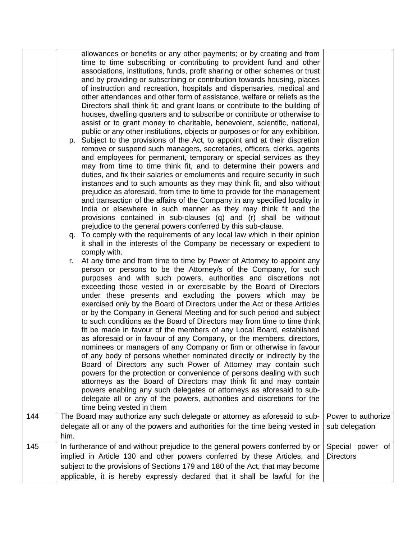|     | allowances or benefits or any other payments; or by creating and from<br>time to time subscribing or contributing to provident fund and other<br>associations, institutions, funds, profit sharing or other schemes or trust<br>and by providing or subscribing or contribution towards housing, places                                                                                                                                                                                                                                                                                                                                                                                                                                                                                                                                                                                                                                                                                                                                                                                                                                                                                                                                                                                             |                                      |
|-----|-----------------------------------------------------------------------------------------------------------------------------------------------------------------------------------------------------------------------------------------------------------------------------------------------------------------------------------------------------------------------------------------------------------------------------------------------------------------------------------------------------------------------------------------------------------------------------------------------------------------------------------------------------------------------------------------------------------------------------------------------------------------------------------------------------------------------------------------------------------------------------------------------------------------------------------------------------------------------------------------------------------------------------------------------------------------------------------------------------------------------------------------------------------------------------------------------------------------------------------------------------------------------------------------------------|--------------------------------------|
|     | of instruction and recreation, hospitals and dispensaries, medical and<br>other attendances and other form of assistance, welfare or reliefs as the<br>Directors shall think fit; and grant loans or contribute to the building of<br>houses, dwelling quarters and to subscribe or contribute or otherwise to<br>assist or to grant money to charitable, benevolent, scientific, national,<br>public or any other institutions, objects or purposes or for any exhibition.<br>p. Subject to the provisions of the Act, to appoint and at their discretion<br>remove or suspend such managers, secretaries, officers, clerks, agents<br>and employees for permanent, temporary or special services as they<br>may from time to time think fit, and to determine their powers and<br>duties, and fix their salaries or emoluments and require security in such<br>instances and to such amounts as they may think fit, and also without<br>prejudice as aforesaid, from time to time to provide for the management<br>and transaction of the affairs of the Company in any specified locality in<br>India or elsewhere in such manner as they may think fit and the                                                                                                                                  |                                      |
|     | provisions contained in sub-clauses (q) and (r) shall be without<br>prejudice to the general powers conferred by this sub-clause.<br>q. To comply with the requirements of any local law which in their opinion<br>it shall in the interests of the Company be necessary or expedient to                                                                                                                                                                                                                                                                                                                                                                                                                                                                                                                                                                                                                                                                                                                                                                                                                                                                                                                                                                                                            |                                      |
|     | comply with.<br>At any time and from time to time by Power of Attorney to appoint any<br>r.<br>person or persons to be the Attorney/s of the Company, for such<br>purposes and with such powers, authorities and discretions not<br>exceeding those vested in or exercisable by the Board of Directors<br>under these presents and excluding the powers which may be<br>exercised only by the Board of Directors under the Act or these Articles<br>or by the Company in General Meeting and for such period and subject<br>to such conditions as the Board of Directors may from time to time think<br>fit be made in favour of the members of any Local Board, established<br>as aforesaid or in favour of any Company, or the members, directors,<br>nominees or managers of any Company or firm or otherwise in favour<br>of any body of persons whether nominated directly or indirectly by the<br>Board of Directors any such Power of Attorney may contain such<br>powers for the protection or convenience of persons dealing with such<br>attorneys as the Board of Directors may think fit and may contain<br>powers enabling any such delegates or attorneys as aforesaid to sub-<br>delegate all or any of the powers, authorities and discretions for the<br>time being vested in them |                                      |
| 144 | The Board may authorize any such delegate or attorney as aforesaid to sub-<br>delegate all or any of the powers and authorities for the time being vested in                                                                                                                                                                                                                                                                                                                                                                                                                                                                                                                                                                                                                                                                                                                                                                                                                                                                                                                                                                                                                                                                                                                                        | Power to authorize<br>sub delegation |
| 145 | him.<br>In furtherance of and without prejudice to the general powers conferred by or<br>implied in Article 130 and other powers conferred by these Articles, and<br>subject to the provisions of Sections 179 and 180 of the Act, that may become<br>applicable, it is hereby expressly declared that it shall be lawful for the                                                                                                                                                                                                                                                                                                                                                                                                                                                                                                                                                                                                                                                                                                                                                                                                                                                                                                                                                                   | Special power of<br><b>Directors</b> |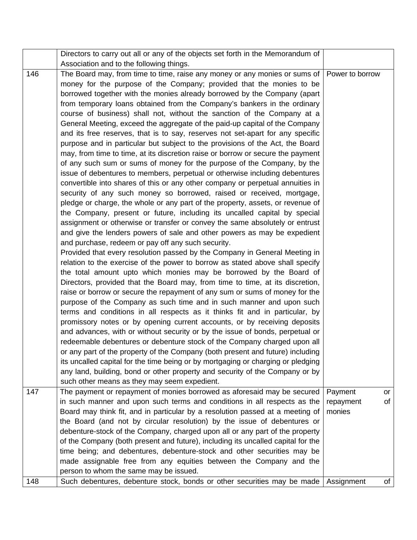|     | Directors to carry out all or any of the objects set forth in the Memorandum of            |            |    |
|-----|--------------------------------------------------------------------------------------------|------------|----|
|     | Association and to the following things.                                                   |            |    |
| 146 | The Board may, from time to time, raise any money or any monies or sums of Power to borrow |            |    |
|     | money for the purpose of the Company; provided that the monies to be                       |            |    |
|     | borrowed together with the monies already borrowed by the Company (apart                   |            |    |
|     | from temporary loans obtained from the Company's bankers in the ordinary                   |            |    |
|     | course of business) shall not, without the sanction of the Company at a                    |            |    |
|     | General Meeting, exceed the aggregate of the paid-up capital of the Company                |            |    |
|     | and its free reserves, that is to say, reserves not set-apart for any specific             |            |    |
|     | purpose and in particular but subject to the provisions of the Act, the Board              |            |    |
|     | may, from time to time, at its discretion raise or borrow or secure the payment            |            |    |
|     | of any such sum or sums of money for the purpose of the Company, by the                    |            |    |
|     | issue of debentures to members, perpetual or otherwise including debentures                |            |    |
|     | convertible into shares of this or any other company or perpetual annuities in             |            |    |
|     | security of any such money so borrowed, raised or received, mortgage,                      |            |    |
|     | pledge or charge, the whole or any part of the property, assets, or revenue of             |            |    |
|     | the Company, present or future, including its uncalled capital by special                  |            |    |
|     | assignment or otherwise or transfer or convey the same absolutely or entrust               |            |    |
|     | and give the lenders powers of sale and other powers as may be expedient                   |            |    |
|     | and purchase, redeem or pay off any such security.                                         |            |    |
|     | Provided that every resolution passed by the Company in General Meeting in                 |            |    |
|     | relation to the exercise of the power to borrow as stated above shall specify              |            |    |
|     | the total amount upto which monies may be borrowed by the Board of                         |            |    |
|     | Directors, provided that the Board may, from time to time, at its discretion,              |            |    |
|     | raise or borrow or secure the repayment of any sum or sums of money for the                |            |    |
|     | purpose of the Company as such time and in such manner and upon such                       |            |    |
|     | terms and conditions in all respects as it thinks fit and in particular, by                |            |    |
|     | promissory notes or by opening current accounts, or by receiving deposits                  |            |    |
|     | and advances, with or without security or by the issue of bonds, perpetual or              |            |    |
|     | redeemable debentures or debenture stock of the Company charged upon all                   |            |    |
|     | or any part of the property of the Company (both present and future) including             |            |    |
|     | its uncalled capital for the time being or by mortgaging or charging or pledging           |            |    |
|     | any land, building, bond or other property and security of the Company or by               |            |    |
|     | such other means as they may seem expedient.                                               |            |    |
| 147 | The payment or repayment of monies borrowed as aforesaid may be secured                    | Payment    | or |
|     | in such manner and upon such terms and conditions in all respects as the                   | repayment  | of |
|     | Board may think fit, and in particular by a resolution passed at a meeting of              | monies     |    |
|     | the Board (and not by circular resolution) by the issue of debentures or                   |            |    |
|     | debenture-stock of the Company, charged upon all or any part of the property               |            |    |
|     | of the Company (both present and future), including its uncalled capital for the           |            |    |
|     | time being; and debentures, debenture-stock and other securities may be                    |            |    |
|     | made assignable free from any equities between the Company and the                         |            |    |
|     | person to whom the same may be issued.                                                     |            |    |
| 148 | Such debentures, debenture stock, bonds or other securities may be made                    | Assignment | of |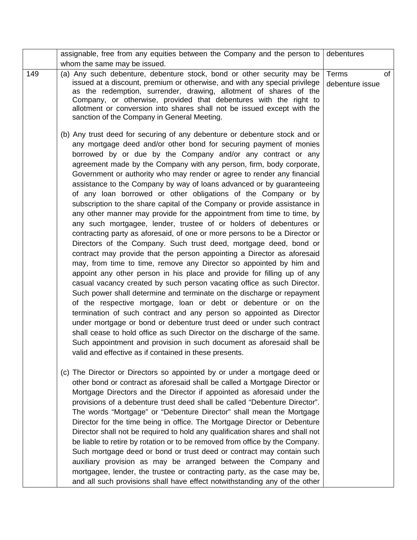|     | assignable, free from any equities between the Company and the person to                                                                                                                                                                                                                                                                                                                                                                                                                                                                                                                                                                                                                                                                                                                                                                                                                                                                                                                                                                                                                                                                                                                                                                                                                                                                                                                                                                                                                                                                                                                                                                                                                                             | debentures               |    |
|-----|----------------------------------------------------------------------------------------------------------------------------------------------------------------------------------------------------------------------------------------------------------------------------------------------------------------------------------------------------------------------------------------------------------------------------------------------------------------------------------------------------------------------------------------------------------------------------------------------------------------------------------------------------------------------------------------------------------------------------------------------------------------------------------------------------------------------------------------------------------------------------------------------------------------------------------------------------------------------------------------------------------------------------------------------------------------------------------------------------------------------------------------------------------------------------------------------------------------------------------------------------------------------------------------------------------------------------------------------------------------------------------------------------------------------------------------------------------------------------------------------------------------------------------------------------------------------------------------------------------------------------------------------------------------------------------------------------------------------|--------------------------|----|
|     | whom the same may be issued.                                                                                                                                                                                                                                                                                                                                                                                                                                                                                                                                                                                                                                                                                                                                                                                                                                                                                                                                                                                                                                                                                                                                                                                                                                                                                                                                                                                                                                                                                                                                                                                                                                                                                         |                          |    |
| 149 | (a) Any such debenture, debenture stock, bond or other security may be<br>issued at a discount, premium or otherwise, and with any special privilege<br>as the redemption, surrender, drawing, allotment of shares of the<br>Company, or otherwise, provided that debentures with the right to<br>allotment or conversion into shares shall not be issued except with the<br>sanction of the Company in General Meeting.                                                                                                                                                                                                                                                                                                                                                                                                                                                                                                                                                                                                                                                                                                                                                                                                                                                                                                                                                                                                                                                                                                                                                                                                                                                                                             | Terms<br>debenture issue | of |
|     | (b) Any trust deed for securing of any debenture or debenture stock and or<br>any mortgage deed and/or other bond for securing payment of monies<br>borrowed by or due by the Company and/or any contract or any<br>agreement made by the Company with any person, firm, body corporate,<br>Government or authority who may render or agree to render any financial<br>assistance to the Company by way of loans advanced or by guaranteeing<br>of any loan borrowed or other obligations of the Company or by<br>subscription to the share capital of the Company or provide assistance in<br>any other manner may provide for the appointment from time to time, by<br>any such mortgagee, lender, trustee of or holders of debentures or<br>contracting party as aforesaid, of one or more persons to be a Director or<br>Directors of the Company. Such trust deed, mortgage deed, bond or<br>contract may provide that the person appointing a Director as aforesaid<br>may, from time to time, remove any Director so appointed by him and<br>appoint any other person in his place and provide for filling up of any<br>casual vacancy created by such person vacating office as such Director.<br>Such power shall determine and terminate on the discharge or repayment<br>of the respective mortgage, loan or debt or debenture or on the<br>termination of such contract and any person so appointed as Director<br>under mortgage or bond or debenture trust deed or under such contract<br>shall cease to hold office as such Director on the discharge of the same.<br>Such appointment and provision in such document as aforesaid shall be<br>valid and effective as if contained in these presents. |                          |    |
|     | (c) The Director or Directors so appointed by or under a mortgage deed or<br>other bond or contract as aforesaid shall be called a Mortgage Director or<br>Mortgage Directors and the Director if appointed as aforesaid under the<br>provisions of a debenture trust deed shall be called "Debenture Director".<br>The words "Mortgage" or "Debenture Director" shall mean the Mortgage<br>Director for the time being in office. The Mortgage Director or Debenture<br>Director shall not be required to hold any qualification shares and shall not<br>be liable to retire by rotation or to be removed from office by the Company.<br>Such mortgage deed or bond or trust deed or contract may contain such<br>auxiliary provision as may be arranged between the Company and<br>mortgagee, lender, the trustee or contracting party, as the case may be,<br>and all such provisions shall have effect notwithstanding any of the other                                                                                                                                                                                                                                                                                                                                                                                                                                                                                                                                                                                                                                                                                                                                                                          |                          |    |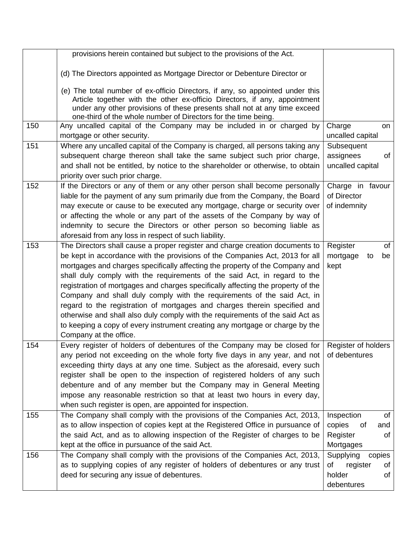|     | provisions herein contained but subject to the provisions of the Act.                                                                                                                                                                                                                                                                                                                                                                                                                                                                                                                                                                                                                                                                                            |                                                                           |
|-----|------------------------------------------------------------------------------------------------------------------------------------------------------------------------------------------------------------------------------------------------------------------------------------------------------------------------------------------------------------------------------------------------------------------------------------------------------------------------------------------------------------------------------------------------------------------------------------------------------------------------------------------------------------------------------------------------------------------------------------------------------------------|---------------------------------------------------------------------------|
|     | (d) The Directors appointed as Mortgage Director or Debenture Director or                                                                                                                                                                                                                                                                                                                                                                                                                                                                                                                                                                                                                                                                                        |                                                                           |
|     | (e) The total number of ex-officio Directors, if any, so appointed under this<br>Article together with the other ex-officio Directors, if any, appointment<br>under any other provisions of these presents shall not at any time exceed<br>one-third of the whole number of Directors for the time being.                                                                                                                                                                                                                                                                                                                                                                                                                                                        |                                                                           |
| 150 | Any uncalled capital of the Company may be included in or charged by<br>mortgage or other security.                                                                                                                                                                                                                                                                                                                                                                                                                                                                                                                                                                                                                                                              | Charge<br>on<br>uncalled capital                                          |
| 151 | Where any uncalled capital of the Company is charged, all persons taking any<br>subsequent charge thereon shall take the same subject such prior charge,<br>and shall not be entitled, by notice to the shareholder or otherwise, to obtain<br>priority over such prior charge.                                                                                                                                                                                                                                                                                                                                                                                                                                                                                  | Subsequent<br>assignees<br>of<br>uncalled capital                         |
| 152 | If the Directors or any of them or any other person shall become personally<br>liable for the payment of any sum primarily due from the Company, the Board<br>may execute or cause to be executed any mortgage, charge or security over<br>or affecting the whole or any part of the assets of the Company by way of<br>indemnity to secure the Directors or other person so becoming liable as<br>aforesaid from any loss in respect of such liability.                                                                                                                                                                                                                                                                                                         | Charge in favour<br>of Director<br>of indemnity                           |
| 153 | The Directors shall cause a proper register and charge creation documents to<br>be kept in accordance with the provisions of the Companies Act, 2013 for all<br>mortgages and charges specifically affecting the property of the Company and<br>shall duly comply with the requirements of the said Act, in regard to the<br>registration of mortgages and charges specifically affecting the property of the<br>Company and shall duly comply with the requirements of the said Act, in<br>regard to the registration of mortgages and charges therein specified and<br>otherwise and shall also duly comply with the requirements of the said Act as<br>to keeping a copy of every instrument creating any mortgage or charge by the<br>Company at the office. | Register<br>of<br>mortgage<br>be<br>to<br>kept                            |
| 154 | Every register of holders of debentures of the Company may be closed for   Register of holders<br>any period not exceeding on the whole forty five days in any year, and not $\vert$ of debentures<br>exceeding thirty days at any one time. Subject as the aforesaid, every such<br>register shall be open to the inspection of registered holders of any such<br>debenture and of any member but the Company may in General Meeting<br>impose any reasonable restriction so that at least two hours in every day,<br>when such register is open, are appointed for inspection.                                                                                                                                                                                 |                                                                           |
| 155 | The Company shall comply with the provisions of the Companies Act, 2013,<br>as to allow inspection of copies kept at the Registered Office in pursuance of<br>the said Act, and as to allowing inspection of the Register of charges to be<br>kept at the office in pursuance of the said Act.                                                                                                                                                                                                                                                                                                                                                                                                                                                                   | Inspection<br>of<br>copies<br>of<br>and<br>Register<br>of<br>Mortgages    |
| 156 | The Company shall comply with the provisions of the Companies Act, 2013,<br>as to supplying copies of any register of holders of debentures or any trust<br>deed for securing any issue of debentures.                                                                                                                                                                                                                                                                                                                                                                                                                                                                                                                                                           | Supplying<br>copies<br>register<br>of<br>of<br>holder<br>of<br>debentures |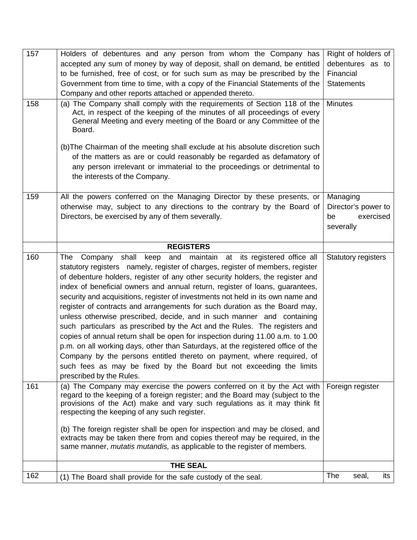| 157 | Holders of debentures and any person from whom the Company has                                                                                                                                                                                                                                                                                                                                                                                                                                                                                                                                                                                                                                                                                                                                                                                                                                                                                                                                           | Right of holders of                                             |
|-----|----------------------------------------------------------------------------------------------------------------------------------------------------------------------------------------------------------------------------------------------------------------------------------------------------------------------------------------------------------------------------------------------------------------------------------------------------------------------------------------------------------------------------------------------------------------------------------------------------------------------------------------------------------------------------------------------------------------------------------------------------------------------------------------------------------------------------------------------------------------------------------------------------------------------------------------------------------------------------------------------------------|-----------------------------------------------------------------|
|     | accepted any sum of money by way of deposit, shall on demand, be entitled                                                                                                                                                                                                                                                                                                                                                                                                                                                                                                                                                                                                                                                                                                                                                                                                                                                                                                                                | debentures as to                                                |
|     | to be furnished, free of cost, or for such sum as may be prescribed by the                                                                                                                                                                                                                                                                                                                                                                                                                                                                                                                                                                                                                                                                                                                                                                                                                                                                                                                               | Financial                                                       |
|     | Government from time to time, with a copy of the Financial Statements of the                                                                                                                                                                                                                                                                                                                                                                                                                                                                                                                                                                                                                                                                                                                                                                                                                                                                                                                             | <b>Statements</b>                                               |
|     | Company and other reports attached or appended thereto.                                                                                                                                                                                                                                                                                                                                                                                                                                                                                                                                                                                                                                                                                                                                                                                                                                                                                                                                                  |                                                                 |
| 158 | (a) The Company shall comply with the requirements of Section 118 of the<br>Act, in respect of the keeping of the minutes of all proceedings of every<br>General Meeting and every meeting of the Board or any Committee of the<br>Board.                                                                                                                                                                                                                                                                                                                                                                                                                                                                                                                                                                                                                                                                                                                                                                | <b>Minutes</b>                                                  |
|     | (b) The Chairman of the meeting shall exclude at his absolute discretion such<br>of the matters as are or could reasonably be regarded as defamatory of<br>any person irrelevant or immaterial to the proceedings or detrimental to<br>the interests of the Company.                                                                                                                                                                                                                                                                                                                                                                                                                                                                                                                                                                                                                                                                                                                                     |                                                                 |
| 159 | All the powers conferred on the Managing Director by these presents, or<br>otherwise may, subject to any directions to the contrary by the Board of<br>Directors, be exercised by any of them severally.                                                                                                                                                                                                                                                                                                                                                                                                                                                                                                                                                                                                                                                                                                                                                                                                 | Managing<br>Director's power to<br>be<br>exercised<br>severally |
|     | <b>REGISTERS</b>                                                                                                                                                                                                                                                                                                                                                                                                                                                                                                                                                                                                                                                                                                                                                                                                                                                                                                                                                                                         |                                                                 |
| 160 | Company shall<br>and maintain at its registered office all<br>keep<br>The<br>statutory registers namely, register of charges, register of members, register<br>of debenture holders, register of any other security holders, the register and<br>index of beneficial owners and annual return, register of loans, guarantees,<br>security and acquisitions, register of investments not held in its own name and<br>register of contracts and arrangements for such duration as the Board may,<br>unless otherwise prescribed, decide, and in such manner and containing<br>such particulars as prescribed by the Act and the Rules. The registers and<br>copies of annual return shall be open for inspection during 11.00 a.m. to 1.00<br>p.m. on all working days, other than Saturdays, at the registered office of the<br>Company by the persons entitled thereto on payment, where required, of<br>such fees as may be fixed by the Board but not exceeding the limits<br>prescribed by the Rules. | Statutory registers                                             |
| 161 | (a) The Company may exercise the powers conferred on it by the Act with<br>regard to the keeping of a foreign register; and the Board may (subject to the<br>provisions of the Act) make and vary such regulations as it may think fit<br>respecting the keeping of any such register.<br>(b) The foreign register shall be open for inspection and may be closed, and<br>extracts may be taken there from and copies thereof may be required, in the<br>same manner, <i>mutatis mutandis</i> , as applicable to the register of members.                                                                                                                                                                                                                                                                                                                                                                                                                                                                | Foreign register                                                |
|     | <b>THE SEAL</b>                                                                                                                                                                                                                                                                                                                                                                                                                                                                                                                                                                                                                                                                                                                                                                                                                                                                                                                                                                                          |                                                                 |
| 162 | (1) The Board shall provide for the safe custody of the seal.                                                                                                                                                                                                                                                                                                                                                                                                                                                                                                                                                                                                                                                                                                                                                                                                                                                                                                                                            | The<br>its<br>seal,                                             |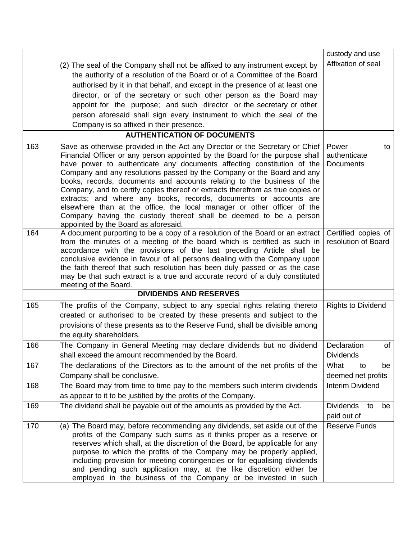|     |                                                                                                                                                                                                                                                                                                                                                                                                                                                                                                                                                                                                                                                                                                                                           | custody and use                                 |
|-----|-------------------------------------------------------------------------------------------------------------------------------------------------------------------------------------------------------------------------------------------------------------------------------------------------------------------------------------------------------------------------------------------------------------------------------------------------------------------------------------------------------------------------------------------------------------------------------------------------------------------------------------------------------------------------------------------------------------------------------------------|-------------------------------------------------|
|     | (2) The seal of the Company shall not be affixed to any instrument except by                                                                                                                                                                                                                                                                                                                                                                                                                                                                                                                                                                                                                                                              | Affixation of seal                              |
|     | the authority of a resolution of the Board or of a Committee of the Board                                                                                                                                                                                                                                                                                                                                                                                                                                                                                                                                                                                                                                                                 |                                                 |
|     | authorised by it in that behalf, and except in the presence of at least one                                                                                                                                                                                                                                                                                                                                                                                                                                                                                                                                                                                                                                                               |                                                 |
|     |                                                                                                                                                                                                                                                                                                                                                                                                                                                                                                                                                                                                                                                                                                                                           |                                                 |
|     | director, or of the secretary or such other person as the Board may                                                                                                                                                                                                                                                                                                                                                                                                                                                                                                                                                                                                                                                                       |                                                 |
|     | appoint for the purpose; and such director or the secretary or other                                                                                                                                                                                                                                                                                                                                                                                                                                                                                                                                                                                                                                                                      |                                                 |
|     | person aforesaid shall sign every instrument to which the seal of the                                                                                                                                                                                                                                                                                                                                                                                                                                                                                                                                                                                                                                                                     |                                                 |
|     | Company is so affixed in their presence.                                                                                                                                                                                                                                                                                                                                                                                                                                                                                                                                                                                                                                                                                                  |                                                 |
|     | <b>AUTHENTICATION OF DOCUMENTS</b>                                                                                                                                                                                                                                                                                                                                                                                                                                                                                                                                                                                                                                                                                                        |                                                 |
| 163 | Save as otherwise provided in the Act any Director or the Secretary or Chief<br>Financial Officer or any person appointed by the Board for the purpose shall<br>have power to authenticate any documents affecting constitution of the<br>Company and any resolutions passed by the Company or the Board and any<br>books, records, documents and accounts relating to the business of the<br>Company, and to certify copies thereof or extracts therefrom as true copies or<br>extracts; and where any books, records, documents or accounts are<br>elsewhere than at the office, the local manager or other officer of the<br>Company having the custody thereof shall be deemed to be a person<br>appointed by the Board as aforesaid. | Power<br>to<br>authenticate<br><b>Documents</b> |
| 164 | A document purporting to be a copy of a resolution of the Board or an extract<br>from the minutes of a meeting of the board which is certified as such in<br>accordance with the provisions of the last preceding Article shall be<br>conclusive evidence in favour of all persons dealing with the Company upon<br>the faith thereof that such resolution has been duly passed or as the case<br>may be that such extract is a true and accurate record of a duly constituted<br>meeting of the Board.                                                                                                                                                                                                                                   | Certified copies of<br>resolution of Board      |
|     | <b>DIVIDENDS AND RESERVES</b>                                                                                                                                                                                                                                                                                                                                                                                                                                                                                                                                                                                                                                                                                                             |                                                 |
| 165 | The profits of the Company, subject to any special rights relating thereto<br>created or authorised to be created by these presents and subject to the<br>provisions of these presents as to the Reserve Fund, shall be divisible among<br>the equity shareholders.                                                                                                                                                                                                                                                                                                                                                                                                                                                                       | <b>Rights to Dividend</b>                       |
| 166 | The Company in General Meeting may declare dividends but no dividend<br>shall exceed the amount recommended by the Board.                                                                                                                                                                                                                                                                                                                                                                                                                                                                                                                                                                                                                 | Declaration<br>of<br><b>Dividends</b>           |
| 167 | The declarations of the Directors as to the amount of the net profits of the<br>Company shall be conclusive.                                                                                                                                                                                                                                                                                                                                                                                                                                                                                                                                                                                                                              | What<br>to<br>be<br>deemed net profits          |
| 168 | The Board may from time to time pay to the members such interim dividends                                                                                                                                                                                                                                                                                                                                                                                                                                                                                                                                                                                                                                                                 | <b>Interim Dividend</b>                         |
|     | as appear to it to be justified by the profits of the Company.                                                                                                                                                                                                                                                                                                                                                                                                                                                                                                                                                                                                                                                                            |                                                 |
| 169 | The dividend shall be payable out of the amounts as provided by the Act.                                                                                                                                                                                                                                                                                                                                                                                                                                                                                                                                                                                                                                                                  | <b>Dividends</b><br>to<br>be                    |
|     |                                                                                                                                                                                                                                                                                                                                                                                                                                                                                                                                                                                                                                                                                                                                           | paid out of                                     |
| 170 | (a) The Board may, before recommending any dividends, set aside out of the<br>profits of the Company such sums as it thinks proper as a reserve or<br>reserves which shall, at the discretion of the Board, be applicable for any<br>purpose to which the profits of the Company may be properly applied,<br>including provision for meeting contingencies or for equalising dividends<br>and pending such application may, at the like discretion either be<br>employed in the business of the Company or be invested in such                                                                                                                                                                                                            | <b>Reserve Funds</b>                            |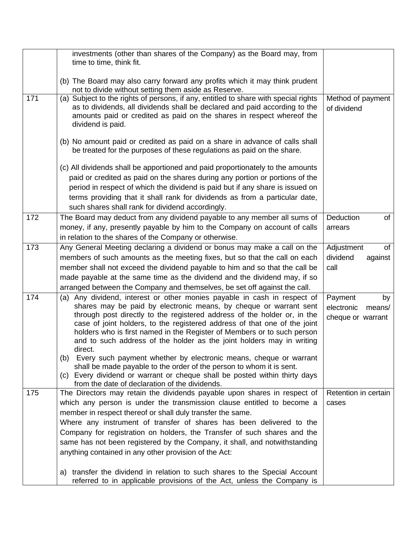|     | investments (other than shares of the Company) as the Board may, from<br>time to time, think fit.                                                                                                                                                                                                                                                                                                                                                                                                                                                                                                                                                                                                                                                         |                                                            |
|-----|-----------------------------------------------------------------------------------------------------------------------------------------------------------------------------------------------------------------------------------------------------------------------------------------------------------------------------------------------------------------------------------------------------------------------------------------------------------------------------------------------------------------------------------------------------------------------------------------------------------------------------------------------------------------------------------------------------------------------------------------------------------|------------------------------------------------------------|
|     | (b) The Board may also carry forward any profits which it may think prudent<br>not to divide without setting them aside as Reserve.                                                                                                                                                                                                                                                                                                                                                                                                                                                                                                                                                                                                                       |                                                            |
| 171 | (a) Subject to the rights of persons, if any, entitled to share with special rights<br>as to dividends, all dividends shall be declared and paid according to the<br>amounts paid or credited as paid on the shares in respect whereof the<br>dividend is paid.                                                                                                                                                                                                                                                                                                                                                                                                                                                                                           | Method of payment<br>of dividend                           |
|     | (b) No amount paid or credited as paid on a share in advance of calls shall<br>be treated for the purposes of these regulations as paid on the share.                                                                                                                                                                                                                                                                                                                                                                                                                                                                                                                                                                                                     |                                                            |
|     | (c) All dividends shall be apportioned and paid proportionately to the amounts<br>paid or credited as paid on the shares during any portion or portions of the<br>period in respect of which the dividend is paid but if any share is issued on<br>terms providing that it shall rank for dividends as from a particular date,<br>such shares shall rank for dividend accordingly.                                                                                                                                                                                                                                                                                                                                                                        |                                                            |
| 172 | The Board may deduct from any dividend payable to any member all sums of<br>money, if any, presently payable by him to the Company on account of calls<br>in relation to the shares of the Company or otherwise.                                                                                                                                                                                                                                                                                                                                                                                                                                                                                                                                          | Deduction<br>of<br>arrears                                 |
| 173 | Any General Meeting declaring a dividend or bonus may make a call on the<br>members of such amounts as the meeting fixes, but so that the call on each<br>member shall not exceed the dividend payable to him and so that the call be<br>made payable at the same time as the dividend and the dividend may, if so<br>arranged between the Company and themselves, be set off against the call.                                                                                                                                                                                                                                                                                                                                                           | Adjustment<br>of<br>dividend<br>against<br>call            |
| 174 | Any dividend, interest or other monies payable in cash in respect of<br>(a)<br>shares may be paid by electronic means, by cheque or warrant sent<br>through post directly to the registered address of the holder or, in the<br>case of joint holders, to the registered address of that one of the joint<br>holders who is first named in the Register of Members or to such person<br>and to such address of the holder as the joint holders may in writing<br>direct.<br>(b) Every such payment whether by electronic means, cheque or warrant<br>shall be made payable to the order of the person to whom it is sent.<br>(c) Every dividend or warrant or cheque shall be posted within thirty days<br>from the date of declaration of the dividends. | Payment<br>by<br>electronic<br>means/<br>cheque or warrant |
| 175 | The Directors may retain the dividends payable upon shares in respect of<br>which any person is under the transmission clause entitled to become a<br>member in respect thereof or shall duly transfer the same.<br>Where any instrument of transfer of shares has been delivered to the<br>Company for registration on holders, the Transfer of such shares and the<br>same has not been registered by the Company, it shall, and notwithstanding<br>anything contained in any other provision of the Act:                                                                                                                                                                                                                                               | Retention in certain<br>cases                              |
|     | a) transfer the dividend in relation to such shares to the Special Account<br>referred to in applicable provisions of the Act, unless the Company is                                                                                                                                                                                                                                                                                                                                                                                                                                                                                                                                                                                                      |                                                            |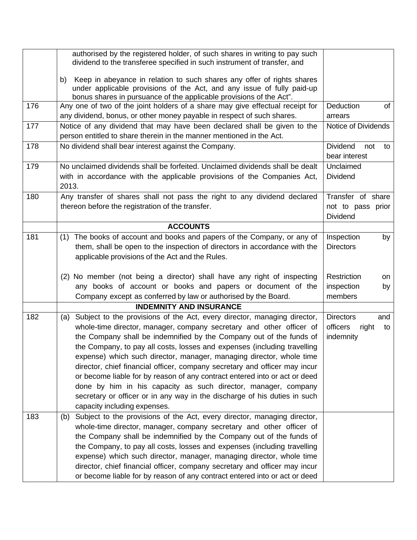|     | authorised by the registered holder, of such shares in writing to pay such<br>dividend to the transferee specified in such instrument of transfer, and                                                                                                                                                                                                                                                                                                                                                                                                                                                                                                                                                                     |                                                                 |
|-----|----------------------------------------------------------------------------------------------------------------------------------------------------------------------------------------------------------------------------------------------------------------------------------------------------------------------------------------------------------------------------------------------------------------------------------------------------------------------------------------------------------------------------------------------------------------------------------------------------------------------------------------------------------------------------------------------------------------------------|-----------------------------------------------------------------|
|     | Keep in abeyance in relation to such shares any offer of rights shares<br>b)<br>under applicable provisions of the Act, and any issue of fully paid-up<br>bonus shares in pursuance of the applicable provisions of the Act".                                                                                                                                                                                                                                                                                                                                                                                                                                                                                              |                                                                 |
| 176 | Any one of two of the joint holders of a share may give effectual receipt for<br>any dividend, bonus, or other money payable in respect of such shares.                                                                                                                                                                                                                                                                                                                                                                                                                                                                                                                                                                    | Deduction<br>of<br>arrears                                      |
| 177 | Notice of any dividend that may have been declared shall be given to the<br>person entitled to share therein in the manner mentioned in the Act.                                                                                                                                                                                                                                                                                                                                                                                                                                                                                                                                                                           | Notice of Dividends                                             |
| 178 | No dividend shall bear interest against the Company.                                                                                                                                                                                                                                                                                                                                                                                                                                                                                                                                                                                                                                                                       | <b>Dividend</b><br>not<br>to<br>bear interest                   |
| 179 | No unclaimed dividends shall be forfeited. Unclaimed dividends shall be dealt<br>with in accordance with the applicable provisions of the Companies Act,<br>2013.                                                                                                                                                                                                                                                                                                                                                                                                                                                                                                                                                          | Unclaimed<br><b>Dividend</b>                                    |
| 180 | Any transfer of shares shall not pass the right to any dividend declared<br>thereon before the registration of the transfer.                                                                                                                                                                                                                                                                                                                                                                                                                                                                                                                                                                                               | Transfer of share<br>not to pass prior<br><b>Dividend</b>       |
|     | <b>ACCOUNTS</b>                                                                                                                                                                                                                                                                                                                                                                                                                                                                                                                                                                                                                                                                                                            |                                                                 |
| 181 | The books of account and books and papers of the Company, or any of<br>(1)<br>them, shall be open to the inspection of directors in accordance with the<br>applicable provisions of the Act and the Rules.                                                                                                                                                                                                                                                                                                                                                                                                                                                                                                                 | Inspection<br>by<br><b>Directors</b>                            |
|     | (2) No member (not being a director) shall have any right of inspecting<br>any books of account or books and papers or document of the<br>Company except as conferred by law or authorised by the Board.                                                                                                                                                                                                                                                                                                                                                                                                                                                                                                                   | Restriction<br>on<br>inspection<br>by<br>members                |
|     | <b>INDEMNITY AND INSURANCE</b>                                                                                                                                                                                                                                                                                                                                                                                                                                                                                                                                                                                                                                                                                             |                                                                 |
| 182 | (a) Subject to the provisions of the Act, every director, managing director,<br>whole-time director, manager, company secretary and other officer of<br>the Company shall be indemnified by the Company out of the funds of<br>the Company, to pay all costs, losses and expenses (including travelling<br>expense) which such director, manager, managing director, whole time<br>director, chief financial officer, company secretary and officer may incur<br>or become liable for by reason of any contract entered into or act or deed<br>done by him in his capacity as such director, manager, company<br>secretary or officer or in any way in the discharge of his duties in such<br>capacity including expenses. | <b>Directors</b><br>and<br>officers<br>right<br>to<br>indemnity |
| 183 | Subject to the provisions of the Act, every director, managing director,<br>(b)<br>whole-time director, manager, company secretary and other officer of<br>the Company shall be indemnified by the Company out of the funds of<br>the Company, to pay all costs, losses and expenses (including travelling<br>expense) which such director, manager, managing director, whole time<br>director, chief financial officer, company secretary and officer may incur<br>or become liable for by reason of any contract entered into or act or deed                                                                                                                                                                             |                                                                 |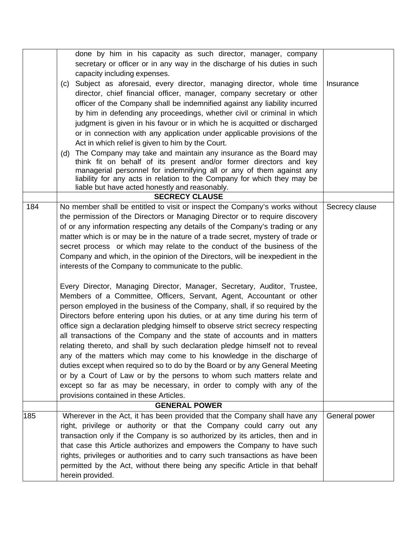|     | done by him in his capacity as such director, manager, company                  |                |
|-----|---------------------------------------------------------------------------------|----------------|
|     | secretary or officer or in any way in the discharge of his duties in such       |                |
|     | capacity including expenses.                                                    |                |
|     | (c) Subject as aforesaid, every director, managing director, whole time         | Insurance      |
|     | director, chief financial officer, manager, company secretary or other          |                |
|     | officer of the Company shall be indemnified against any liability incurred      |                |
|     | by him in defending any proceedings, whether civil or criminal in which         |                |
|     | judgment is given in his favour or in which he is acquitted or discharged       |                |
|     | or in connection with any application under applicable provisions of the        |                |
|     | Act in which relief is given to him by the Court.                               |                |
|     | The Company may take and maintain any insurance as the Board may<br>(d)         |                |
|     | think fit on behalf of its present and/or former directors and key              |                |
|     | managerial personnel for indemnifying all or any of them against any            |                |
|     | liability for any acts in relation to the Company for which they may be         |                |
|     | liable but have acted honestly and reasonably.                                  |                |
|     | <b>SECRECY CLAUSE</b>                                                           |                |
| 184 | No member shall be entitled to visit or inspect the Company's works without     | Secrecy clause |
|     | the permission of the Directors or Managing Director or to require discovery    |                |
|     | of or any information respecting any details of the Company's trading or any    |                |
|     | matter which is or may be in the nature of a trade secret, mystery of trade or  |                |
|     | secret process or which may relate to the conduct of the business of the        |                |
|     | Company and which, in the opinion of the Directors, will be inexpedient in the  |                |
|     | interests of the Company to communicate to the public.                          |                |
|     | Every Director, Managing Director, Manager, Secretary, Auditor, Trustee,        |                |
|     | Members of a Committee, Officers, Servant, Agent, Accountant or other           |                |
|     | person employed in the business of the Company, shall, if so required by the    |                |
|     | Directors before entering upon his duties, or at any time during his term of    |                |
|     | office sign a declaration pledging himself to observe strict secrecy respecting |                |
|     | all transactions of the Company and the state of accounts and in matters        |                |
|     | relating thereto, and shall by such declaration pledge himself not to reveal    |                |
|     | any of the matters which may come to his knowledge in the discharge of          |                |
|     | duties except when required so to do by the Board or by any General Meeting     |                |
|     | or by a Court of Law or by the persons to whom such matters relate and          |                |
|     | except so far as may be necessary, in order to comply with any of the           |                |
|     | provisions contained in these Articles.                                         |                |
|     | <b>GENERAL POWER</b>                                                            |                |
| 185 | Wherever in the Act, it has been provided that the Company shall have any       | General power  |
|     | right, privilege or authority or that the Company could carry out any           |                |
|     | transaction only if the Company is so authorized by its articles, then and in   |                |
|     | that case this Article authorizes and empowers the Company to have such         |                |
|     | rights, privileges or authorities and to carry such transactions as have been   |                |
|     | permitted by the Act, without there being any specific Article in that behalf   |                |
|     | herein provided.                                                                |                |